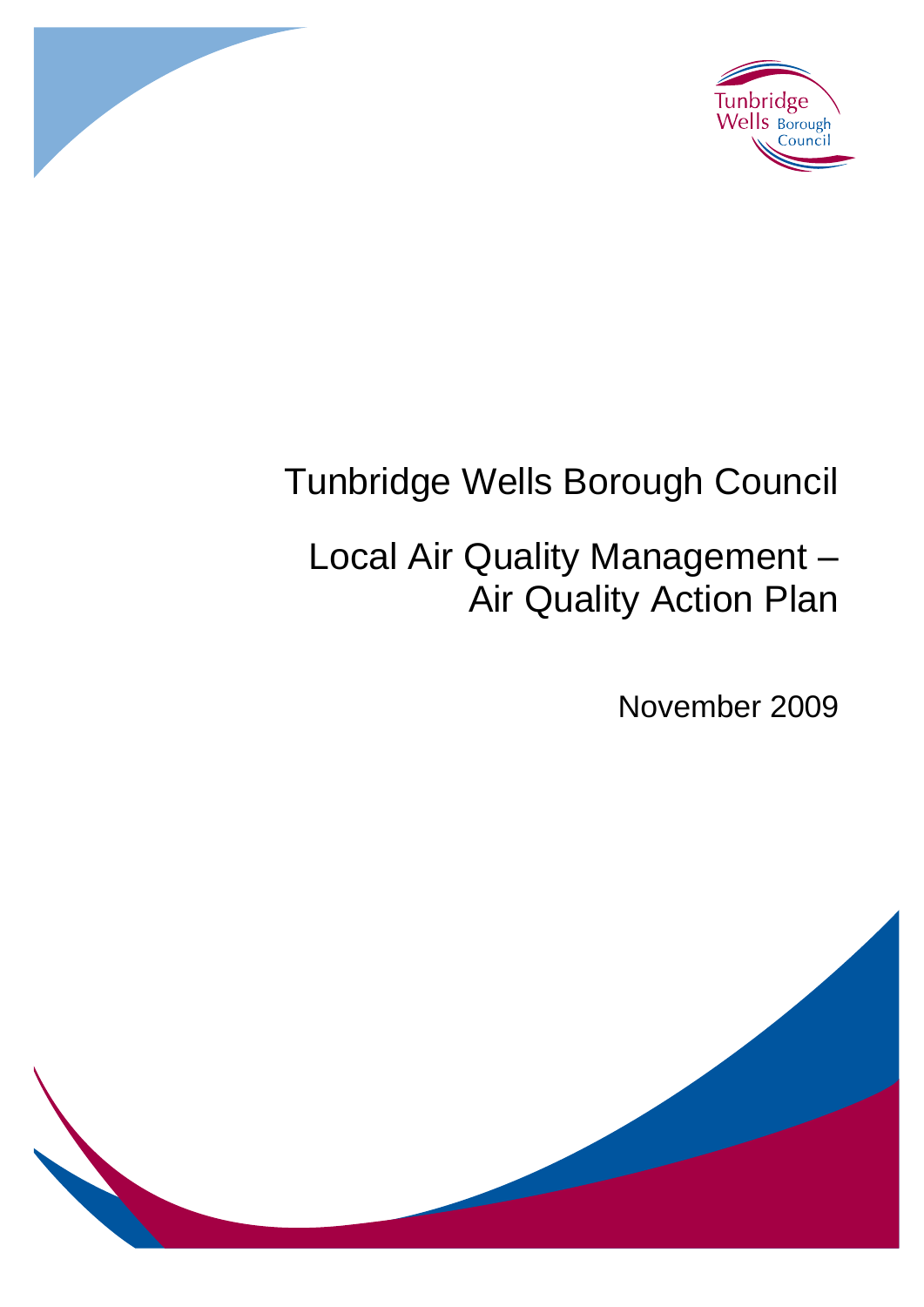



# Tunbridge Wells Borough Council

# Local Air Quality Management – Air Quality Action Plan

November 2009

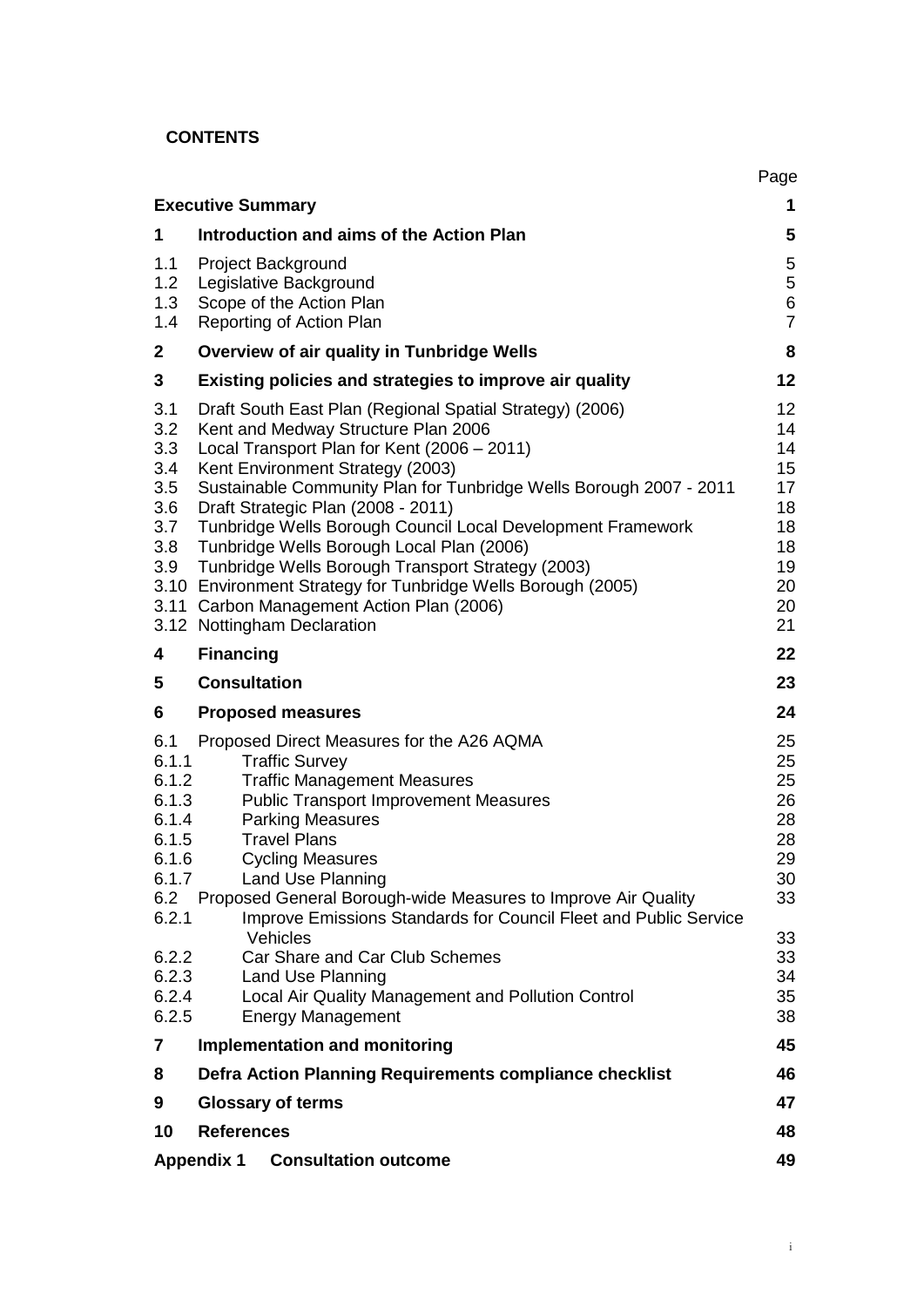# **CONTENTS**

|                                                                                    |                                                                                                                                                                                                                                                                                                                                                                                                                                                                                                                                                                                                             | Page                                                                 |
|------------------------------------------------------------------------------------|-------------------------------------------------------------------------------------------------------------------------------------------------------------------------------------------------------------------------------------------------------------------------------------------------------------------------------------------------------------------------------------------------------------------------------------------------------------------------------------------------------------------------------------------------------------------------------------------------------------|----------------------------------------------------------------------|
|                                                                                    | <b>Executive Summary</b>                                                                                                                                                                                                                                                                                                                                                                                                                                                                                                                                                                                    | 1                                                                    |
| 1                                                                                  | Introduction and aims of the Action Plan                                                                                                                                                                                                                                                                                                                                                                                                                                                                                                                                                                    | 5                                                                    |
| 1.1<br>1.2<br>1.3<br>1.4                                                           | Project Background<br>Legislative Background<br>Scope of the Action Plan<br>Reporting of Action Plan                                                                                                                                                                                                                                                                                                                                                                                                                                                                                                        | $\sqrt{5}$<br>5<br>6<br>$\overline{7}$                               |
| $\mathbf{2}$                                                                       | Overview of air quality in Tunbridge Wells                                                                                                                                                                                                                                                                                                                                                                                                                                                                                                                                                                  | 8                                                                    |
| 3                                                                                  | Existing policies and strategies to improve air quality                                                                                                                                                                                                                                                                                                                                                                                                                                                                                                                                                     | 12                                                                   |
| 3.1<br>3.2<br>3.3<br>3.4<br>3.5<br>3.6<br>3.7<br>3.8<br>3.9                        | Draft South East Plan (Regional Spatial Strategy) (2006)<br>Kent and Medway Structure Plan 2006<br>Local Transport Plan for Kent (2006 - 2011)<br>Kent Environment Strategy (2003)<br>Sustainable Community Plan for Tunbridge Wells Borough 2007 - 2011<br>Draft Strategic Plan (2008 - 2011)<br>Tunbridge Wells Borough Council Local Development Framework<br>Tunbridge Wells Borough Local Plan (2006)<br>Tunbridge Wells Borough Transport Strategy (2003)<br>3.10 Environment Strategy for Tunbridge Wells Borough (2005)<br>3.11 Carbon Management Action Plan (2006)<br>3.12 Nottingham Declaration | 12<br>14<br>14<br>15<br>17<br>18<br>18<br>18<br>19<br>20<br>20<br>21 |
| 4                                                                                  | <b>Financing</b>                                                                                                                                                                                                                                                                                                                                                                                                                                                                                                                                                                                            | 22                                                                   |
| 5                                                                                  | <b>Consultation</b>                                                                                                                                                                                                                                                                                                                                                                                                                                                                                                                                                                                         | 23                                                                   |
| 6                                                                                  | <b>Proposed measures</b>                                                                                                                                                                                                                                                                                                                                                                                                                                                                                                                                                                                    |                                                                      |
|                                                                                    |                                                                                                                                                                                                                                                                                                                                                                                                                                                                                                                                                                                                             | 24                                                                   |
| 6.1<br>6.1.1<br>6.1.2<br>6.1.3<br>6.1.4<br>6.1.5<br>6.1.6<br>6.1.7<br>6.2<br>6.2.1 | Proposed Direct Measures for the A26 AQMA<br><b>Traffic Survey</b><br><b>Traffic Management Measures</b><br><b>Public Transport Improvement Measures</b><br><b>Parking Measures</b><br><b>Travel Plans</b><br><b>Cycling Measures</b><br><b>Land Use Planning</b><br>Proposed General Borough-wide Measures to Improve Air Quality<br>Improve Emissions Standards for Council Fleet and Public Service                                                                                                                                                                                                      | 25<br>25<br>25<br>26<br>28<br>28<br>29<br>30<br>33                   |
| 6.2.2<br>6.2.3<br>6.2.4<br>6.2.5                                                   | Vehicles<br>Car Share and Car Club Schemes<br><b>Land Use Planning</b><br>Local Air Quality Management and Pollution Control<br><b>Energy Management</b>                                                                                                                                                                                                                                                                                                                                                                                                                                                    | 33<br>33<br>34<br>35<br>38                                           |
| 7                                                                                  | <b>Implementation and monitoring</b>                                                                                                                                                                                                                                                                                                                                                                                                                                                                                                                                                                        | 45                                                                   |
| 8                                                                                  | Defra Action Planning Requirements compliance checklist                                                                                                                                                                                                                                                                                                                                                                                                                                                                                                                                                     | 46                                                                   |
| 9                                                                                  | <b>Glossary of terms</b>                                                                                                                                                                                                                                                                                                                                                                                                                                                                                                                                                                                    | 47                                                                   |
| 10                                                                                 | <b>References</b>                                                                                                                                                                                                                                                                                                                                                                                                                                                                                                                                                                                           | 48                                                                   |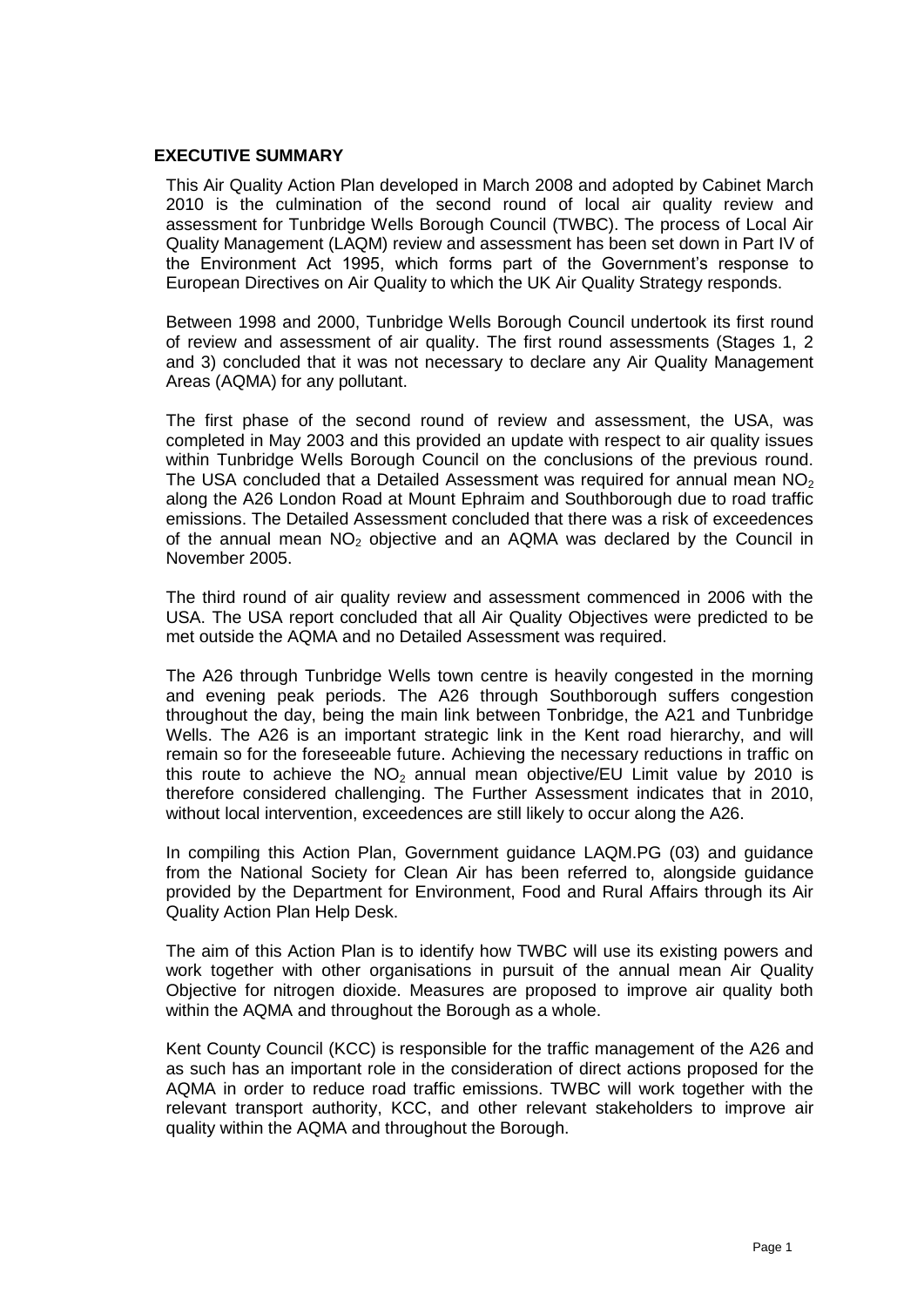#### **EXECUTIVE SUMMARY**

This Air Quality Action Plan developed in March 2008 and adopted by Cabinet March 2010 is the culmination of the second round of local air quality review and assessment for Tunbridge Wells Borough Council (TWBC). The process of Local Air Quality Management (LAQM) review and assessment has been set down in Part IV of the Environment Act 1995, which forms part of the Government"s response to European Directives on Air Quality to which the UK Air Quality Strategy responds.

Between 1998 and 2000, Tunbridge Wells Borough Council undertook its first round of review and assessment of air quality. The first round assessments (Stages 1, 2 and 3) concluded that it was not necessary to declare any Air Quality Management Areas (AQMA) for any pollutant.

The first phase of the second round of review and assessment, the USA, was completed in May 2003 and this provided an update with respect to air quality issues within Tunbridge Wells Borough Council on the conclusions of the previous round. The USA concluded that a Detailed Assessment was required for annual mean  $NO<sub>2</sub>$ along the A26 London Road at Mount Ephraim and Southborough due to road traffic emissions. The Detailed Assessment concluded that there was a risk of exceedences of the annual mean  $NO<sub>2</sub>$  objective and an AQMA was declared by the Council in November 2005.

The third round of air quality review and assessment commenced in 2006 with the USA. The USA report concluded that all Air Quality Objectives were predicted to be met outside the AQMA and no Detailed Assessment was required.

The A26 through Tunbridge Wells town centre is heavily congested in the morning and evening peak periods. The A26 through Southborough suffers congestion throughout the day, being the main link between Tonbridge, the A21 and Tunbridge Wells. The A26 is an important strategic link in the Kent road hierarchy, and will remain so for the foreseeable future. Achieving the necessary reductions in traffic on this route to achieve the  $NO<sub>2</sub>$  annual mean objective/EU Limit value by 2010 is therefore considered challenging. The Further Assessment indicates that in 2010, without local intervention, exceedences are still likely to occur along the A26.

In compiling this Action Plan, Government guidance LAQM.PG (03) and guidance from the National Society for Clean Air has been referred to, alongside guidance provided by the Department for Environment, Food and Rural Affairs through its Air Quality Action Plan Help Desk.

The aim of this Action Plan is to identify how TWBC will use its existing powers and work together with other organisations in pursuit of the annual mean Air Quality Objective for nitrogen dioxide. Measures are proposed to improve air quality both within the AQMA and throughout the Borough as a whole.

Kent County Council (KCC) is responsible for the traffic management of the A26 and as such has an important role in the consideration of direct actions proposed for the AQMA in order to reduce road traffic emissions. TWBC will work together with the relevant transport authority, KCC, and other relevant stakeholders to improve air quality within the AQMA and throughout the Borough.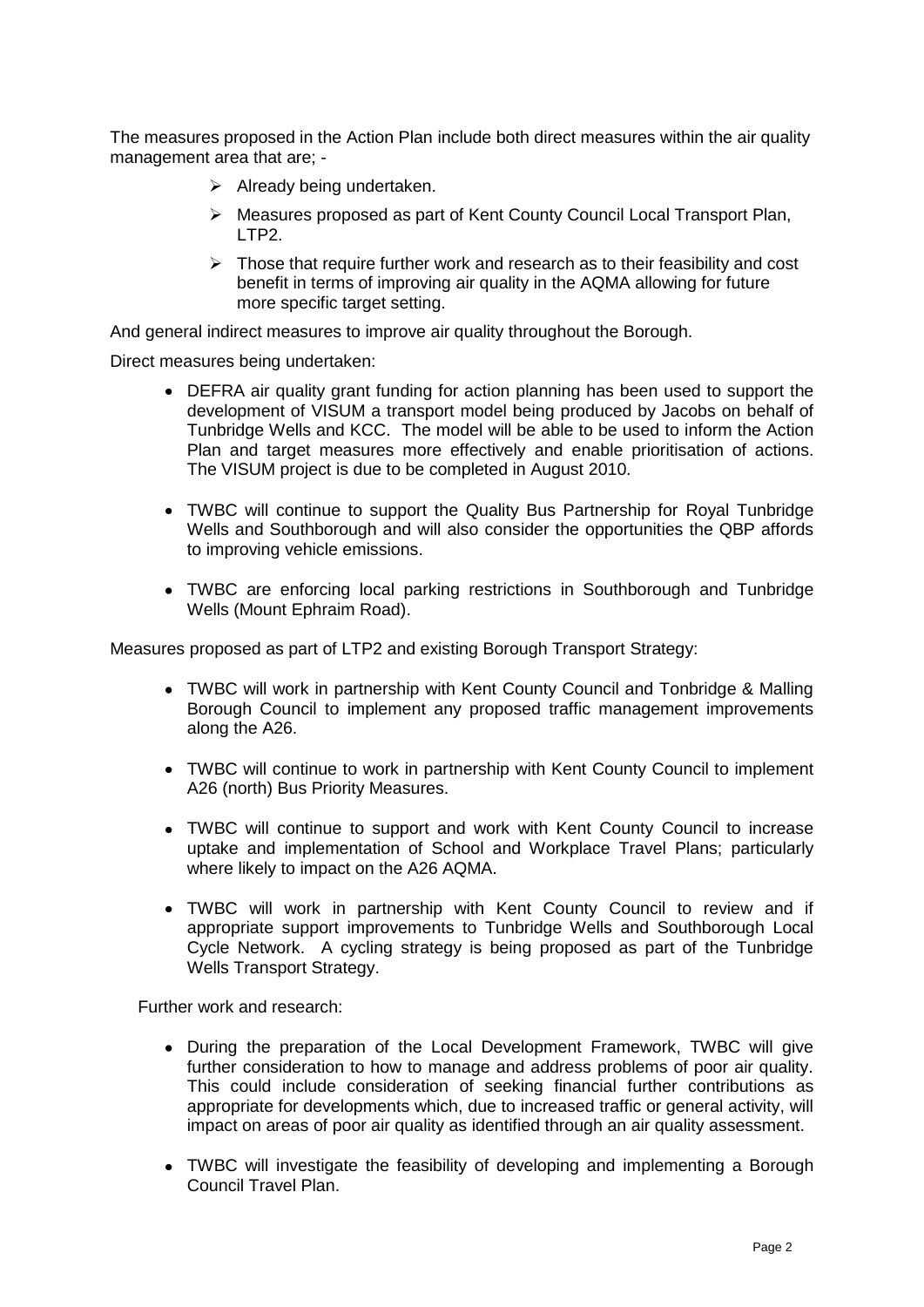The measures proposed in the Action Plan include both direct measures within the air quality management area that are; -

- $\triangleright$  Already being undertaken.
- Measures proposed as part of Kent County Council Local Transport Plan, LTP2.
- $\triangleright$  Those that require further work and research as to their feasibility and cost benefit in terms of improving air quality in the AQMA allowing for future more specific target setting.

And general indirect measures to improve air quality throughout the Borough.

Direct measures being undertaken:

- DEFRA air quality grant funding for action planning has been used to support the development of VISUM a transport model being produced by Jacobs on behalf of Tunbridge Wells and KCC. The model will be able to be used to inform the Action Plan and target measures more effectively and enable prioritisation of actions. The VISUM project is due to be completed in August 2010.
- TWBC will continue to support the Quality Bus Partnership for Royal Tunbridge Wells and Southborough and will also consider the opportunities the QBP affords to improving vehicle emissions.
- TWBC are enforcing local parking restrictions in Southborough and Tunbridge Wells (Mount Ephraim Road).

Measures proposed as part of LTP2 and existing Borough Transport Strategy:

- TWBC will work in partnership with Kent County Council and Tonbridge & Malling Borough Council to implement any proposed traffic management improvements along the A26.
- TWBC will continue to work in partnership with Kent County Council to implement A26 (north) Bus Priority Measures.
- TWBC will continue to support and work with Kent County Council to increase uptake and implementation of School and Workplace Travel Plans; particularly where likely to impact on the A26 AQMA.
- TWBC will work in partnership with Kent County Council to review and if appropriate support improvements to Tunbridge Wells and Southborough Local Cycle Network. A cycling strategy is being proposed as part of the Tunbridge Wells Transport Strategy.

Further work and research:

- During the preparation of the Local Development Framework, TWBC will give further consideration to how to manage and address problems of poor air quality. This could include consideration of seeking financial further contributions as appropriate for developments which, due to increased traffic or general activity, will impact on areas of poor air quality as identified through an air quality assessment.
- TWBC will investigate the feasibility of developing and implementing a Borough Council Travel Plan.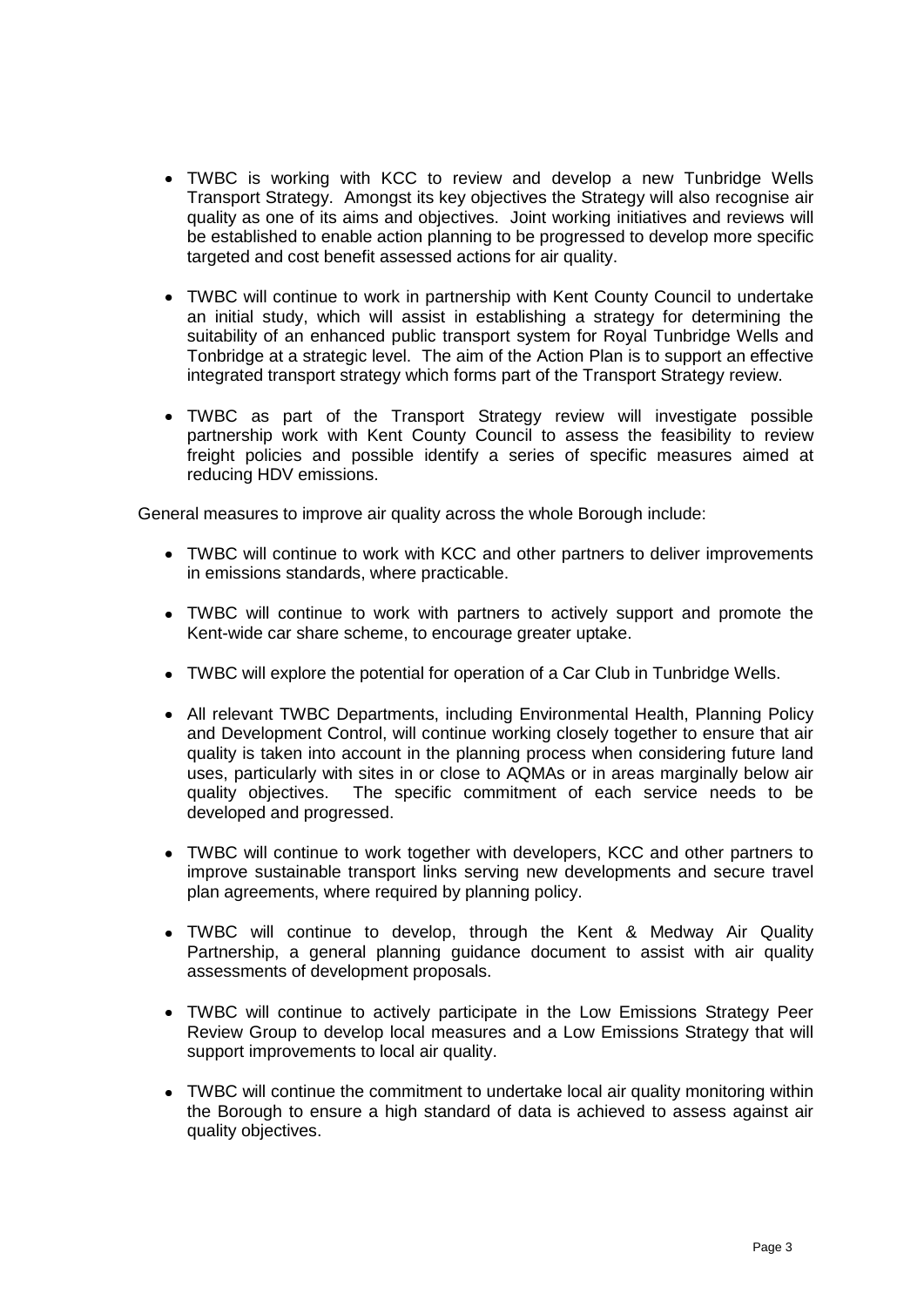- TWBC is working with KCC to review and develop a new Tunbridge Wells Transport Strategy. Amongst its key objectives the Strategy will also recognise air quality as one of its aims and objectives. Joint working initiatives and reviews will be established to enable action planning to be progressed to develop more specific targeted and cost benefit assessed actions for air quality.
- TWBC will continue to work in partnership with Kent County Council to undertake an initial study, which will assist in establishing a strategy for determining the suitability of an enhanced public transport system for Royal Tunbridge Wells and Tonbridge at a strategic level. The aim of the Action Plan is to support an effective integrated transport strategy which forms part of the Transport Strategy review.
- TWBC as part of the Transport Strategy review will investigate possible partnership work with Kent County Council to assess the feasibility to review freight policies and possible identify a series of specific measures aimed at reducing HDV emissions.

General measures to improve air quality across the whole Borough include:

- TWBC will continue to work with KCC and other partners to deliver improvements in emissions standards, where practicable.
- TWBC will continue to work with partners to actively support and promote the Kent-wide car share scheme, to encourage greater uptake.
- TWBC will explore the potential for operation of a Car Club in Tunbridge Wells.
- All relevant TWBC Departments, including Environmental Health, Planning Policy and Development Control, will continue working closely together to ensure that air quality is taken into account in the planning process when considering future land uses, particularly with sites in or close to AQMAs or in areas marginally below air quality objectives. The specific commitment of each service needs to be developed and progressed.
- TWBC will continue to work together with developers, KCC and other partners to improve sustainable transport links serving new developments and secure travel plan agreements, where required by planning policy.
- TWBC will continue to develop, through the Kent & Medway Air Quality Partnership, a general planning guidance document to assist with air quality assessments of development proposals.
- TWBC will continue to actively participate in the Low Emissions Strategy Peer Review Group to develop local measures and a Low Emissions Strategy that will support improvements to local air quality.
- TWBC will continue the commitment to undertake local air quality monitoring within the Borough to ensure a high standard of data is achieved to assess against air quality objectives.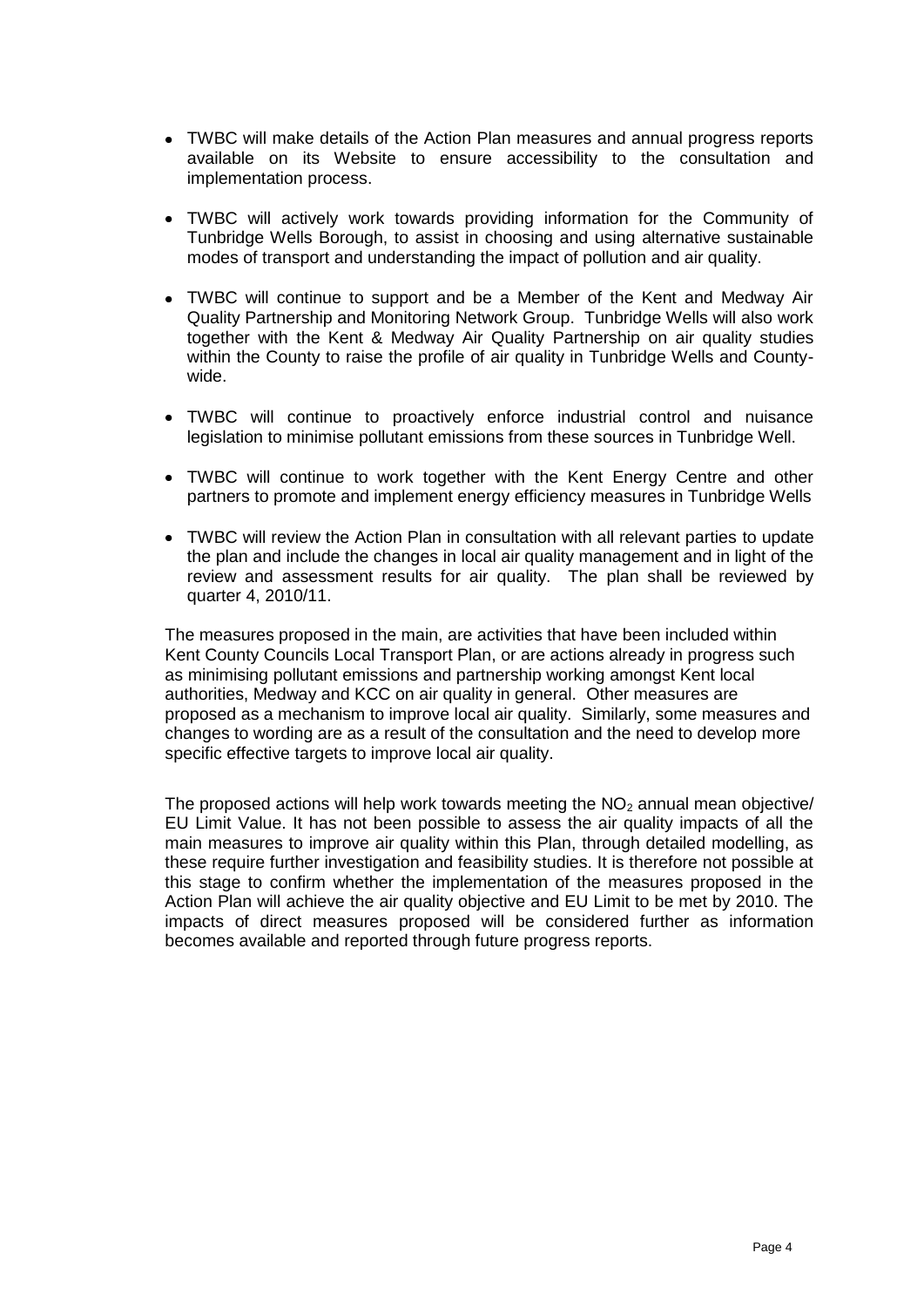- TWBC will make details of the Action Plan measures and annual progress reports available on its Website to ensure accessibility to the consultation and implementation process.
- TWBC will actively work towards providing information for the Community of Tunbridge Wells Borough, to assist in choosing and using alternative sustainable modes of transport and understanding the impact of pollution and air quality.
- TWBC will continue to support and be a Member of the Kent and Medway Air Quality Partnership and Monitoring Network Group. Tunbridge Wells will also work together with the Kent & Medway Air Quality Partnership on air quality studies within the County to raise the profile of air quality in Tunbridge Wells and Countywide.
- TWBC will continue to proactively enforce industrial control and nuisance legislation to minimise pollutant emissions from these sources in Tunbridge Well.
- TWBC will continue to work together with the Kent Energy Centre and other partners to promote and implement energy efficiency measures in Tunbridge Wells
- TWBC will review the Action Plan in consultation with all relevant parties to update the plan and include the changes in local air quality management and in light of the review and assessment results for air quality. The plan shall be reviewed by quarter 4, 2010/11.

The measures proposed in the main, are activities that have been included within Kent County Councils Local Transport Plan, or are actions already in progress such as minimising pollutant emissions and partnership working amongst Kent local authorities, Medway and KCC on air quality in general. Other measures are proposed as a mechanism to improve local air quality. Similarly, some measures and changes to wording are as a result of the consultation and the need to develop more specific effective targets to improve local air quality.

The proposed actions will help work towards meeting the  $NO<sub>2</sub>$  annual mean objective/ EU Limit Value. It has not been possible to assess the air quality impacts of all the main measures to improve air quality within this Plan, through detailed modelling, as these require further investigation and feasibility studies. It is therefore not possible at this stage to confirm whether the implementation of the measures proposed in the Action Plan will achieve the air quality objective and EU Limit to be met by 2010. The impacts of direct measures proposed will be considered further as information becomes available and reported through future progress reports.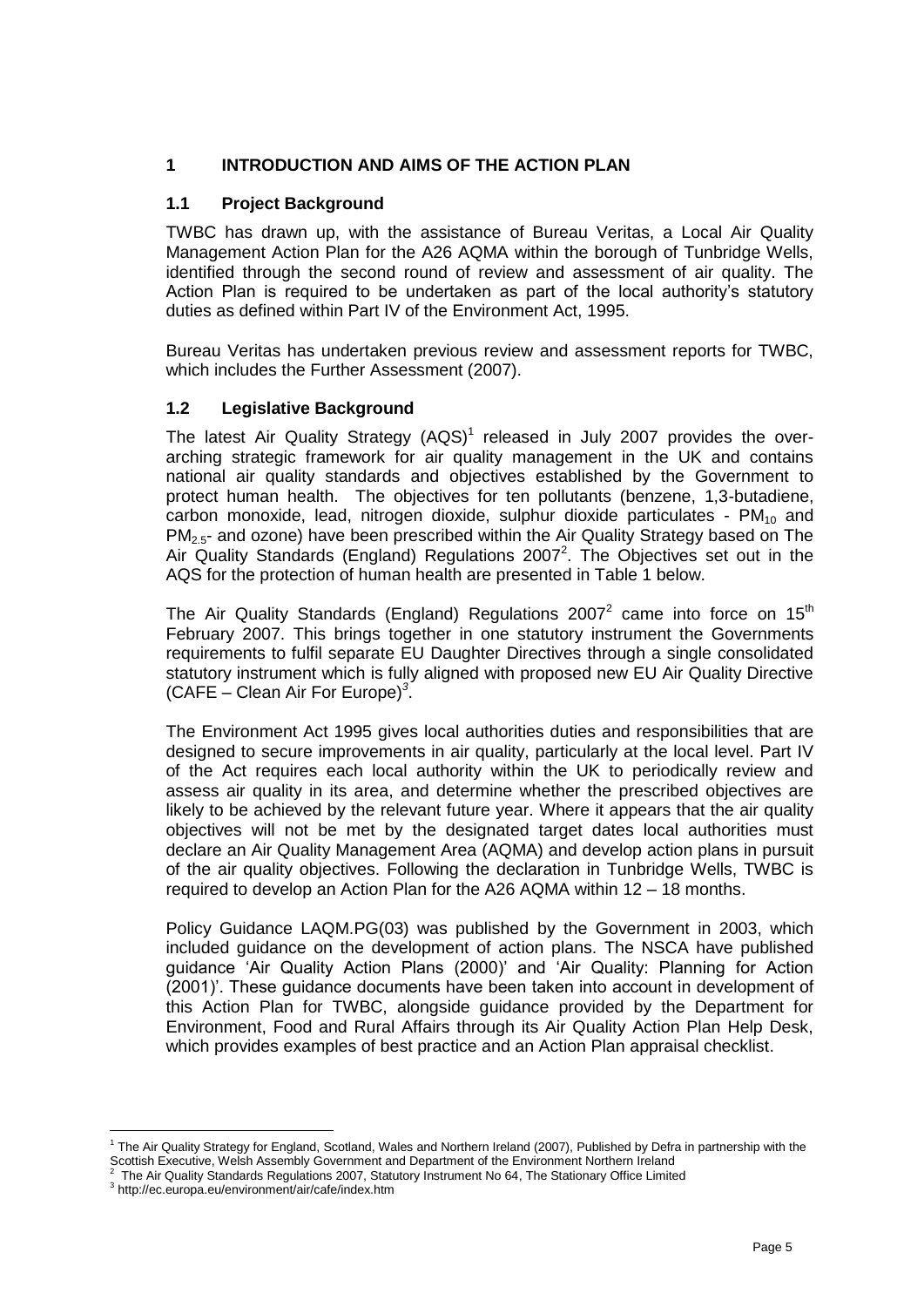# **1 INTRODUCTION AND AIMS OF THE ACTION PLAN**

# **1.1 Project Background**

TWBC has drawn up, with the assistance of Bureau Veritas, a Local Air Quality Management Action Plan for the A26 AQMA within the borough of Tunbridge Wells, identified through the second round of review and assessment of air quality. The Action Plan is required to be undertaken as part of the local authority's statutory duties as defined within Part IV of the Environment Act, 1995.

Bureau Veritas has undertaken previous review and assessment reports for TWBC, which includes the Further Assessment (2007).

# **1.2 Legislative Background**

The latest Air Quality Strategy  $(AQS)^1$  released in July 2007 provides the overarching strategic framework for air quality management in the UK and contains national air quality standards and objectives established by the Government to protect human health. The objectives for ten pollutants (benzene, 1,3-butadiene, carbon monoxide, lead, nitrogen dioxide, sulphur dioxide particulates -  $PM_{10}$  and PM2.5- and ozone) have been prescribed within the Air Quality Strategy based on The Air Quality Standards (England) Regulations 2007<sup>2</sup>. The Objectives set out in the AQS for the protection of human health are presented in Table 1 below.

<span id="page-6-0"></span>The Air Quality Standards (England) Regulations 200[7](#page-6-0)<sup>2</sup> came into force on 15<sup>th</sup> February 2007. This brings together in one statutory instrument the Governments requirements to fulfil separate EU Daughter Directives through a single consolidated statutory instrument which is fully aligned with proposed new EU Air Quality Directive (CAFE – Clean Air For Europe)*<sup>3</sup>* .

The Environment Act 1995 gives local authorities duties and responsibilities that are designed to secure improvements in air quality, particularly at the local level. Part IV of the Act requires each local authority within the UK to periodically review and assess air quality in its area, and determine whether the prescribed objectives are likely to be achieved by the relevant future year. Where it appears that the air quality objectives will not be met by the designated target dates local authorities must declare an Air Quality Management Area (AQMA) and develop action plans in pursuit of the air quality objectives. Following the declaration in Tunbridge Wells, TWBC is required to develop an Action Plan for the A26 AQMA within 12 – 18 months.

Policy Guidance LAQM.PG(03) was published by the Government in 2003, which included guidance on the development of action plans. The NSCA have published guidance "Air Quality Action Plans (2000)" and "Air Quality: Planning for Action (2001)". These guidance documents have been taken into account in development of this Action Plan for TWBC, alongside guidance provided by the Department for Environment, Food and Rural Affairs through its Air Quality Action Plan Help Desk, which provides examples of best practice and an Action Plan appraisal checklist.

 1 The Air Quality Strategy for England, Scotland, Wales and Northern Ireland (2007), Published by Defra in partnership with the Scottish Executive, Welsh Assembly Government and Department of the Environment Northern Ireland

<sup>2</sup> The Air Quality Standards Regulations 2007, Statutory Instrument No 64, The Stationary Office Limited

<sup>3</sup> http://ec.europa.eu/environment/air/cafe/index.htm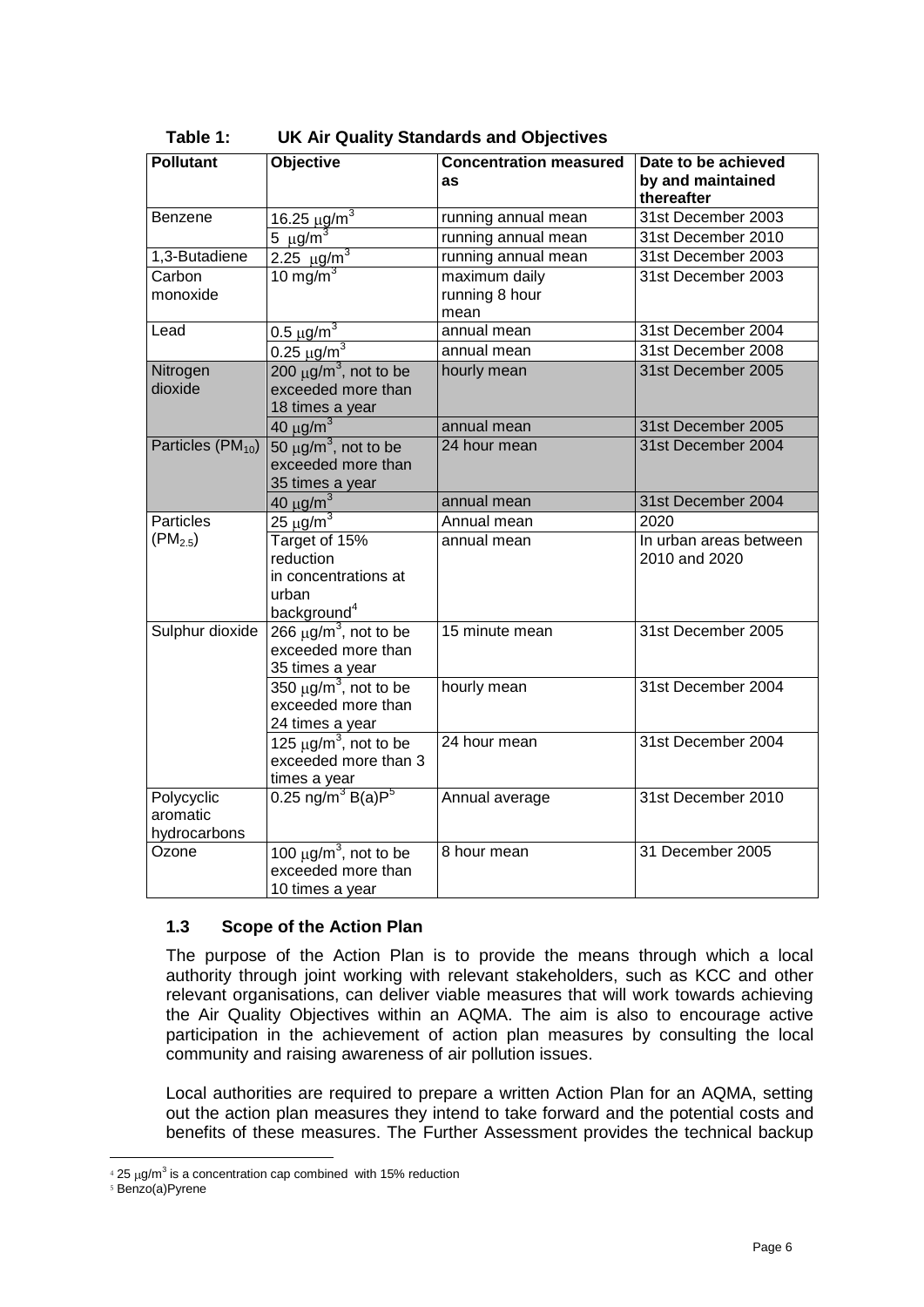| <b>Pollutant</b>                       | <b>Objective</b>                                                                       | <b>Concentration measured</b><br><b>as</b> | Date to be achieved<br>by and maintained<br>thereafter |
|----------------------------------------|----------------------------------------------------------------------------------------|--------------------------------------------|--------------------------------------------------------|
| Benzene                                | <u>16.25 μg/m<sup>3</sup></u><br>5 μg/m <sup>3</sup>                                   | running annual mean                        | 31st December 2003                                     |
|                                        |                                                                                        | running annual mean                        | 31st December 2010                                     |
| 1,3-Butadiene                          | $2.25 \mu g/m^3$                                                                       | running annual mean                        | 31st December 2003                                     |
| Carbon<br>monoxide                     | 10 mg/m $3$                                                                            | maximum daily<br>running 8 hour<br>mean    | 31st December 2003                                     |
| Lead                                   | $0.5 \mu\overline{\text{g/m}^3}$                                                       | annual mean                                | 31st December 2004                                     |
|                                        | $0.25 \mu g/m^3$                                                                       | annual mean                                | 31st December 2008                                     |
| Nitrogen<br>dioxide                    | 200 $\mu$ g/m <sup>3</sup> , not to be<br>exceeded more than<br>18 times a year        | hourly mean                                | 31st December 2005                                     |
|                                        | $40 \mu g/m^3$                                                                         | annual mean                                | 31st December 2005                                     |
| Particles $(PM_{10})$                  | $50 \mu g/m^3$ , not to be<br>exceeded more than<br>35 times a year                    | 24 hour mean                               | 31st December 2004                                     |
|                                        | 40 $\mu$ g/m <sup>3</sup>                                                              | annual mean                                | 31st December 2004                                     |
| <b>Particles</b>                       | $25 \text{ µg/m}^3$                                                                    | Annual mean                                | 2020                                                   |
| $(PM_{2.5})$                           | Target of 15%<br>reduction<br>in concentrations at<br>urban<br>background <sup>4</sup> | annual mean                                | In urban areas between<br>2010 and 2020                |
| Sulphur dioxide                        | $266 \mu g/m^3$ , not to be<br>exceeded more than<br>35 times a year                   | 15 minute mean                             | 31st December 2005                                     |
|                                        | $350 \mu g/m^3$ , not to be<br>exceeded more than<br>24 times a year                   | hourly mean                                | 31st December 2004                                     |
|                                        | 125 $\mu$ g/m <sup>3</sup> , not to be<br>exceeded more than 3<br>times a year         | 24 hour mean                               | 31st December 2004                                     |
| Polycyclic<br>aromatic<br>hydrocarbons | $0.25 \,\text{ng/m}^3 \,\text{B(a)P}^5$                                                | Annual average                             | 31st December 2010                                     |
| Ozone                                  | 100 $\mu$ g/m <sup>3</sup> , not to be<br>exceeded more than<br>10 times a year        | 8 hour mean                                | 31 December 2005                                       |

# **Table 1: UK Air Quality Standards and Objectives**

## **1.3 Scope of the Action Plan**

The purpose of the Action Plan is to provide the means through which a local authority through joint working with relevant stakeholders, such as KCC and other relevant organisations, can deliver viable measures that will work towards achieving the Air Quality Objectives within an AQMA. The aim is also to encourage active participation in the achievement of action plan measures by consulting the local community and raising awareness of air pollution issues.

Local authorities are required to prepare a written Action Plan for an AQMA, setting out the action plan measures they intend to take forward and the potential costs and benefits of these measures. The Further Assessment provides the technical backup

 $\overline{a}$ 

 $425 \,\mu$ g/m<sup>3</sup> is a concentration cap combined with 15% reduction

<sup>5</sup> Benzo(a)Pyrene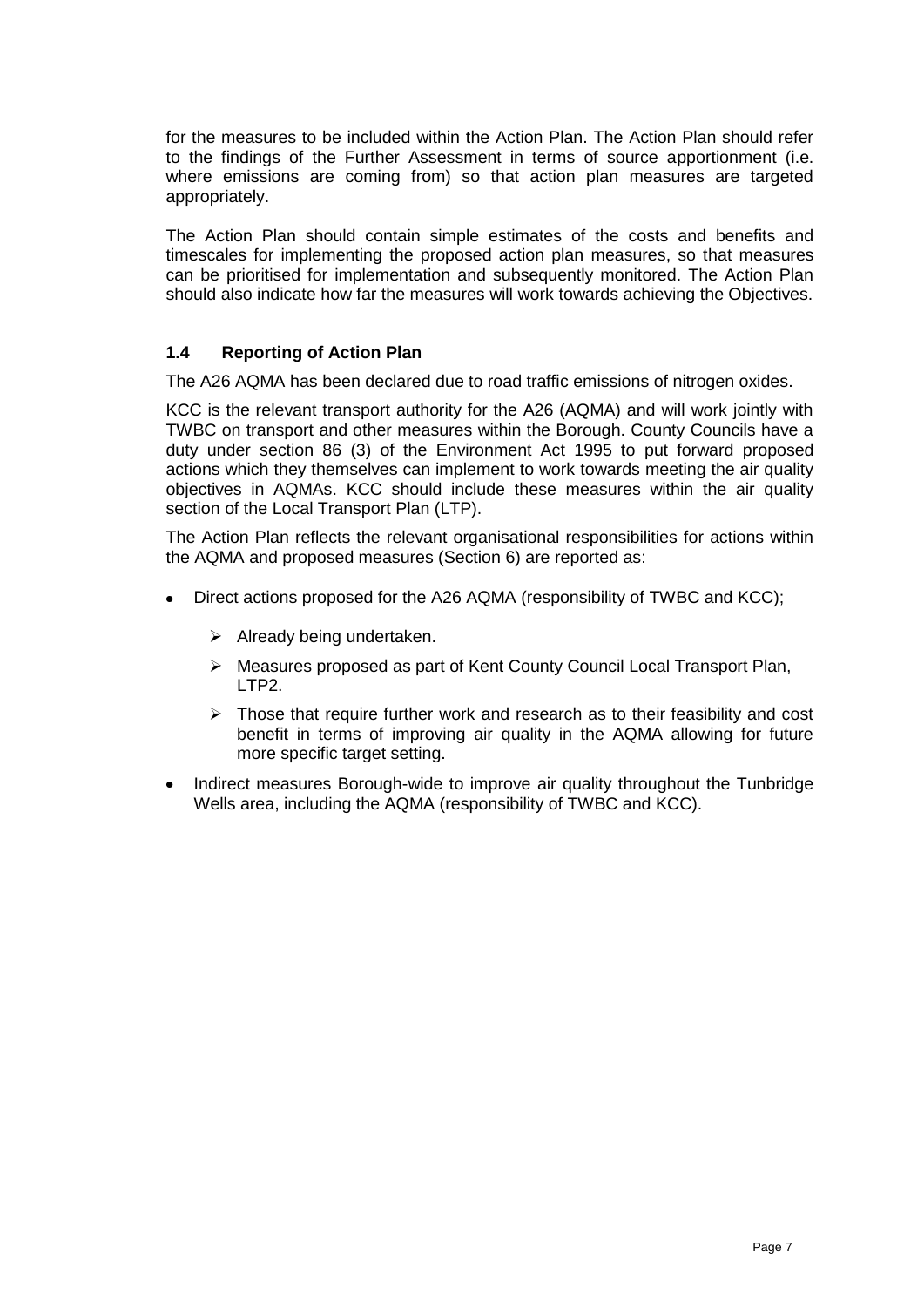for the measures to be included within the Action Plan. The Action Plan should refer to the findings of the Further Assessment in terms of source apportionment (i.e. where emissions are coming from) so that action plan measures are targeted appropriately.

The Action Plan should contain simple estimates of the costs and benefits and timescales for implementing the proposed action plan measures, so that measures can be prioritised for implementation and subsequently monitored. The Action Plan should also indicate how far the measures will work towards achieving the Objectives.

# **1.4 Reporting of Action Plan**

The A26 AQMA has been declared due to road traffic emissions of nitrogen oxides.

KCC is the relevant transport authority for the A26 (AQMA) and will work jointly with TWBC on transport and other measures within the Borough. County Councils have a duty under section 86 (3) of the Environment Act 1995 to put forward proposed actions which they themselves can implement to work towards meeting the air quality objectives in AQMAs. KCC should include these measures within the air quality section of the Local Transport Plan (LTP).

The Action Plan reflects the relevant organisational responsibilities for actions within the AQMA and proposed measures (Section 6) are reported as:

- Direct actions proposed for the A26 AQMA (responsibility of TWBC and KCC);
	- $\triangleright$  Already being undertaken.
	- $\triangleright$  Measures proposed as part of Kent County Council Local Transport Plan, LTP2.
	- $\triangleright$  Those that require further work and research as to their feasibility and cost benefit in terms of improving air quality in the AQMA allowing for future more specific target setting.
- Indirect measures Borough-wide to improve air quality throughout the Tunbridge Wells area, including the AQMA (responsibility of TWBC and KCC).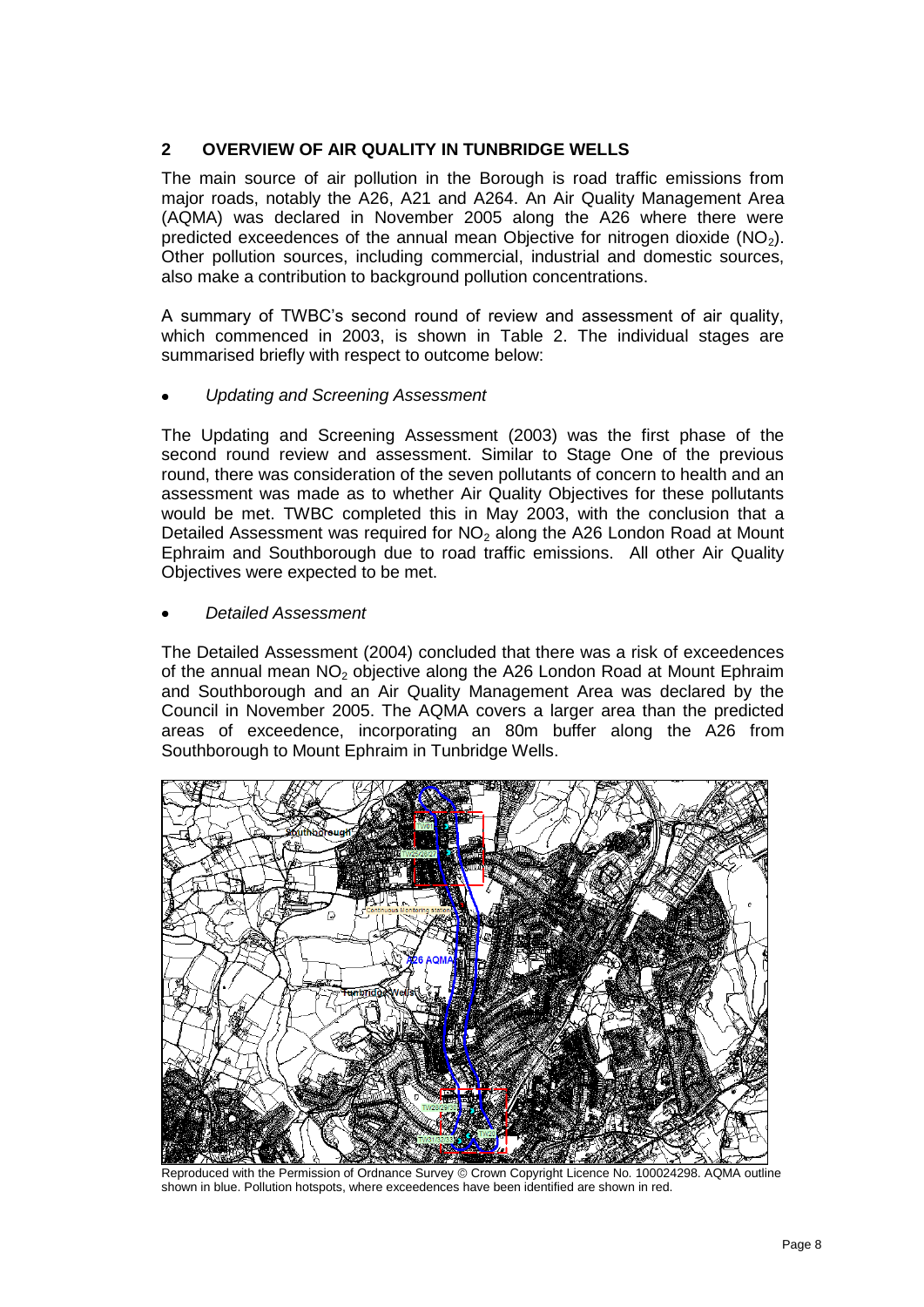# **2 OVERVIEW OF AIR QUALITY IN TUNBRIDGE WELLS**

The main source of air pollution in the Borough is road traffic emissions from major roads, notably the A26, A21 and A264. An Air Quality Management Area (AQMA) was declared in November 2005 along the A26 where there were predicted exceedences of the annual mean Objective for nitrogen dioxide  $(NO<sub>2</sub>)$ . Other pollution sources, including commercial, industrial and domestic sources, also make a contribution to background pollution concentrations.

A summary of TWBC"s second round of review and assessment of air quality, which commenced in 2003, is shown in Table 2. The individual stages are summarised briefly with respect to outcome below:

## *Updating and Screening Assessment*

The Updating and Screening Assessment (2003) was the first phase of the second round review and assessment. Similar to Stage One of the previous round, there was consideration of the seven pollutants of concern to health and an assessment was made as to whether Air Quality Objectives for these pollutants would be met. TWBC completed this in May 2003, with the conclusion that a Detailed Assessment was required for  $NO<sub>2</sub>$  along the A26 London Road at Mount Ephraim and Southborough due to road traffic emissions. All other Air Quality Objectives were expected to be met.

#### *Detailed Assessment*

The Detailed Assessment (2004) concluded that there was a risk of exceedences of the annual mean NO<sub>2</sub> objective along the A26 London Road at Mount Ephraim and Southborough and an Air Quality Management Area was declared by the Council in November 2005. The AQMA covers a larger area than the predicted areas of exceedence, incorporating an 80m buffer along the A26 from Southborough to Mount Ephraim in Tunbridge Wells.



Reproduced with the Permission of Ordnance Survey © Crown Copyright Licence No. 100024298. AQMA outline shown in blue. Pollution hotspots, where exceedences have been identified are shown in red.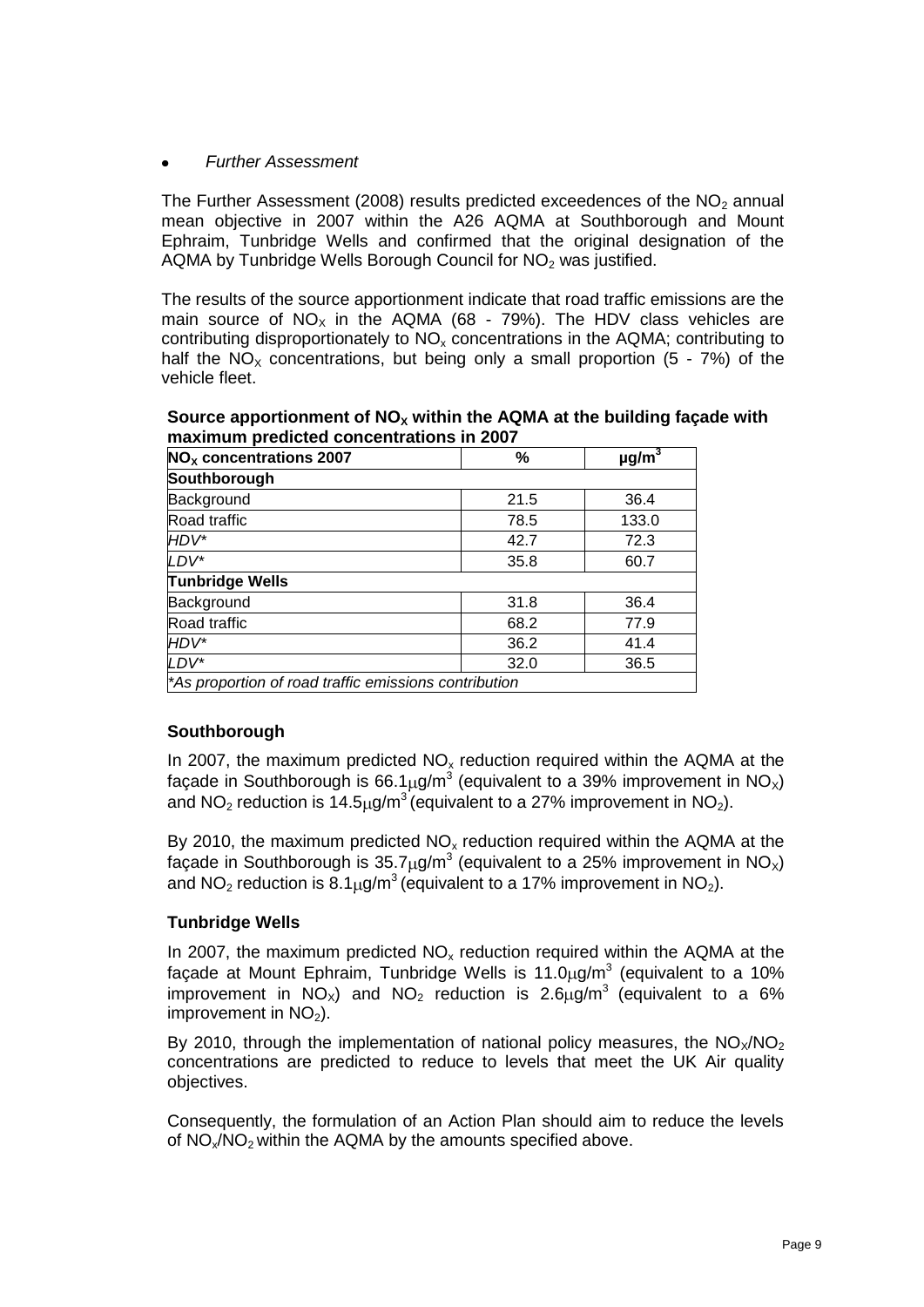## *Further Assessment*

The Further Assessment (2008) results predicted exceedences of the NO<sub>2</sub> annual mean objective in 2007 within the A26 AQMA at Southborough and Mount Ephraim, Tunbridge Wells and confirmed that the original designation of the AQMA by Tunbridge Wells Borough Council for  $NO<sub>2</sub>$  was justified.

The results of the source apportionment indicate that road traffic emissions are the main source of  $NO_x$  in the AQMA (68 - 79%). The HDV class vehicles are contributing disproportionately to NO<sub>x</sub> concentrations in the AQMA; contributing to half the  $NO<sub>x</sub>$  concentrations, but being only a small proportion (5 - 7%) of the vehicle fleet.

| %            | $\mu$ g/m <sup>3</sup>                                |  |  |  |  |  |  |  |
|--------------|-------------------------------------------------------|--|--|--|--|--|--|--|
| Southborough |                                                       |  |  |  |  |  |  |  |
| 21.5         | 36.4                                                  |  |  |  |  |  |  |  |
| 78.5         | 133.0                                                 |  |  |  |  |  |  |  |
| 42.7         | 72.3                                                  |  |  |  |  |  |  |  |
| 35.8         | 60.7                                                  |  |  |  |  |  |  |  |
|              |                                                       |  |  |  |  |  |  |  |
| 31.8         | 36.4                                                  |  |  |  |  |  |  |  |
| 68.2         | 77.9                                                  |  |  |  |  |  |  |  |
| 36.2         | 41.4                                                  |  |  |  |  |  |  |  |
| 32.0         | 36.5                                                  |  |  |  |  |  |  |  |
|              | *As proportion of road traffic emissions contribution |  |  |  |  |  |  |  |

**Source apportionment of NO<sup>X</sup> within the AQMA at the building façade with maximum predicted concentrations in 2007**

## **Southborough**

In 2007, the maximum predicted  $NO<sub>x</sub>$  reduction required within the AQMA at the façade in Southborough is 66.1µg/m<sup>3</sup> (equivalent to a 39% improvement in NO<sub>x</sub>) and NO<sub>2</sub> reduction is 14.5 $\mu$ g/m<sup>3</sup> (equivalent to a 27% improvement in NO<sub>2</sub>).

By 2010, the maximum predicted  $NO<sub>x</sub>$  reduction required within the AQMA at the façade in Southborough is 35.7µg/m<sup>3</sup> (equivalent to a 25% improvement in NO<sub>X</sub>) and NO<sub>2</sub> reduction is  $8.1<sub>u</sub>q/m<sup>3</sup>$  (equivalent to a 17% improvement in NO<sub>2</sub>).

## **Tunbridge Wells**

In 2007, the maximum predicted  $NO<sub>x</sub>$  reduction required within the AQMA at the façade at Mount Ephraim, Tunbridge Wells is 11.0 $\mu$ g/m<sup>3</sup> (equivalent to a 10% improvement in  $N_{\text{Ox}}$ ) and  $N_{\text{Oz}}$  reduction is 2.6 $\mu$ g/m<sup>3</sup> (equivalent to a 6% improvement in  $NO<sub>2</sub>$ ).

By 2010, through the implementation of national policy measures, the  $NO_{\chi}/NO_{2}$ concentrations are predicted to reduce to levels that meet the UK Air quality objectives.

Consequently, the formulation of an Action Plan should aim to reduce the levels of NO<sub>x</sub>/NO<sub>2</sub> within the AQMA by the amounts specified above.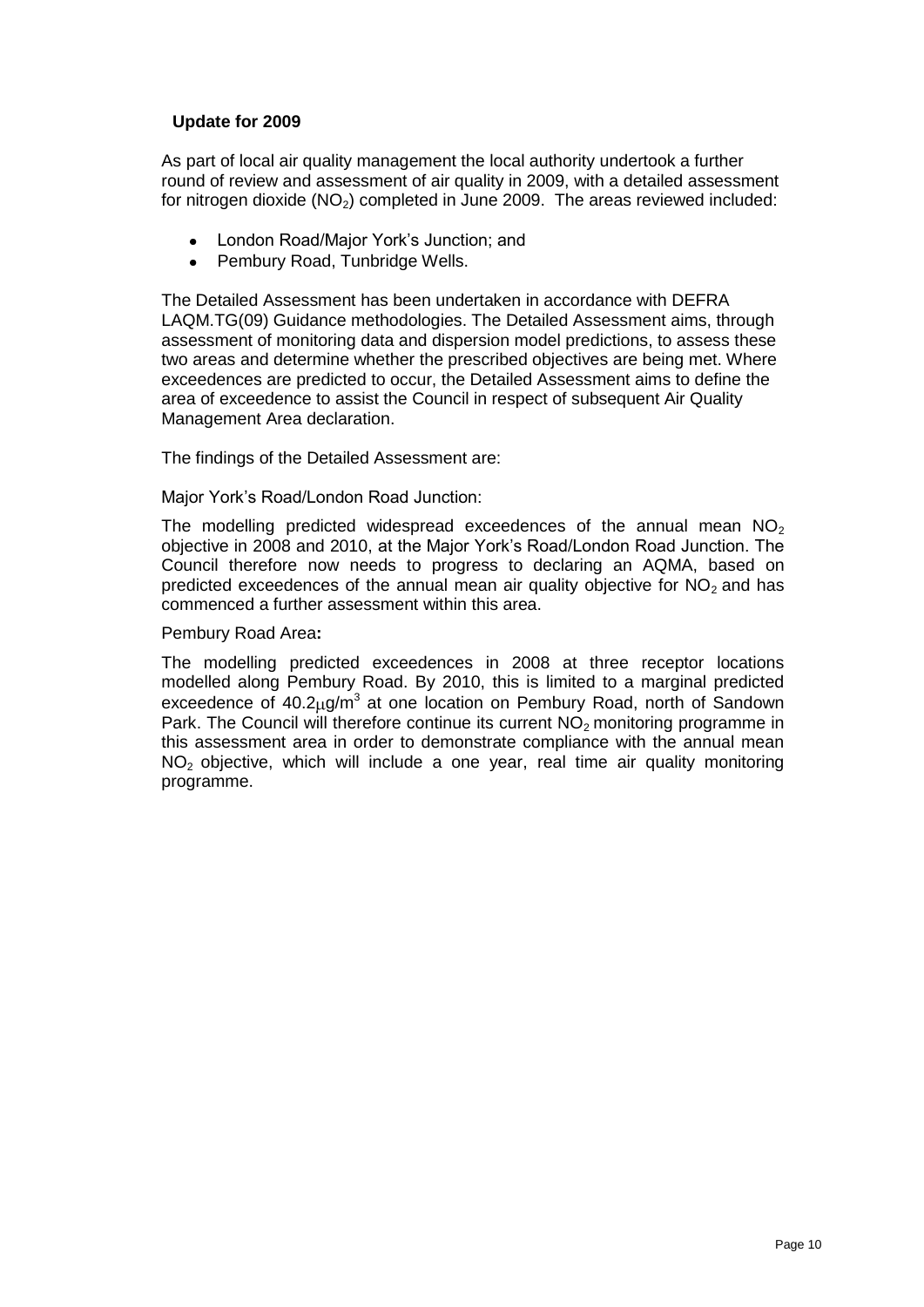# **Update for 2009**

As part of local air quality management the local authority undertook a further round of review and assessment of air quality in 2009, with a detailed assessment for nitrogen dioxide  $(NO<sub>2</sub>)$  completed in June 2009. The areas reviewed included:

- London Road/Major York"s Junction; and
- Pembury Road, Tunbridge Wells.

The Detailed Assessment has been undertaken in accordance with DEFRA LAQM.TG(09) Guidance methodologies. The Detailed Assessment aims, through assessment of monitoring data and dispersion model predictions, to assess these two areas and determine whether the prescribed objectives are being met. Where exceedences are predicted to occur, the Detailed Assessment aims to define the area of exceedence to assist the Council in respect of subsequent Air Quality Management Area declaration.

The findings of the Detailed Assessment are:

Major York"s Road/London Road Junction:

The modelling predicted widespread exceedences of the annual mean  $NO<sub>2</sub>$ objective in 2008 and 2010, at the Major York"s Road/London Road Junction. The Council therefore now needs to progress to declaring an AQMA, based on predicted exceedences of the annual mean air quality objective for  $NO<sub>2</sub>$  and has commenced a further assessment within this area.

Pembury Road Area**:**

The modelling predicted exceedences in 2008 at three receptor locations modelled along Pembury Road. By 2010, this is limited to a marginal predicted exceedence of  $40.2 \mu g/m^3$  at one location on Pembury Road, north of Sandown Park. The Council will therefore continue its current  $NQ<sub>2</sub>$  monitoring programme in this assessment area in order to demonstrate compliance with the annual mean NO2 objective, which will include a one year, real time air quality monitoring programme.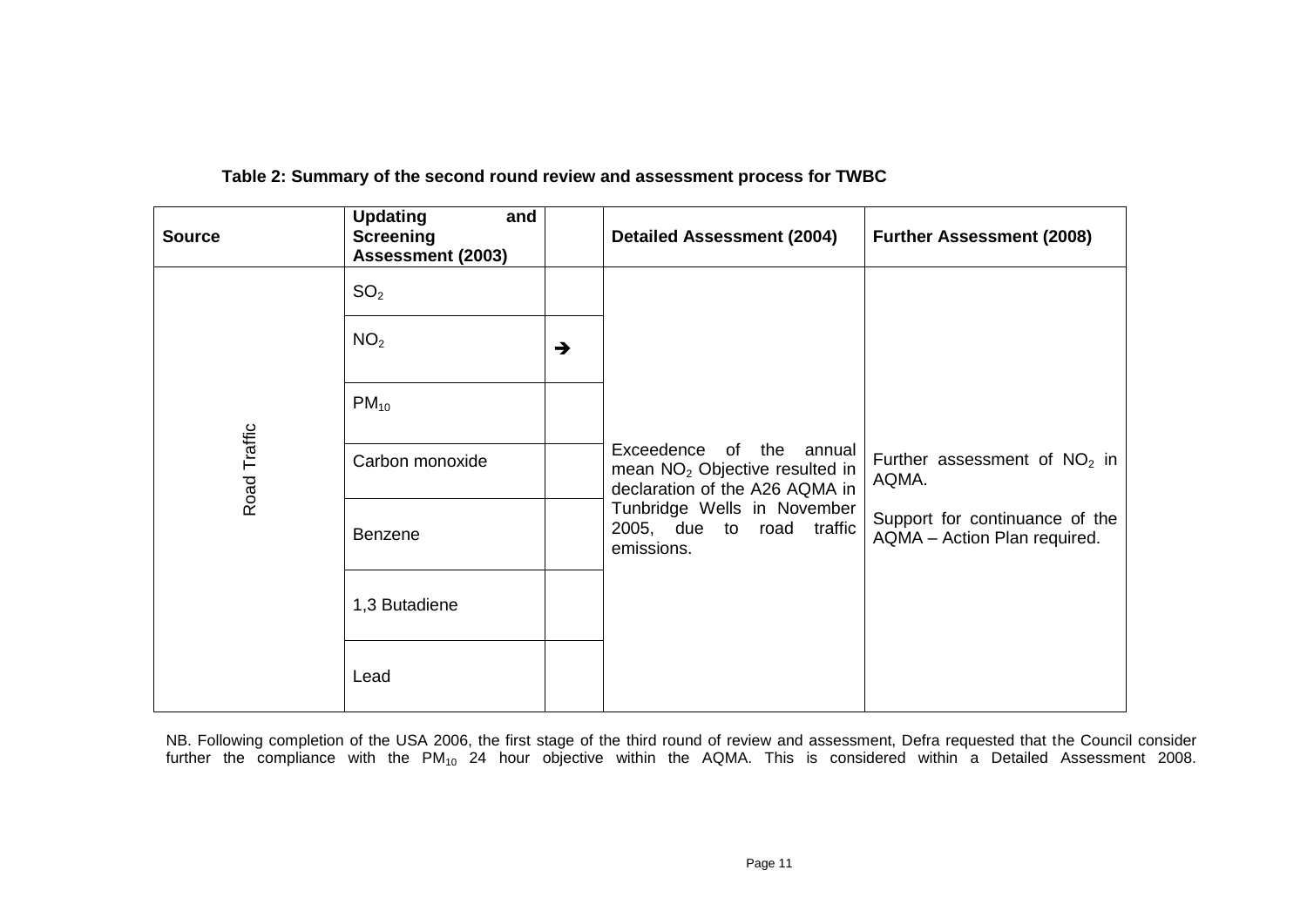| <b>Source</b> | <b>Updating</b><br>and<br><b>Screening</b><br><b>Assessment (2003)</b> |               | <b>Detailed Assessment (2004)</b>                                                                                                                                                  | <b>Further Assessment (2008)</b>                               |                                |
|---------------|------------------------------------------------------------------------|---------------|------------------------------------------------------------------------------------------------------------------------------------------------------------------------------------|----------------------------------------------------------------|--------------------------------|
|               | SO <sub>2</sub>                                                        |               |                                                                                                                                                                                    |                                                                |                                |
|               | NO <sub>2</sub>                                                        | $\rightarrow$ |                                                                                                                                                                                    |                                                                |                                |
|               | $PM_{10}$                                                              |               |                                                                                                                                                                                    |                                                                |                                |
| Road Traffic  | Carbon monoxide                                                        |               | Exceedence of the annual<br>mean NO <sub>2</sub> Objective resulted in<br>declaration of the A26 AQMA in<br>Tunbridge Wells in November<br>2005, due to road traffic<br>emissions. | AQMA.                                                          | Further assessment of $NO2$ in |
|               | <b>Benzene</b>                                                         |               |                                                                                                                                                                                    | Support for continuance of the<br>AQMA - Action Plan required. |                                |
|               | 1,3 Butadiene                                                          |               |                                                                                                                                                                                    |                                                                |                                |
|               | Lead                                                                   |               |                                                                                                                                                                                    |                                                                |                                |

 **Table 2: Summary of the second round review and assessment process for TWBC**

NB. Following completion of the USA 2006, the first stage of the third round of review and assessment, Defra requested that the Council consider further the compliance with the PM<sub>10</sub> 24 hour objective within the AQMA. This is considered within a Detailed Assessment 2008.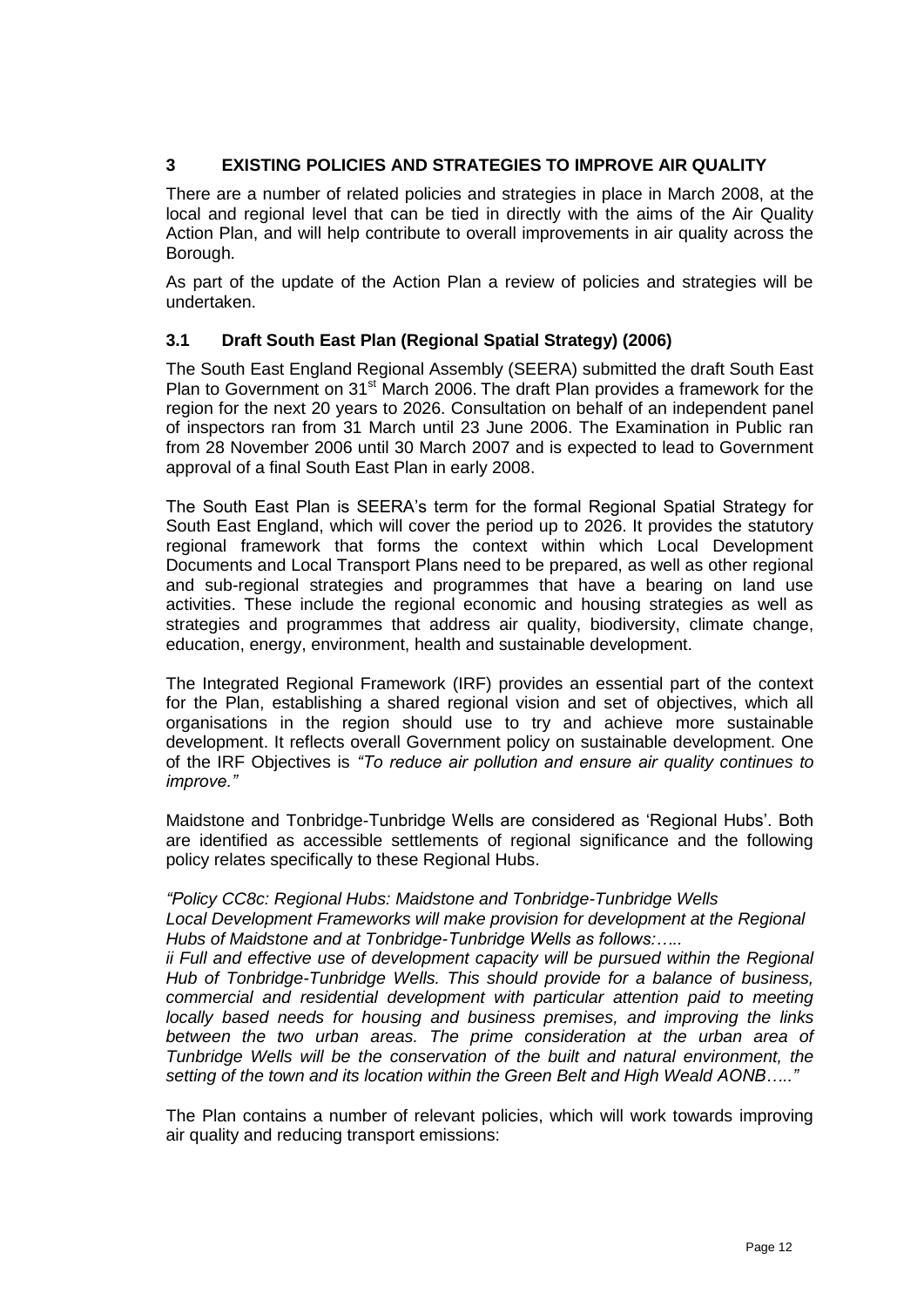# **3 EXISTING POLICIES AND STRATEGIES TO IMPROVE AIR QUALITY**

There are a number of related policies and strategies in place in March 2008, at the local and regional level that can be tied in directly with the aims of the Air Quality Action Plan, and will help contribute to overall improvements in air quality across the Borough.

As part of the update of the Action Plan a review of policies and strategies will be undertaken.

## **3.1 Draft South East Plan (Regional Spatial Strategy) (2006)**

The South East England Regional Assembly (SEERA) submitted the draft South East Plan to Government on  $31<sup>st</sup>$  March 2006. The draft Plan provides a framework for the region for the next 20 years to 2026. Consultation on behalf of an independent panel of inspectors ran from 31 March until 23 June 2006. The Examination in Public ran from 28 November 2006 until 30 March 2007 and is expected to lead to Government approval of a final South East Plan in early 2008.

The South East Plan is SEERA"s term for the formal Regional Spatial Strategy for South East England, which will cover the period up to 2026. It provides the statutory regional framework that forms the context within which Local Development Documents and Local Transport Plans need to be prepared, as well as other regional and sub-regional strategies and programmes that have a bearing on land use activities. These include the regional economic and housing strategies as well as strategies and programmes that address air quality, biodiversity, climate change, education, energy, environment, health and sustainable development.

The Integrated Regional Framework (IRF) provides an essential part of the context for the Plan, establishing a shared regional vision and set of objectives, which all organisations in the region should use to try and achieve more sustainable development. It reflects overall Government policy on sustainable development. One of the IRF Objectives is *"To reduce air pollution and ensure air quality continues to improve."*

Maidstone and Tonbridge-Tunbridge Wells are considered as "Regional Hubs". Both are identified as accessible settlements of regional significance and the following policy relates specifically to these Regional Hubs.

## *"Policy CC8c: Regional Hubs: Maidstone and Tonbridge-Tunbridge Wells*

*Local Development Frameworks will make provision for development at the Regional Hubs of Maidstone and at Tonbridge-Tunbridge Wells as follows:…..*

ii Full and effective use of development capacity will be pursued within the Regional *Hub of Tonbridge-Tunbridge Wells. This should provide for a balance of business, commercial and residential development with particular attention paid to meeting locally based needs for housing and business premises, and improving the links between the two urban areas. The prime consideration at the urban area of Tunbridge Wells will be the conservation of the built and natural environment, the setting of the town and its location within the Green Belt and High Weald AONB….."*

The Plan contains a number of relevant policies, which will work towards improving air quality and reducing transport emissions: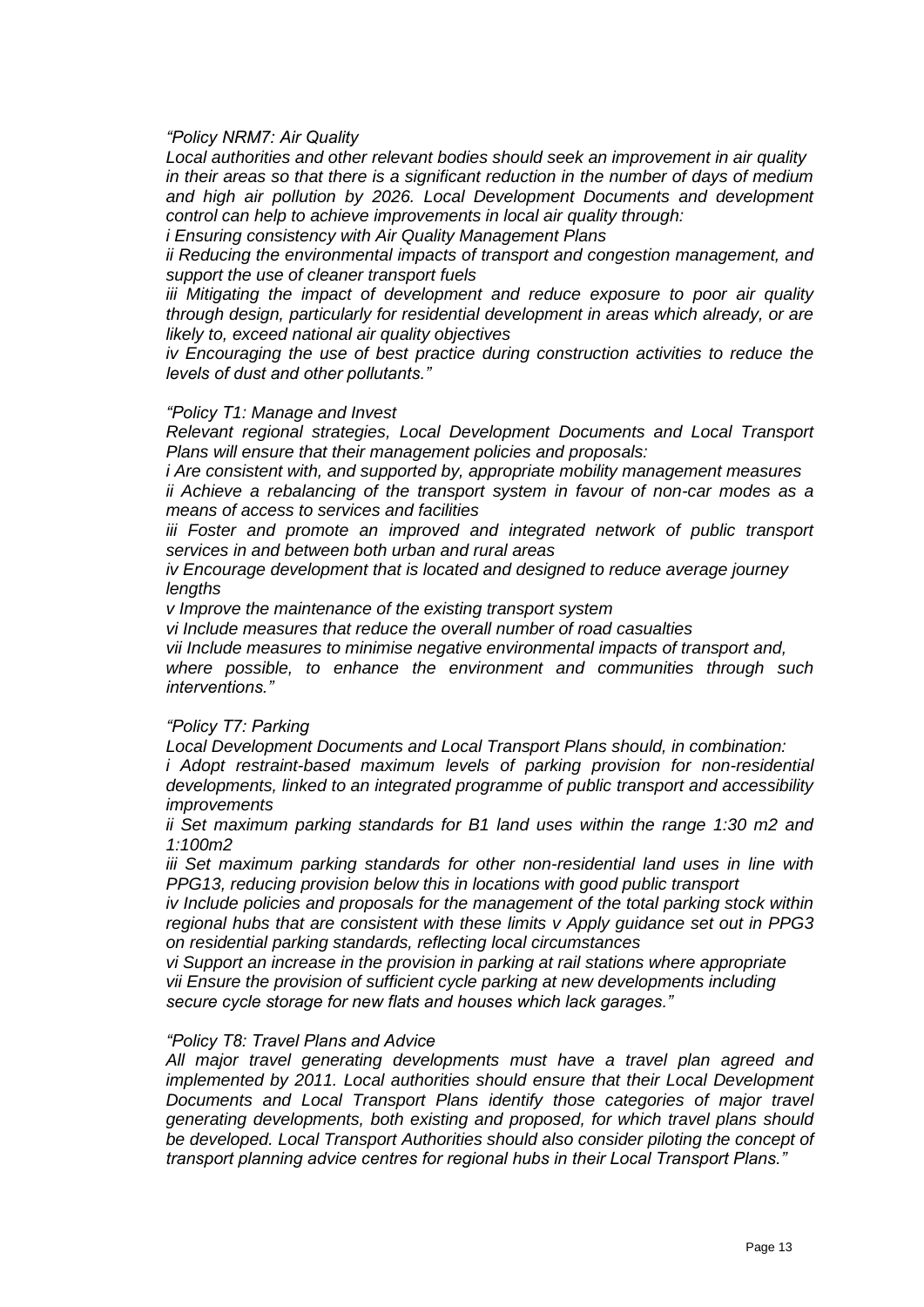#### *"Policy NRM7: Air Quality*

*Local authorities and other relevant bodies should seek an improvement in air quality in their areas so that there is a significant reduction in the number of days of medium and high air pollution by 2026. Local Development Documents and development control can help to achieve improvements in local air quality through:*

*i Ensuring consistency with Air Quality Management Plans*

*ii Reducing the environmental impacts of transport and congestion management, and support the use of cleaner transport fuels* 

*iii Mitigating the impact of development and reduce exposure to poor air quality through design, particularly for residential development in areas which already, or are likely to, exceed national air quality objectives*

*iv Encouraging the use of best practice during construction activities to reduce the levels of dust and other pollutants."*

#### *"Policy T1: Manage and Invest*

*Relevant regional strategies, Local Development Documents and Local Transport Plans will ensure that their management policies and proposals:*

*i Are consistent with, and supported by, appropriate mobility management measures ii Achieve a rebalancing of the transport system in favour of non-car modes as a means of access to services and facilities* 

*iii Foster and promote an improved and integrated network of public transport services in and between both urban and rural areas*

*iv Encourage development that is located and designed to reduce average journey lengths*

*v Improve the maintenance of the existing transport system*

*vi Include measures that reduce the overall number of road casualties*

*vii Include measures to minimise negative environmental impacts of transport and, where possible, to enhance the environment and communities through such* 

*interventions."*

#### *"Policy T7: Parking*

*Local Development Documents and Local Transport Plans should, in combination:*

*i Adopt restraint-based maximum levels of parking provision for non-residential developments, linked to an integrated programme of public transport and accessibility improvements*

*ii Set maximum parking standards for B1 land uses within the range 1:30 m2 and 1:100m2*

*iii Set maximum parking standards for other non-residential land uses in line with PPG13, reducing provision below this in locations with good public transport*

*iv Include policies and proposals for the management of the total parking stock within regional hubs that are consistent with these limits v Apply guidance set out in PPG3 on residential parking standards, reflecting local circumstances*

*vi Support an increase in the provision in parking at rail stations where appropriate vii Ensure the provision of sufficient cycle parking at new developments including secure cycle storage for new flats and houses which lack garages."*

#### *"Policy T8: Travel Plans and Advice*

*All major travel generating developments must have a travel plan agreed and implemented by 2011. Local authorities should ensure that their Local Development Documents and Local Transport Plans identify those categories of major travel generating developments, both existing and proposed, for which travel plans should be developed. Local Transport Authorities should also consider piloting the concept of transport planning advice centres for regional hubs in their Local Transport Plans."*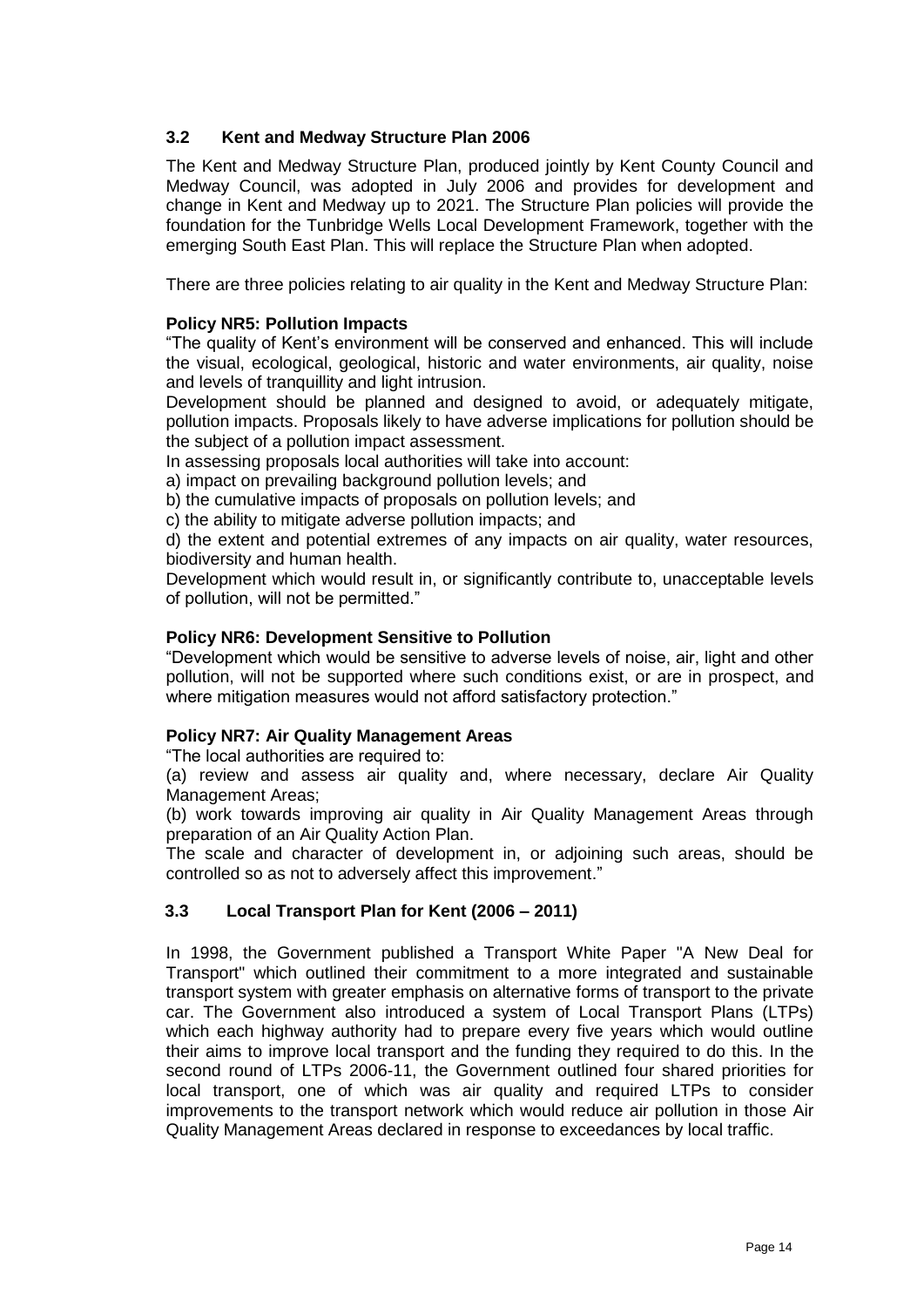# **3.2 Kent and Medway Structure Plan 2006**

The Kent and Medway Structure Plan, produced jointly by Kent County Council and Medway Council, was adopted in July 2006 and provides for development and change in Kent and Medway up to 2021. The Structure Plan policies will provide the foundation for the Tunbridge Wells Local Development Framework, together with the emerging South East Plan. This will replace the Structure Plan when adopted.

There are three policies relating to air quality in the Kent and Medway Structure Plan:

## **Policy NR5: Pollution Impacts**

"The quality of Kent"s environment will be conserved and enhanced. This will include the visual, ecological, geological, historic and water environments, air quality, noise and levels of tranquillity and light intrusion.

Development should be planned and designed to avoid, or adequately mitigate, pollution impacts. Proposals likely to have adverse implications for pollution should be the subject of a pollution impact assessment.

In assessing proposals local authorities will take into account:

a) impact on prevailing background pollution levels; and

b) the cumulative impacts of proposals on pollution levels; and

c) the ability to mitigate adverse pollution impacts; and

d) the extent and potential extremes of any impacts on air quality, water resources, biodiversity and human health.

Development which would result in, or significantly contribute to, unacceptable levels of pollution, will not be permitted."

#### **Policy NR6: Development Sensitive to Pollution**

"Development which would be sensitive to adverse levels of noise, air, light and other pollution, will not be supported where such conditions exist, or are in prospect, and where mitigation measures would not afford satisfactory protection."

## **Policy NR7: Air Quality Management Areas**

"The local authorities are required to:

(a) review and assess air quality and, where necessary, declare Air Quality Management Areas;

(b) work towards improving air quality in Air Quality Management Areas through preparation of an Air Quality Action Plan.

The scale and character of development in, or adjoining such areas, should be controlled so as not to adversely affect this improvement."

## **3.3 Local Transport Plan for Kent (2006 – 2011)**

In 1998, the Government published a Transport White Paper "A New Deal for Transport" which outlined their commitment to a more integrated and sustainable transport system with greater emphasis on alternative forms of transport to the private car. The Government also introduced a system of Local Transport Plans (LTPs) which each highway authority had to prepare every five years which would outline their aims to improve local transport and the funding they required to do this. In the second round of LTPs 2006-11, the Government outlined four shared priorities for local transport, one of which was air quality and required LTPs to consider improvements to the transport network which would reduce air pollution in those Air Quality Management Areas declared in response to exceedances by local traffic.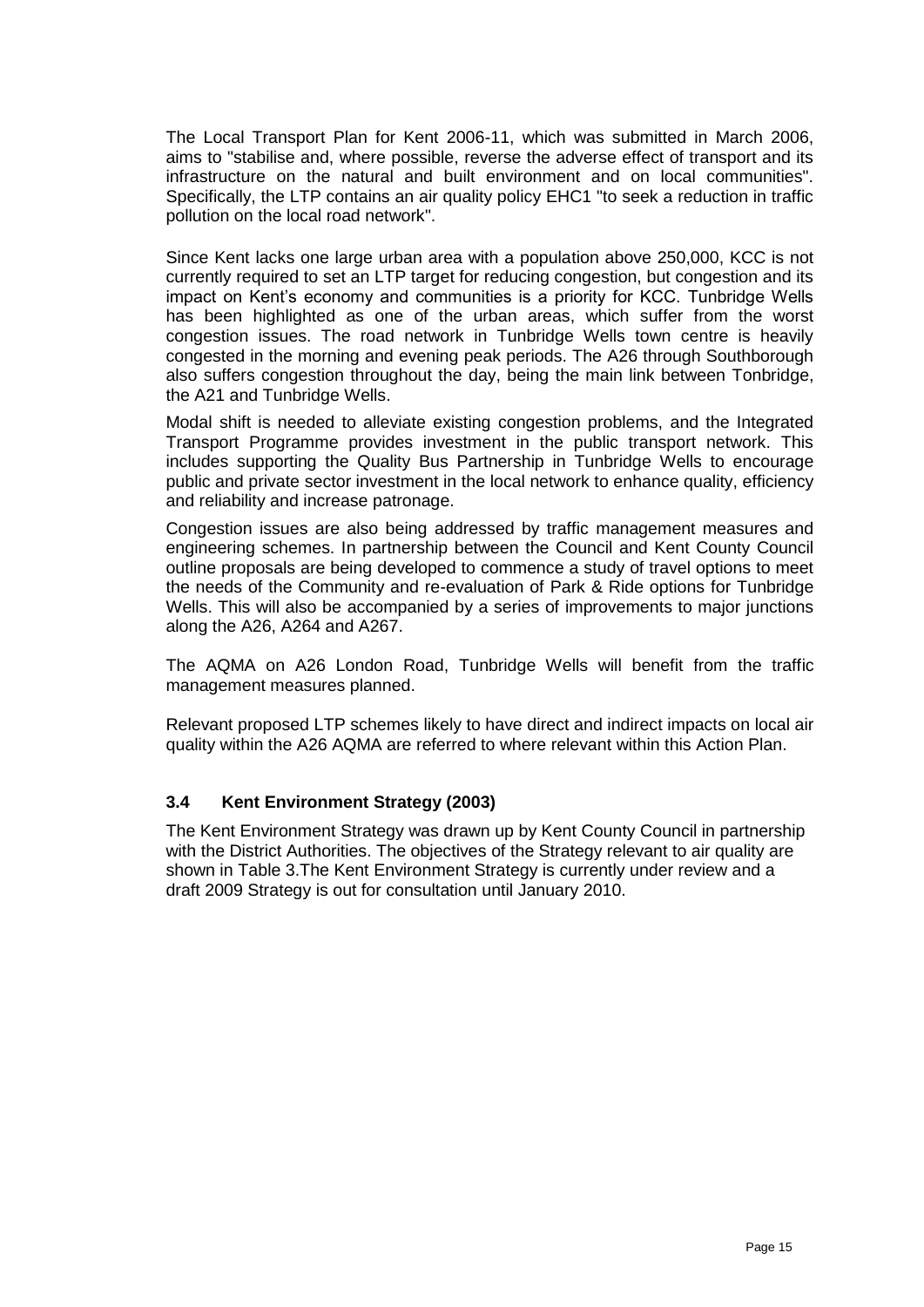The Local Transport Plan for Kent 2006-11, which was submitted in March 2006, aims to "stabilise and, where possible, reverse the adverse effect of transport and its infrastructure on the natural and built environment and on local communities". Specifically, the LTP contains an air quality policy EHC1 "to seek a reduction in traffic pollution on the local road network".

Since Kent lacks one large urban area with a population above 250,000, KCC is not currently required to set an LTP target for reducing congestion, but congestion and its impact on Kent"s economy and communities is a priority for KCC. Tunbridge Wells has been highlighted as one of the urban areas, which suffer from the worst congestion issues. The road network in Tunbridge Wells town centre is heavily congested in the morning and evening peak periods. The A26 through Southborough also suffers congestion throughout the day, being the main link between Tonbridge, the A21 and Tunbridge Wells.

Modal shift is needed to alleviate existing congestion problems, and the Integrated Transport Programme provides investment in the public transport network. This includes supporting the Quality Bus Partnership in Tunbridge Wells to encourage public and private sector investment in the local network to enhance quality, efficiency and reliability and increase patronage.

Congestion issues are also being addressed by traffic management measures and engineering schemes. In partnership between the Council and Kent County Council outline proposals are being developed to commence a study of travel options to meet the needs of the Community and re-evaluation of Park & Ride options for Tunbridge Wells. This will also be accompanied by a series of improvements to major junctions along the A26, A264 and A267.

The AQMA on A26 London Road, Tunbridge Wells will benefit from the traffic management measures planned.

Relevant proposed LTP schemes likely to have direct and indirect impacts on local air quality within the A26 AQMA are referred to where relevant within this Action Plan.

## **3.4 Kent Environment Strategy (2003)**

The Kent Environment Strategy was drawn up by Kent County Council in partnership with the District Authorities. The objectives of the Strategy relevant to air quality are shown in Table 3.The Kent Environment Strategy is currently under review and a draft 2009 Strategy is out for consultation until January 2010.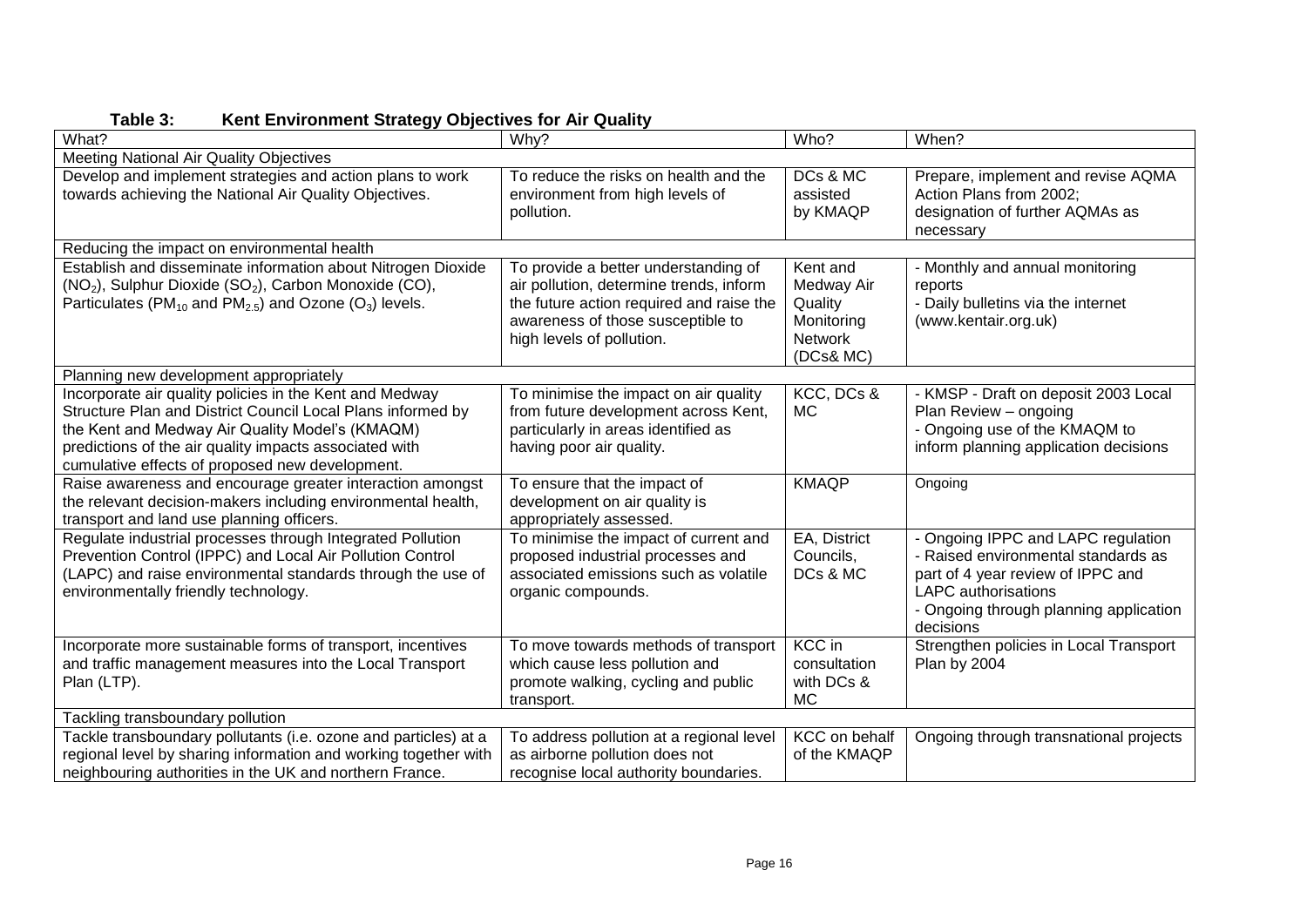**Table 3: Kent Environment Strategy Objectives for Air Quality**

| What?                                                                                                                                                                                                                                                                                  | Why?                                                                                                                                                                                          | Who?                                                                           | When?                                                                                                                                                                                               |
|----------------------------------------------------------------------------------------------------------------------------------------------------------------------------------------------------------------------------------------------------------------------------------------|-----------------------------------------------------------------------------------------------------------------------------------------------------------------------------------------------|--------------------------------------------------------------------------------|-----------------------------------------------------------------------------------------------------------------------------------------------------------------------------------------------------|
| Meeting National Air Quality Objectives                                                                                                                                                                                                                                                |                                                                                                                                                                                               |                                                                                |                                                                                                                                                                                                     |
| Develop and implement strategies and action plans to work<br>towards achieving the National Air Quality Objectives.                                                                                                                                                                    | To reduce the risks on health and the<br>environment from high levels of<br>pollution.                                                                                                        | DCs & MC<br>assisted<br>by KMAQP                                               | Prepare, implement and revise AQMA<br>Action Plans from 2002;<br>designation of further AQMAs as<br>necessary                                                                                       |
| Reducing the impact on environmental health                                                                                                                                                                                                                                            |                                                                                                                                                                                               |                                                                                |                                                                                                                                                                                                     |
| Establish and disseminate information about Nitrogen Dioxide<br>(NO <sub>2</sub> ), Sulphur Dioxide (SO <sub>2</sub> ), Carbon Monoxide (CO),<br>Particulates (PM <sub>10</sub> and PM <sub>2.5</sub> ) and Ozone (O <sub>3</sub> ) levels.                                            | To provide a better understanding of<br>air pollution, determine trends, inform<br>the future action required and raise the<br>awareness of those susceptible to<br>high levels of pollution. | Kent and<br>Medway Air<br>Quality<br>Monitoring<br><b>Network</b><br>(DCs& MC) | - Monthly and annual monitoring<br>reports<br>- Daily bulletins via the internet<br>(www.kentair.org.uk)                                                                                            |
| Planning new development appropriately                                                                                                                                                                                                                                                 |                                                                                                                                                                                               |                                                                                |                                                                                                                                                                                                     |
| Incorporate air quality policies in the Kent and Medway<br>Structure Plan and District Council Local Plans informed by<br>the Kent and Medway Air Quality Model's (KMAQM)<br>predictions of the air quality impacts associated with<br>cumulative effects of proposed new development. | To minimise the impact on air quality<br>from future development across Kent,<br>particularly in areas identified as<br>having poor air quality.                                              | KCC, DCs &<br>MC                                                               | - KMSP - Draft on deposit 2003 Local<br>Plan Review - ongoing<br>- Ongoing use of the KMAQM to<br>inform planning application decisions                                                             |
| Raise awareness and encourage greater interaction amongst<br>the relevant decision-makers including environmental health,<br>transport and land use planning officers.                                                                                                                 | To ensure that the impact of<br>development on air quality is<br>appropriately assessed.                                                                                                      | <b>KMAQP</b>                                                                   | Ongoing                                                                                                                                                                                             |
| Regulate industrial processes through Integrated Pollution<br>Prevention Control (IPPC) and Local Air Pollution Control<br>(LAPC) and raise environmental standards through the use of<br>environmentally friendly technology.                                                         | To minimise the impact of current and<br>proposed industrial processes and<br>associated emissions such as volatile<br>organic compounds.                                                     | EA, District<br>Councils,<br>DCs & MC                                          | - Ongoing IPPC and LAPC regulation<br>- Raised environmental standards as<br>part of 4 year review of IPPC and<br><b>LAPC</b> authorisations<br>- Ongoing through planning application<br>decisions |
| Incorporate more sustainable forms of transport, incentives<br>and traffic management measures into the Local Transport<br>Plan (LTP).                                                                                                                                                 | To move towards methods of transport<br>which cause less pollution and<br>promote walking, cycling and public<br>transport.                                                                   | <b>KCC</b> in<br>consultation<br>with DCs &<br><b>MC</b>                       | Strengthen policies in Local Transport<br>Plan by 2004                                                                                                                                              |
| Tackling transboundary pollution                                                                                                                                                                                                                                                       |                                                                                                                                                                                               |                                                                                |                                                                                                                                                                                                     |
| Tackle transboundary pollutants (i.e. ozone and particles) at a<br>regional level by sharing information and working together with<br>neighbouring authorities in the UK and northern France.                                                                                          | To address pollution at a regional level<br>as airborne pollution does not<br>recognise local authority boundaries.                                                                           | <b>KCC</b> on behalf<br>of the KMAQP                                           | Ongoing through transnational projects                                                                                                                                                              |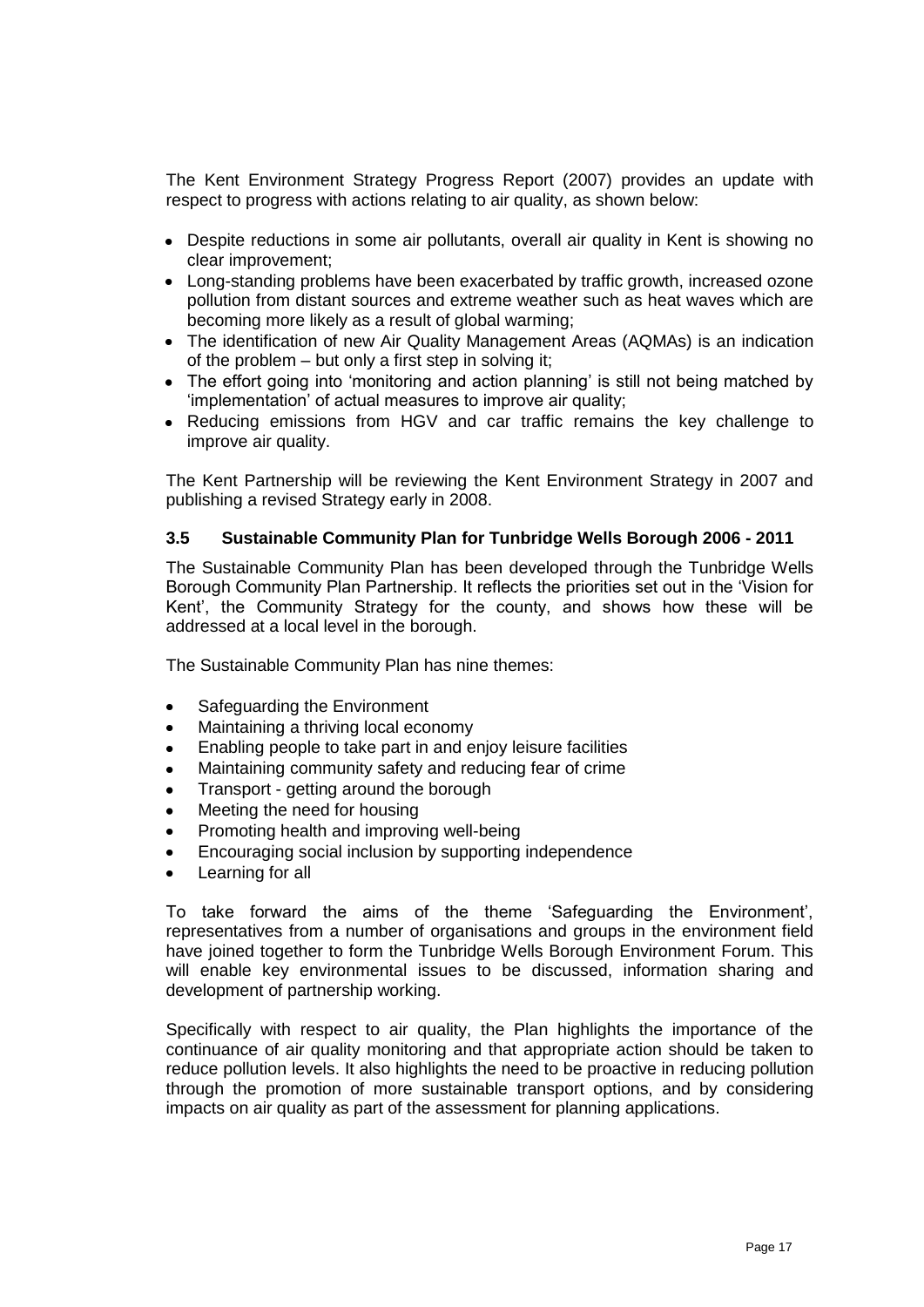The Kent Environment Strategy Progress Report (2007) provides an update with respect to progress with actions relating to air quality, as shown below:

- Despite reductions in some air pollutants, overall air quality in Kent is showing no clear improvement;
- Long-standing problems have been exacerbated by traffic growth, increased ozone pollution from distant sources and extreme weather such as heat waves which are becoming more likely as a result of global warming;
- The identification of new Air Quality Management Areas (AQMAs) is an indication of the problem – but only a first step in solving it;
- The effort going into 'monitoring and action planning' is still not being matched by "implementation" of actual measures to improve air quality;
- Reducing emissions from HGV and car traffic remains the key challenge to improve air quality.

The Kent Partnership will be reviewing the Kent Environment Strategy in 2007 and publishing a revised Strategy early in 2008.

#### **3.5 Sustainable Community Plan for Tunbridge Wells Borough 2006 - 2011**

The Sustainable Community Plan has been developed through the Tunbridge Wells Borough Community Plan Partnership. It reflects the priorities set out in the "Vision for Kent", the Community Strategy for the county, and shows how these will be addressed at a local level in the borough.

The Sustainable Community Plan has nine themes:

- Safeguarding the Environment  $\bullet$
- Maintaining a thriving local economy
- Enabling people to take part in and enjoy leisure facilities
- Maintaining community safety and reducing fear of crime
- Transport getting around the borough
- Meeting the need for housing
- Promoting health and improving well-being
- Encouraging social inclusion by supporting independence
- Learning for all

To take forward the aims of the theme "Safeguarding the Environment", representatives from a number of organisations and groups in the environment field have joined together to form the Tunbridge Wells Borough Environment Forum. This will enable key environmental issues to be discussed, information sharing and development of partnership working.

Specifically with respect to air quality, the Plan highlights the importance of the continuance of air quality monitoring and that appropriate action should be taken to reduce pollution levels. It also highlights the need to be proactive in reducing pollution through the promotion of more sustainable transport options, and by considering impacts on air quality as part of the assessment for planning applications.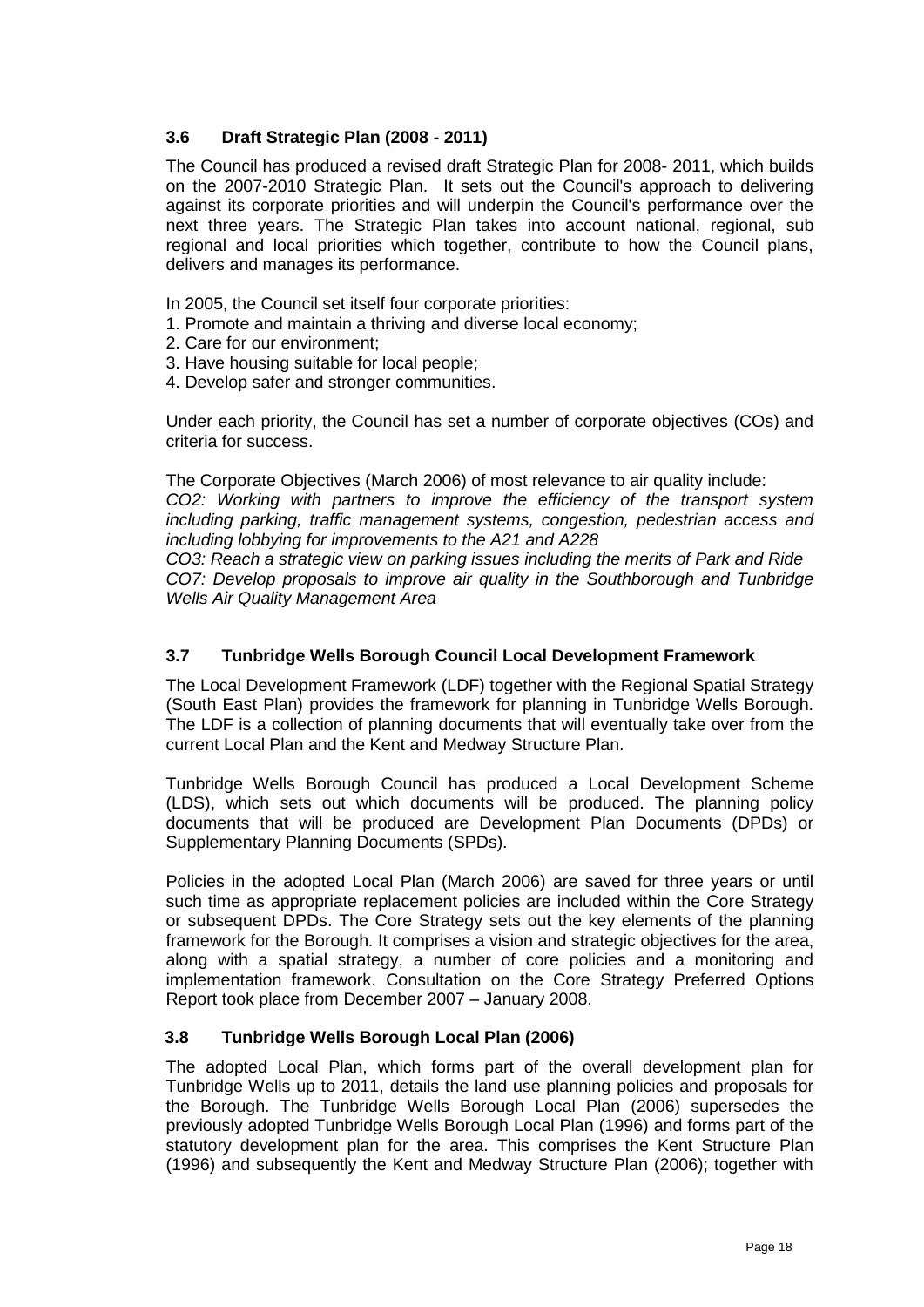# **3.6 Draft Strategic Plan (2008 - 2011)**

The Council has produced a revised draft Strategic Plan for 2008- 2011, which builds on the 2007-2010 Strategic Plan. It sets out the Council's approach to delivering against its corporate priorities and will underpin the Council's performance over the next three years. The Strategic Plan takes into account national, regional, sub regional and local priorities which together, contribute to how the Council plans, delivers and manages its performance.

- In 2005, the Council set itself four corporate priorities:
- 1. Promote and maintain a thriving and diverse local economy;
- 2. Care for our environment;
- 3. Have housing suitable for local people;
- 4. Develop safer and stronger communities.

Under each priority, the Council has set a number of corporate objectives (COs) and criteria for success.

The Corporate Objectives (March 2006) of most relevance to air quality include:

*CO2: Working with partners to improve the efficiency of the transport system including parking, traffic management systems, congestion, pedestrian access and including lobbying for improvements to the A21 and A228*

*CO3: Reach a strategic view on parking issues including the merits of Park and Ride CO7: Develop proposals to improve air quality in the Southborough and Tunbridge Wells Air Quality Management Area*

#### **3.7 Tunbridge Wells Borough Council Local Development Framework**

The Local Development Framework (LDF) together with the Regional Spatial Strategy (South East Plan) provides the framework for planning in Tunbridge Wells Borough. The LDF is a collection of planning documents that will eventually take over from the current Local Plan and the Kent and Medway Structure Plan.

Tunbridge Wells Borough Council has produced a Local Development Scheme (LDS), which sets out which documents will be produced. The planning policy documents that will be produced are Development Plan Documents (DPDs) or Supplementary Planning Documents (SPDs).

Policies in the adopted Local Plan (March 2006) are saved for three years or until such time as appropriate replacement policies are included within the Core Strategy or subsequent DPDs. The Core Strategy sets out the key elements of the planning framework for the Borough. It comprises a vision and strategic objectives for the area, along with a spatial strategy, a number of core policies and a monitoring and implementation framework. Consultation on the Core Strategy Preferred Options Report took place from December 2007 – January 2008.

## **3.8 Tunbridge Wells Borough Local Plan (2006)**

The adopted Local Plan, which forms part of the overall development plan for Tunbridge Wells up to 2011, details the land use planning policies and proposals for the Borough. The Tunbridge Wells Borough Local Plan (2006) supersedes the previously adopted Tunbridge Wells Borough Local Plan (1996) and forms part of the statutory development plan for the area. This comprises the Kent Structure Plan (1996) and subsequently the Kent and Medway Structure Plan (2006); together with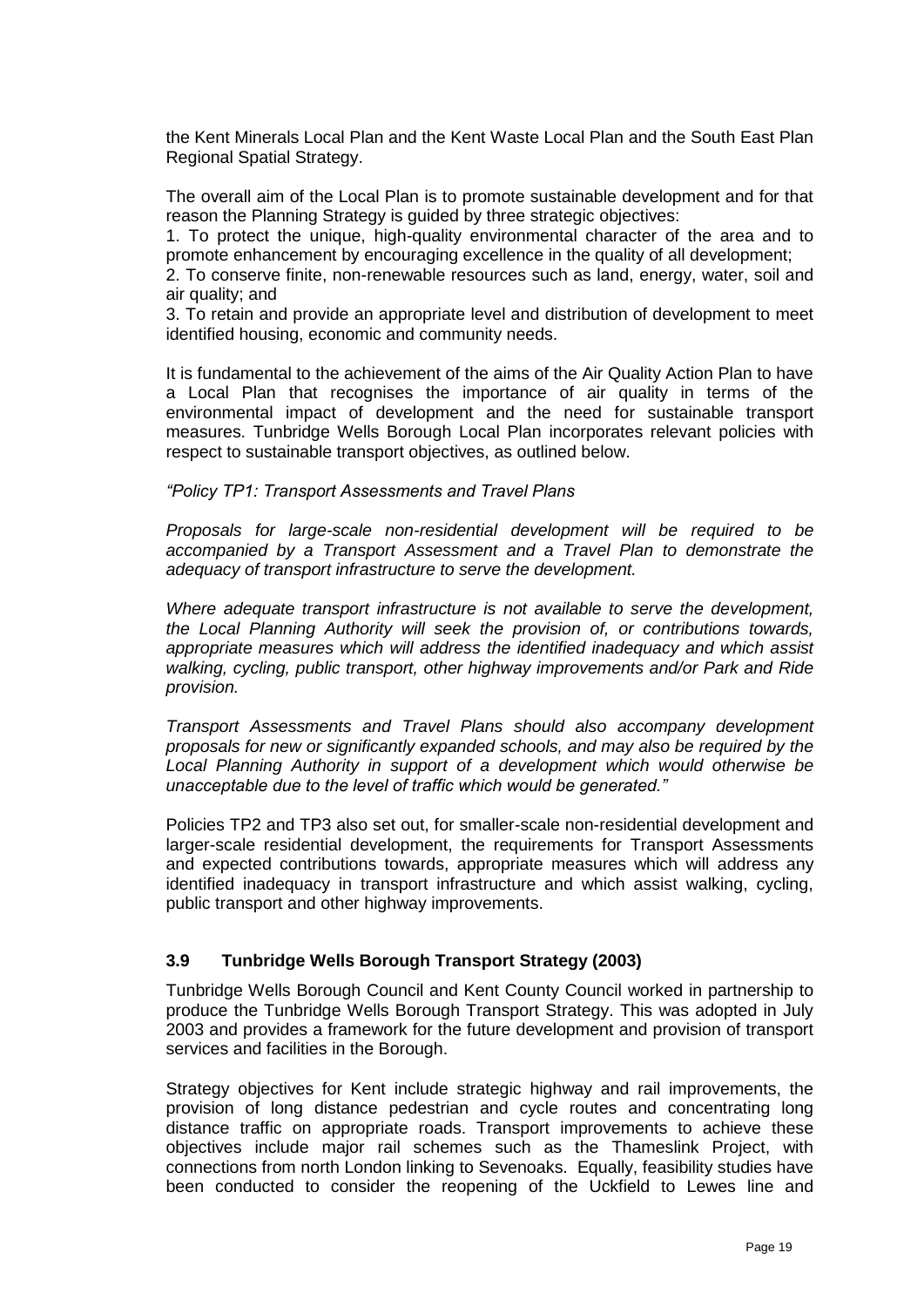the Kent Minerals Local Plan and the Kent Waste Local Plan and the South East Plan Regional Spatial Strategy.

The overall aim of the Local Plan is to promote sustainable development and for that reason the Planning Strategy is guided by three strategic objectives:

1. To protect the unique, high-quality environmental character of the area and to promote enhancement by encouraging excellence in the quality of all development;

2. To conserve finite, non-renewable resources such as land, energy, water, soil and air quality; and

3. To retain and provide an appropriate level and distribution of development to meet identified housing, economic and community needs.

It is fundamental to the achievement of the aims of the Air Quality Action Plan to have a Local Plan that recognises the importance of air quality in terms of the environmental impact of development and the need for sustainable transport measures. Tunbridge Wells Borough Local Plan incorporates relevant policies with respect to sustainable transport objectives, as outlined below.

*"Policy TP1: Transport Assessments and Travel Plans*

*Proposals for large-scale non-residential development will be required to be accompanied by a Transport Assessment and a Travel Plan to demonstrate the adequacy of transport infrastructure to serve the development.* 

*Where adequate transport infrastructure is not available to serve the development, the Local Planning Authority will seek the provision of, or contributions towards, appropriate measures which will address the identified inadequacy and which assist walking, cycling, public transport, other highway improvements and/or Park and Ride provision.* 

*Transport Assessments and Travel Plans should also accompany development proposals for new or significantly expanded schools, and may also be required by the Local Planning Authority in support of a development which would otherwise be unacceptable due to the level of traffic which would be generated."*

Policies TP2 and TP3 also set out, for smaller-scale non-residential development and larger-scale residential development, the requirements for Transport Assessments and expected contributions towards, appropriate measures which will address any identified inadequacy in transport infrastructure and which assist walking, cycling, public transport and other highway improvements.

## **3.9 Tunbridge Wells Borough Transport Strategy (2003)**

Tunbridge Wells Borough Council and Kent County Council worked in partnership to produce the Tunbridge Wells Borough Transport Strategy. This was adopted in July 2003 and provides a framework for the future development and provision of transport services and facilities in the Borough.

Strategy objectives for Kent include strategic highway and rail improvements, the provision of long distance pedestrian and cycle routes and concentrating long distance traffic on appropriate roads. Transport improvements to achieve these objectives include major rail schemes such as the Thameslink Project, with connections from north London linking to Sevenoaks. Equally, feasibility studies have been conducted to consider the reopening of the Uckfield to Lewes line and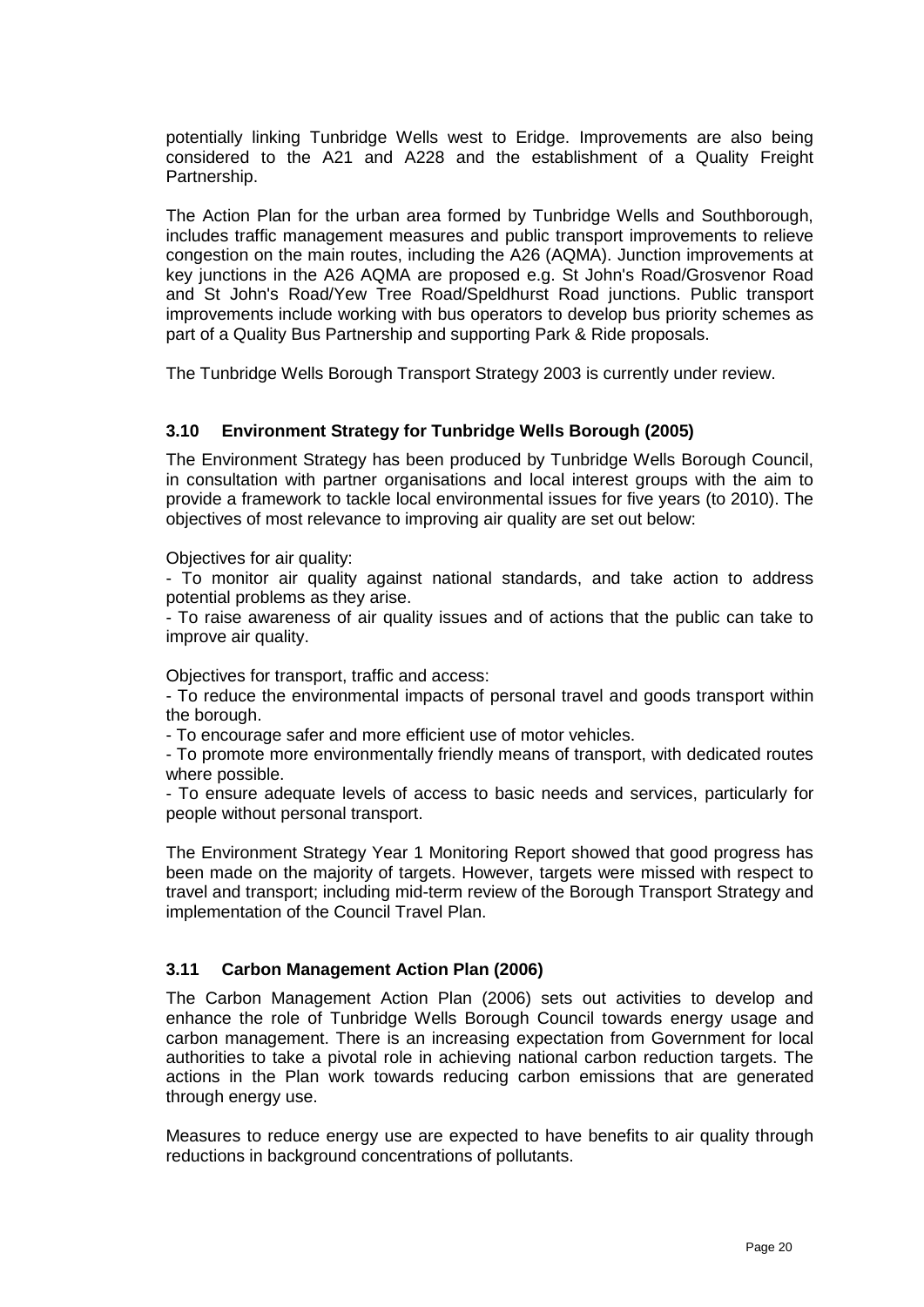potentially linking Tunbridge Wells west to Eridge. Improvements are also being considered to the A21 and A228 and the establishment of a Quality Freight Partnership.

The Action Plan for the urban area formed by Tunbridge Wells and Southborough, includes traffic management measures and public transport improvements to relieve congestion on the main routes, including the A26 (AQMA). Junction improvements at key junctions in the A26 AQMA are proposed e.g. St John's Road/Grosvenor Road and St John's Road/Yew Tree Road/Speldhurst Road junctions. Public transport improvements include working with bus operators to develop bus priority schemes as part of a Quality Bus Partnership and supporting Park & Ride proposals.

The Tunbridge Wells Borough Transport Strategy 2003 is currently under review.

#### **3.10 Environment Strategy for Tunbridge Wells Borough (2005)**

The Environment Strategy has been produced by Tunbridge Wells Borough Council, in consultation with partner organisations and local interest groups with the aim to provide a framework to tackle local environmental issues for five years (to 2010). The objectives of most relevance to improving air quality are set out below:

Objectives for air quality:

- To monitor air quality against national standards, and take action to address potential problems as they arise.

- To raise awareness of air quality issues and of actions that the public can take to improve air quality.

Objectives for transport, traffic and access:

- To reduce the environmental impacts of personal travel and goods transport within the borough.

- To encourage safer and more efficient use of motor vehicles.

- To promote more environmentally friendly means of transport, with dedicated routes where possible.

- To ensure adequate levels of access to basic needs and services, particularly for people without personal transport.

The Environment Strategy Year 1 Monitoring Report showed that good progress has been made on the majority of targets. However, targets were missed with respect to travel and transport; including mid-term review of the Borough Transport Strategy and implementation of the Council Travel Plan.

#### **3.11 Carbon Management Action Plan (2006)**

The Carbon Management Action Plan (2006) sets out activities to develop and enhance the role of Tunbridge Wells Borough Council towards energy usage and carbon management. There is an increasing expectation from Government for local authorities to take a pivotal role in achieving national carbon reduction targets. The actions in the Plan work towards reducing carbon emissions that are generated through energy use.

Measures to reduce energy use are expected to have benefits to air quality through reductions in background concentrations of pollutants.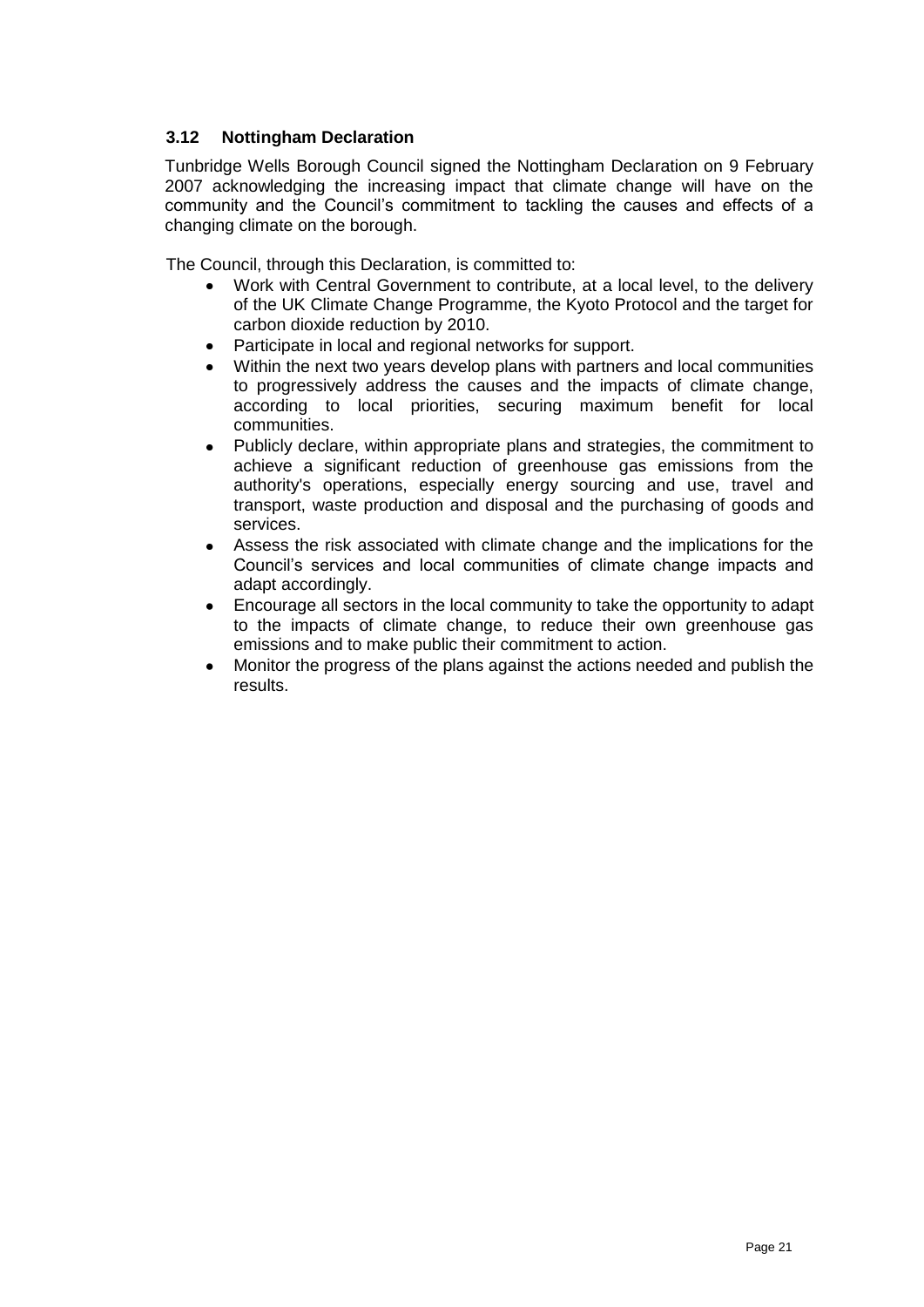# **3.12 Nottingham Declaration**

Tunbridge Wells Borough Council signed the Nottingham Declaration on 9 February 2007 acknowledging the increasing impact that climate change will have on the community and the Council"s commitment to tackling the causes and effects of a changing climate on the borough.

The Council, through this Declaration, is committed to:

- Work with Central Government to contribute, at a local level, to the delivery  $\bullet$ of the UK Climate Change Programme, the Kyoto Protocol and the target for carbon dioxide reduction by 2010.
- Participate in local and regional networks for support.
- Within the next two years develop plans with partners and local communities to progressively address the causes and the impacts of climate change, according to local priorities, securing maximum benefit for local communities.
- Publicly declare, within appropriate plans and strategies, the commitment to achieve a significant reduction of greenhouse gas emissions from the authority's operations, especially energy sourcing and use, travel and transport, waste production and disposal and the purchasing of goods and services.
- Assess the risk associated with climate change and the implications for the Council"s services and local communities of climate change impacts and adapt accordingly.
- Encourage all sectors in the local community to take the opportunity to adapt to the impacts of climate change, to reduce their own greenhouse gas emissions and to make public their commitment to action.
- Monitor the progress of the plans against the actions needed and publish the results.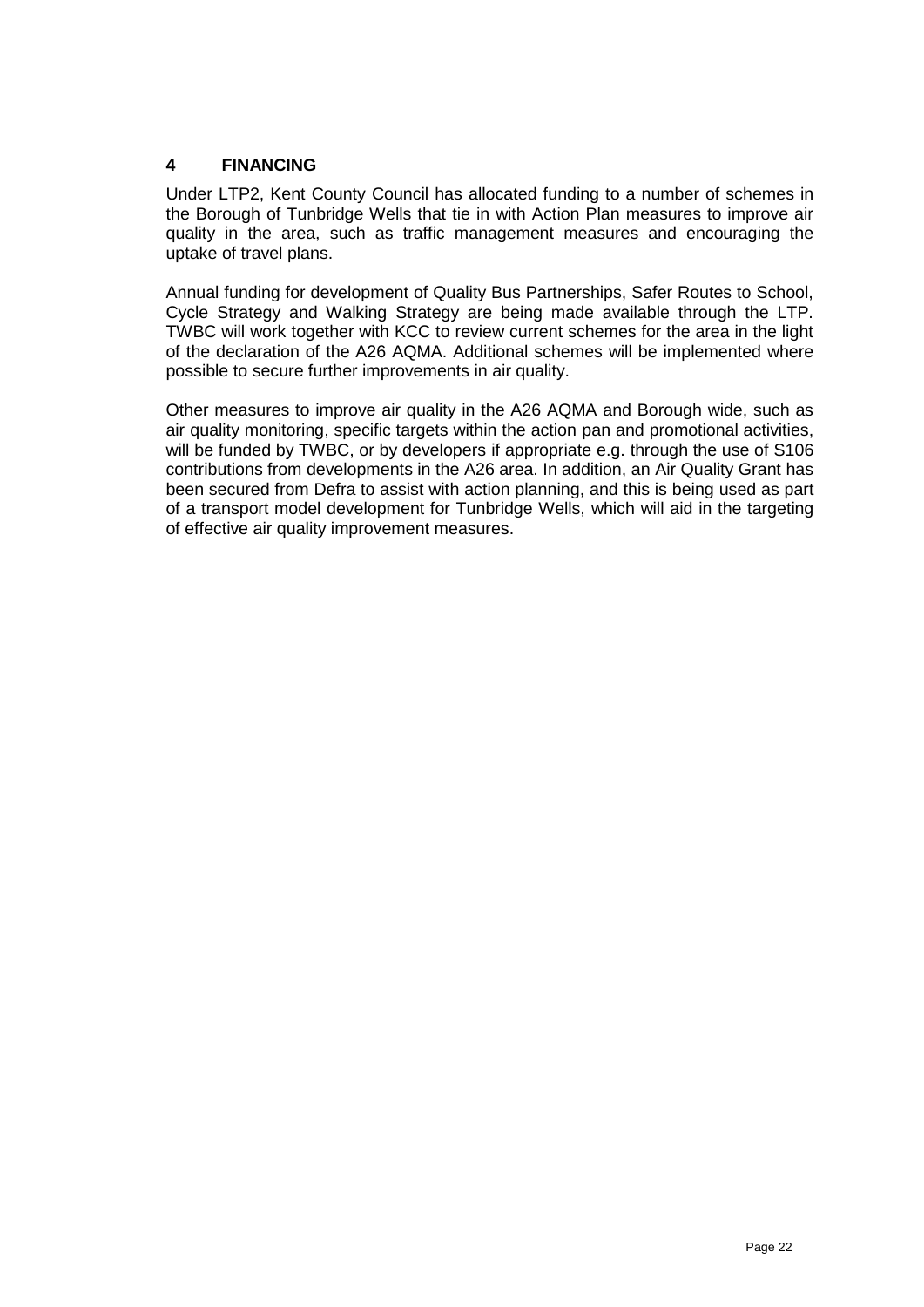# **4 FINANCING**

Under LTP2, Kent County Council has allocated funding to a number of schemes in the Borough of Tunbridge Wells that tie in with Action Plan measures to improve air quality in the area, such as traffic management measures and encouraging the uptake of travel plans.

Annual funding for development of Quality Bus Partnerships, Safer Routes to School, Cycle Strategy and Walking Strategy are being made available through the LTP. TWBC will work together with KCC to review current schemes for the area in the light of the declaration of the A26 AQMA. Additional schemes will be implemented where possible to secure further improvements in air quality.

Other measures to improve air quality in the A26 AQMA and Borough wide, such as air quality monitoring, specific targets within the action pan and promotional activities, will be funded by TWBC, or by developers if appropriate e.g. through the use of S106 contributions from developments in the A26 area. In addition, an Air Quality Grant has been secured from Defra to assist with action planning, and this is being used as part of a transport model development for Tunbridge Wells, which will aid in the targeting of effective air quality improvement measures.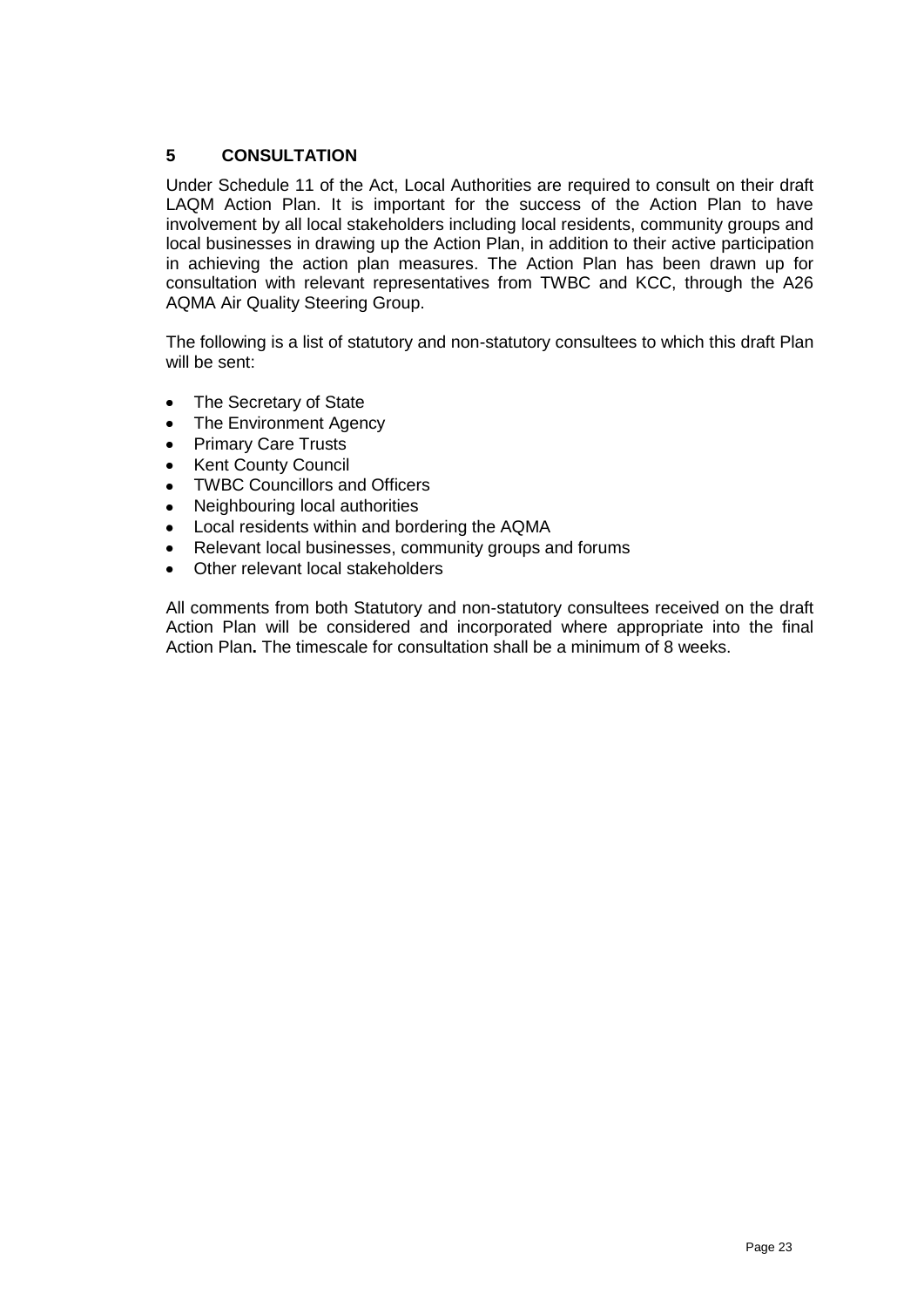# **5 CONSULTATION**

Under Schedule 11 of the Act, Local Authorities are required to consult on their draft LAQM Action Plan. It is important for the success of the Action Plan to have involvement by all local stakeholders including local residents, community groups and local businesses in drawing up the Action Plan, in addition to their active participation in achieving the action plan measures. The Action Plan has been drawn up for consultation with relevant representatives from TWBC and KCC, through the A26 AQMA Air Quality Steering Group.

The following is a list of statutory and non-statutory consultees to which this draft Plan will be sent:

- $\bullet$ The Secretary of State
- The Environment Agency  $\bullet$
- Primary Care Trusts  $\bullet$
- Kent County Council  $\bullet$
- TWBC Councillors and Officers  $\bullet$
- Neighbouring local authorities  $\bullet$
- Local residents within and bordering the AQMA  $\bullet$
- Relevant local businesses, community groups and forums
- Other relevant local stakeholders  $\bullet$

All comments from both Statutory and non-statutory consultees received on the draft Action Plan will be considered and incorporated where appropriate into the final Action Plan**.** The timescale for consultation shall be a minimum of 8 weeks.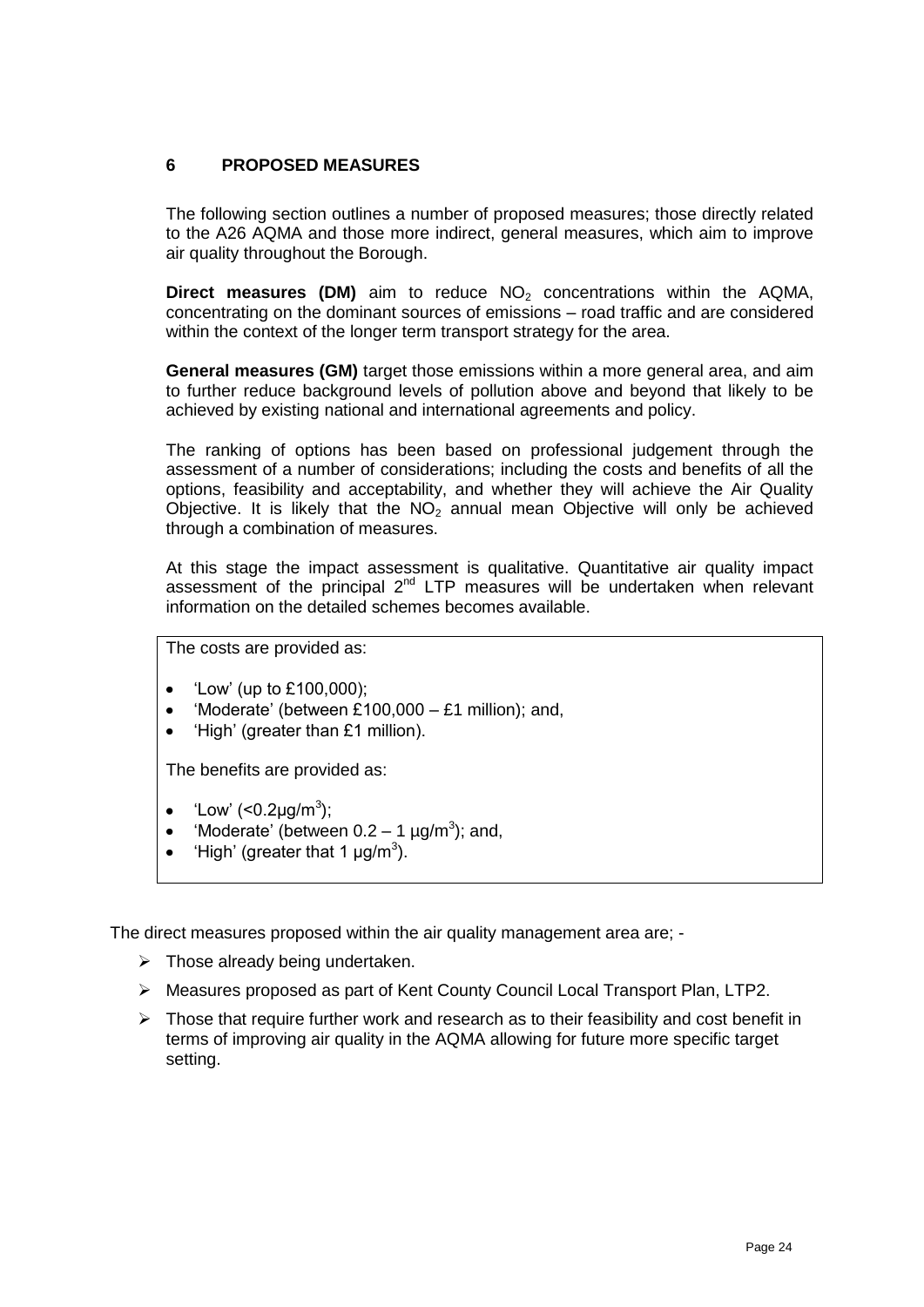# **6 PROPOSED MEASURES**

The following section outlines a number of proposed measures; those directly related to the A26 AQMA and those more indirect, general measures, which aim to improve air quality throughout the Borough.

**Direct measures (DM)** aim to reduce NO<sub>2</sub> concentrations within the AQMA, concentrating on the dominant sources of emissions – road traffic and are considered within the context of the longer term transport strategy for the area.

**General measures (GM)** target those emissions within a more general area, and aim to further reduce background levels of pollution above and beyond that likely to be achieved by existing national and international agreements and policy.

The ranking of options has been based on professional judgement through the assessment of a number of considerations; including the costs and benefits of all the options, feasibility and acceptability, and whether they will achieve the Air Quality Objective. It is likely that the  $NO<sub>2</sub>$  annual mean Objective will only be achieved through a combination of measures.

At this stage the impact assessment is qualitative. Quantitative air quality impact assessment of the principal 2<sup>nd</sup> LTP measures will be undertaken when relevant information on the detailed schemes becomes available.

The costs are provided as:

- "Low" (up to £100,000);  $\bullet$
- 'Moderate' (between £100,000 £1 million); and,
- "High" (greater than £1 million).

The benefits are provided as:

- 'Low' (< $0.2 \mu$ g/m<sup>3</sup>);  $\bullet$
- 'Moderate' (between  $0.2 1$  µg/m<sup>3</sup>); and,  $\bullet$
- 'High' (greater that 1  $\mu$ g/m<sup>3</sup>).  $\bullet$

The direct measures proposed within the air quality management area are; -

- $\triangleright$  Those already being undertaken.
- Measures proposed as part of Kent County Council Local Transport Plan, LTP2.
- $\triangleright$  Those that require further work and research as to their feasibility and cost benefit in terms of improving air quality in the AQMA allowing for future more specific target setting.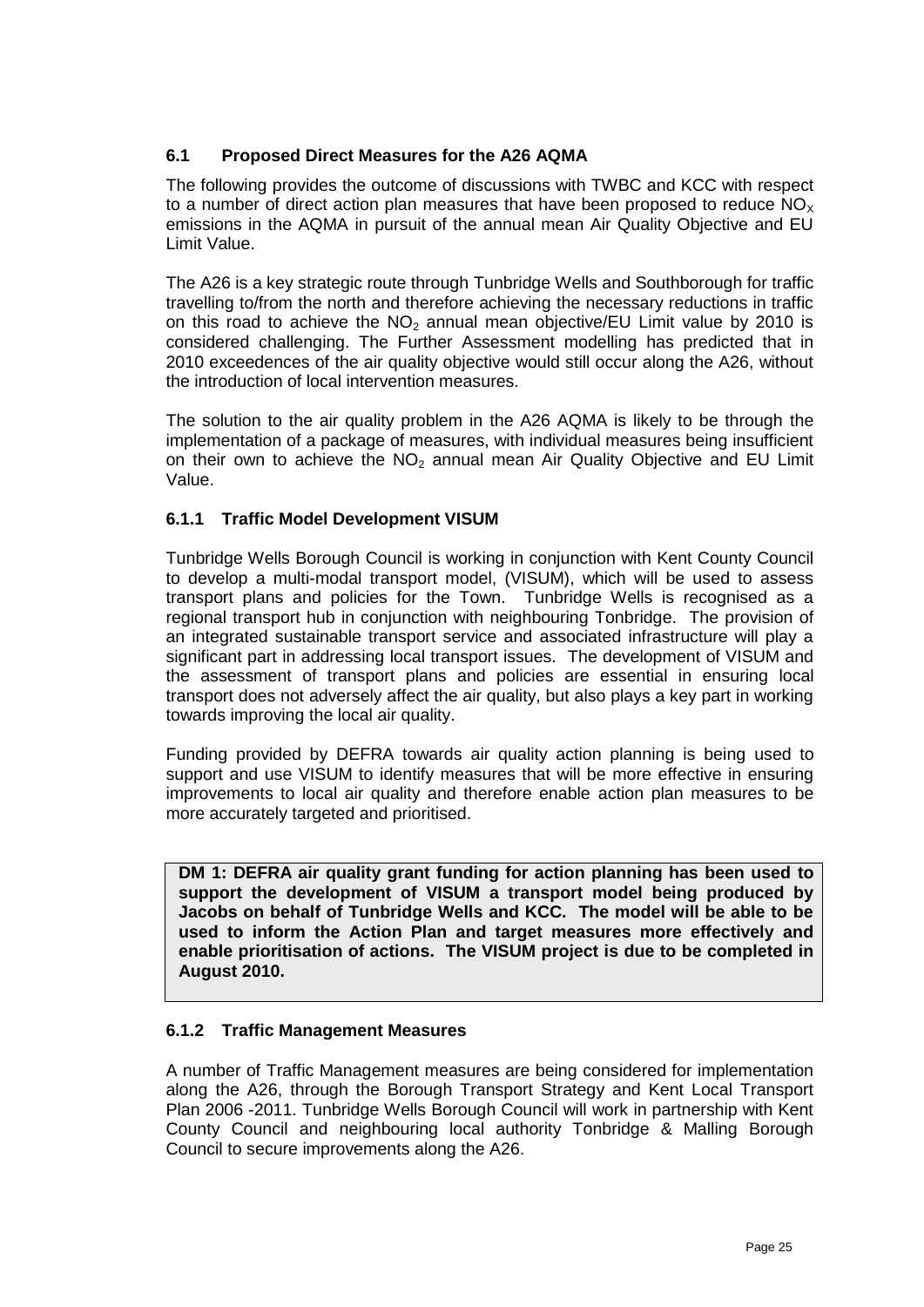# **6.1 Proposed Direct Measures for the A26 AQMA**

The following provides the outcome of discussions with TWBC and KCC with respect to a number of direct action plan measures that have been proposed to reduce  $NO_x$ emissions in the AQMA in pursuit of the annual mean Air Quality Objective and EU Limit Value.

The A26 is a key strategic route through Tunbridge Wells and Southborough for traffic travelling to/from the north and therefore achieving the necessary reductions in traffic on this road to achieve the  $NO<sub>2</sub>$  annual mean objective/EU Limit value by 2010 is considered challenging. The Further Assessment modelling has predicted that in 2010 exceedences of the air quality objective would still occur along the A26, without the introduction of local intervention measures.

The solution to the air quality problem in the A26 AQMA is likely to be through the implementation of a package of measures, with individual measures being insufficient on their own to achieve the  $NO<sub>2</sub>$  annual mean Air Quality Objective and EU Limit Value.

## **6.1.1 Traffic Model Development VISUM**

Tunbridge Wells Borough Council is working in conjunction with Kent County Council to develop a multi-modal transport model, (VISUM), which will be used to assess transport plans and policies for the Town. Tunbridge Wells is recognised as a regional transport hub in conjunction with neighbouring Tonbridge. The provision of an integrated sustainable transport service and associated infrastructure will play a significant part in addressing local transport issues. The development of VISUM and the assessment of transport plans and policies are essential in ensuring local transport does not adversely affect the air quality, but also plays a key part in working towards improving the local air quality.

Funding provided by DEFRA towards air quality action planning is being used to support and use VISUM to identify measures that will be more effective in ensuring improvements to local air quality and therefore enable action plan measures to be more accurately targeted and prioritised.

**DM 1: DEFRA air quality grant funding for action planning has been used to support the development of VISUM a transport model being produced by Jacobs on behalf of Tunbridge Wells and KCC. The model will be able to be used to inform the Action Plan and target measures more effectively and enable prioritisation of actions. The VISUM project is due to be completed in August 2010.**

## **6.1.2 Traffic Management Measures**

A number of Traffic Management measures are being considered for implementation along the A26, through the Borough Transport Strategy and Kent Local Transport Plan 2006 -2011. Tunbridge Wells Borough Council will work in partnership with Kent County Council and neighbouring local authority Tonbridge & Malling Borough Council to secure improvements along the A26.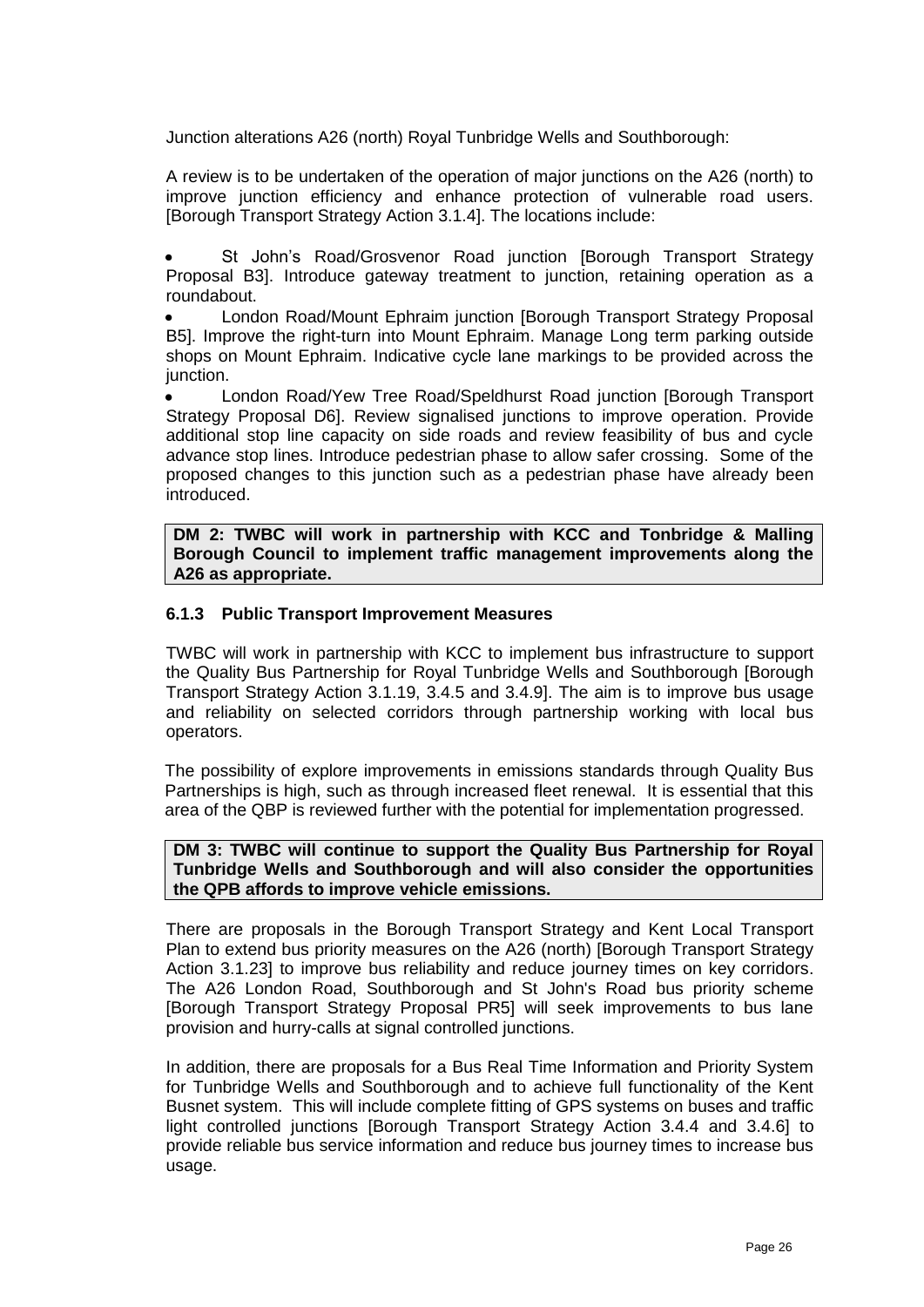Junction alterations A26 (north) Royal Tunbridge Wells and Southborough:

A review is to be undertaken of the operation of major junctions on the A26 (north) to improve junction efficiency and enhance protection of vulnerable road users. [Borough Transport Strategy Action 3.1.4]. The locations include:

St John"s Road/Grosvenor Road junction [Borough Transport Strategy Proposal B3]. Introduce gateway treatment to junction, retaining operation as a roundabout.

London Road/Mount Ephraim junction [Borough Transport Strategy Proposal B5]. Improve the right-turn into Mount Ephraim. Manage Long term parking outside shops on Mount Ephraim. Indicative cycle lane markings to be provided across the junction.

London Road/Yew Tree Road/Speldhurst Road junction [Borough Transport Strategy Proposal D6]. Review signalised junctions to improve operation. Provide additional stop line capacity on side roads and review feasibility of bus and cycle advance stop lines. Introduce pedestrian phase to allow safer crossing. Some of the proposed changes to this junction such as a pedestrian phase have already been introduced.

**DM 2: TWBC will work in partnership with KCC and Tonbridge & Malling Borough Council to implement traffic management improvements along the A26 as appropriate.**

#### **6.1.3 Public Transport Improvement Measures**

TWBC will work in partnership with KCC to implement bus infrastructure to support the Quality Bus Partnership for Royal Tunbridge Wells and Southborough [Borough Transport Strategy Action 3.1.19, 3.4.5 and 3.4.9]. The aim is to improve bus usage and reliability on selected corridors through partnership working with local bus operators.

The possibility of explore improvements in emissions standards through Quality Bus Partnerships is high, such as through increased fleet renewal. It is essential that this area of the QBP is reviewed further with the potential for implementation progressed.

#### **DM 3: TWBC will continue to support the Quality Bus Partnership for Royal Tunbridge Wells and Southborough and will also consider the opportunities the QPB affords to improve vehicle emissions.**

There are proposals in the Borough Transport Strategy and Kent Local Transport Plan to extend bus priority measures on the A26 (north) [Borough Transport Strategy Action 3.1.23] to improve bus reliability and reduce journey times on key corridors. The A26 London Road, Southborough and St John's Road bus priority scheme [Borough Transport Strategy Proposal PR5] will seek improvements to bus lane provision and hurry-calls at signal controlled junctions.

In addition, there are proposals for a Bus Real Time Information and Priority System for Tunbridge Wells and Southborough and to achieve full functionality of the Kent Busnet system. This will include complete fitting of GPS systems on buses and traffic light controlled junctions [Borough Transport Strategy Action 3.4.4 and 3.4.6] to provide reliable bus service information and reduce bus journey times to increase bus usage.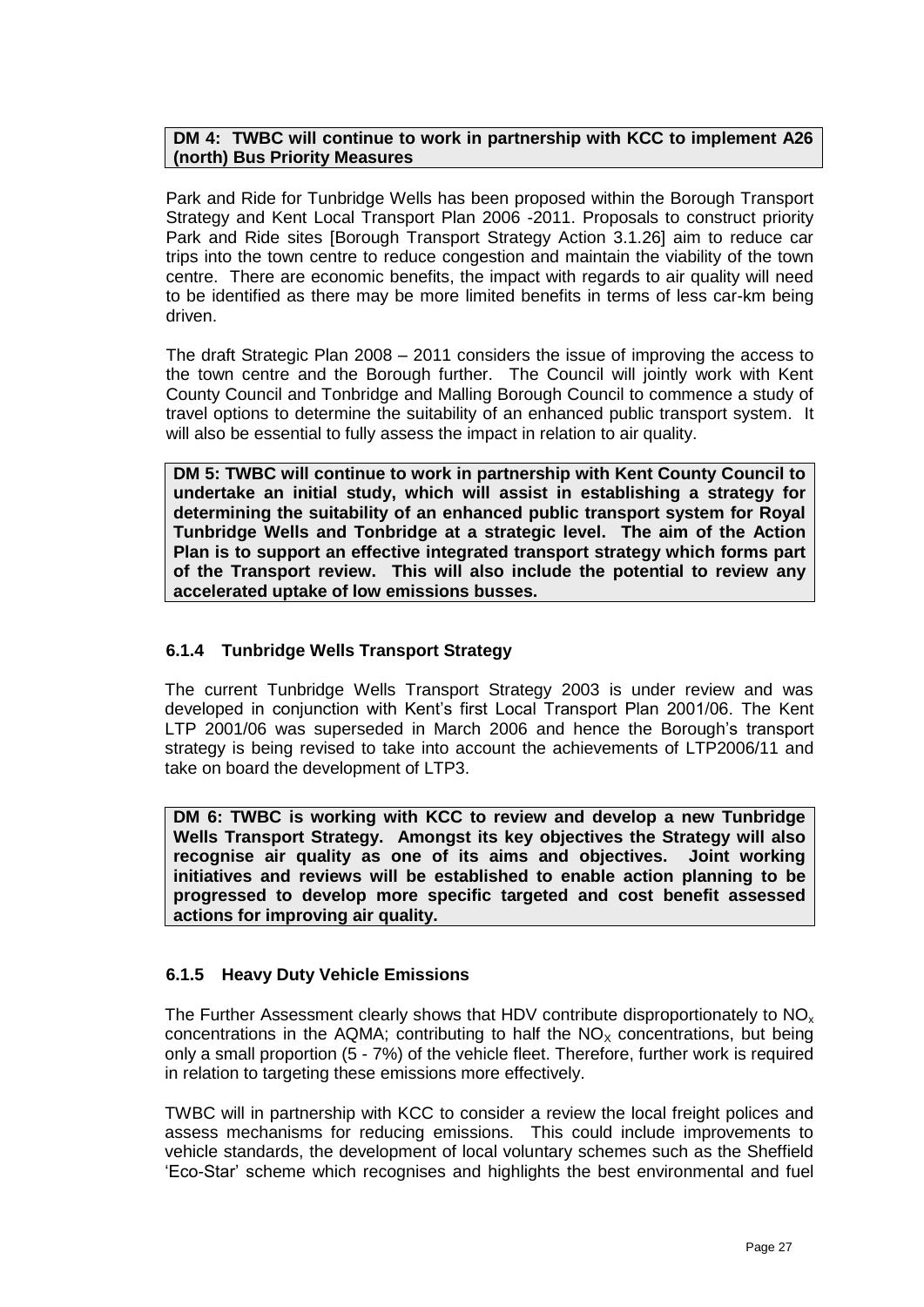#### **DM 4: TWBC will continue to work in partnership with KCC to implement A26 (north) Bus Priority Measures**

Park and Ride for Tunbridge Wells has been proposed within the Borough Transport Strategy and Kent Local Transport Plan 2006 -2011. Proposals to construct priority Park and Ride sites [Borough Transport Strategy Action 3.1.26] aim to reduce car trips into the town centre to reduce congestion and maintain the viability of the town centre. There are economic benefits, the impact with regards to air quality will need to be identified as there may be more limited benefits in terms of less car-km being driven.

The draft Strategic Plan 2008 – 2011 considers the issue of improving the access to the town centre and the Borough further. The Council will jointly work with Kent County Council and Tonbridge and Malling Borough Council to commence a study of travel options to determine the suitability of an enhanced public transport system. It will also be essential to fully assess the impact in relation to air quality.

**DM 5: TWBC will continue to work in partnership with Kent County Council to undertake an initial study, which will assist in establishing a strategy for determining the suitability of an enhanced public transport system for Royal Tunbridge Wells and Tonbridge at a strategic level. The aim of the Action Plan is to support an effective integrated transport strategy which forms part of the Transport review. This will also include the potential to review any accelerated uptake of low emissions busses.**

## **6.1.4 Tunbridge Wells Transport Strategy**

The current Tunbridge Wells Transport Strategy 2003 is under review and was developed in conjunction with Kent"s first Local Transport Plan 2001/06. The Kent LTP 2001/06 was superseded in March 2006 and hence the Borough's transport strategy is being revised to take into account the achievements of LTP2006/11 and take on board the development of LTP3.

**DM 6: TWBC is working with KCC to review and develop a new Tunbridge Wells Transport Strategy. Amongst its key objectives the Strategy will also recognise air quality as one of its aims and objectives. Joint working initiatives and reviews will be established to enable action planning to be progressed to develop more specific targeted and cost benefit assessed actions for improving air quality.**

## **6.1.5 Heavy Duty Vehicle Emissions**

The Further Assessment clearly shows that HDV contribute disproportionately to  $NO<sub>x</sub>$ concentrations in the AQMA; contributing to half the  $NO<sub>x</sub>$  concentrations, but being only a small proportion (5 - 7%) of the vehicle fleet. Therefore, further work is required in relation to targeting these emissions more effectively.

TWBC will in partnership with KCC to consider a review the local freight polices and assess mechanisms for reducing emissions. This could include improvements to vehicle standards, the development of local voluntary schemes such as the Sheffield "Eco-Star" scheme which recognises and highlights the best environmental and fuel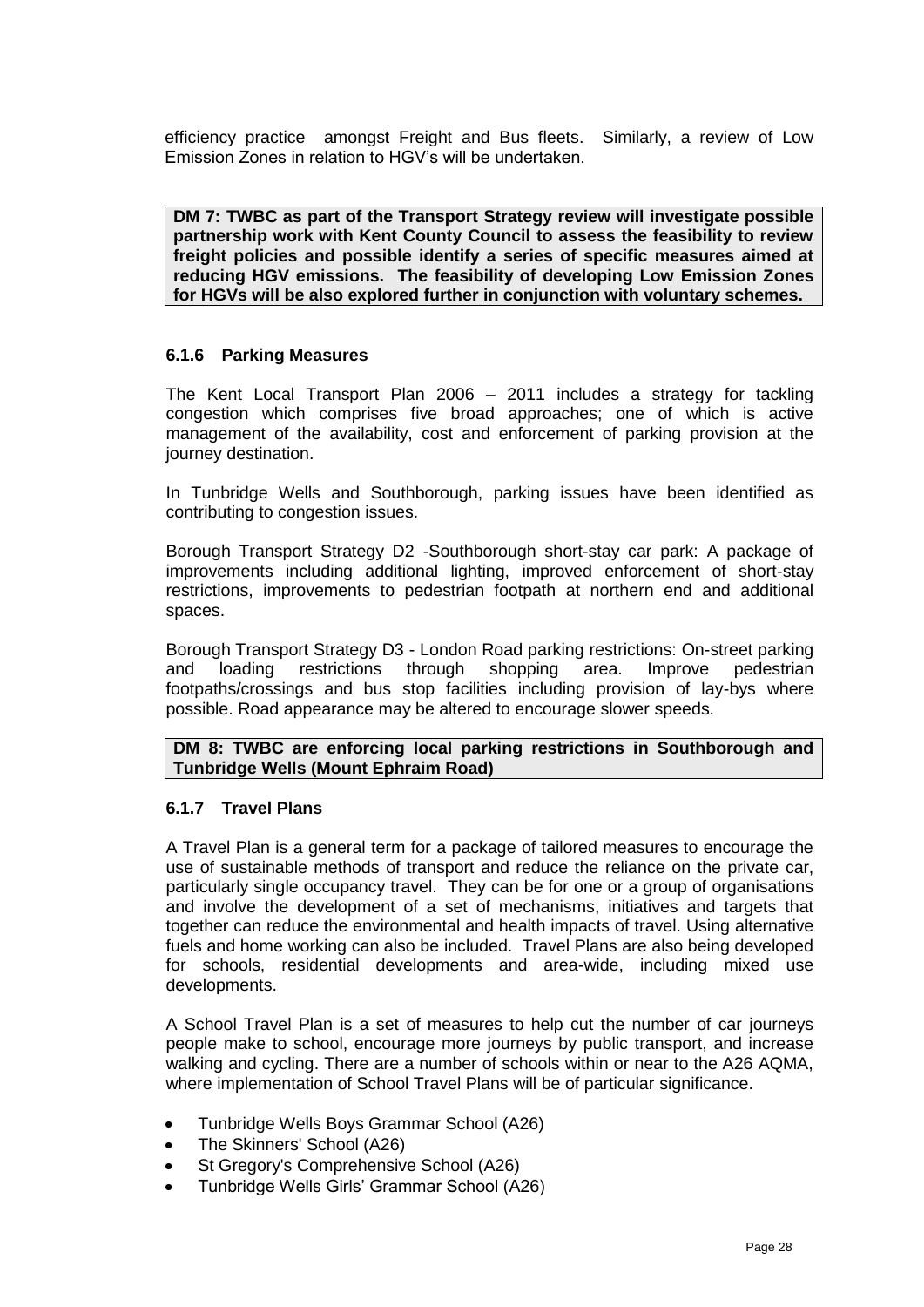efficiency practice amongst Freight and Bus fleets. Similarly, a review of Low Emission Zones in relation to HGV"s will be undertaken.

**DM 7: TWBC as part of the Transport Strategy review will investigate possible partnership work with Kent County Council to assess the feasibility to review freight policies and possible identify a series of specific measures aimed at reducing HGV emissions. The feasibility of developing Low Emission Zones for HGVs will be also explored further in conjunction with voluntary schemes.**

#### **6.1.6 Parking Measures**

The Kent Local Transport Plan 2006 – 2011 includes a strategy for tackling congestion which comprises five broad approaches; one of which is active management of the availability, cost and enforcement of parking provision at the journey destination.

In Tunbridge Wells and Southborough, parking issues have been identified as contributing to congestion issues.

Borough Transport Strategy D2 -Southborough short-stay car park: A package of improvements including additional lighting, improved enforcement of short-stay restrictions, improvements to pedestrian footpath at northern end and additional spaces.

Borough Transport Strategy D3 - London Road parking restrictions: On-street parking and loading restrictions through shopping area. Improve pedestrian footpaths/crossings and bus stop facilities including provision of lay-bys where possible. Road appearance may be altered to encourage slower speeds.

**DM 8: TWBC are enforcing local parking restrictions in Southborough and Tunbridge Wells (Mount Ephraim Road)**

#### **6.1.7 Travel Plans**

A Travel Plan is a general term for a package of tailored measures to encourage the use of sustainable methods of transport and reduce the reliance on the private car, particularly single occupancy travel. They can be for one or a group of organisations and involve the development of a set of mechanisms, initiatives and targets that together can reduce the environmental and health impacts of travel. Using alternative fuels and home working can also be included. Travel Plans are also being developed for schools, residential developments and area-wide, including mixed use developments.

A School Travel Plan is a set of measures to help cut the number of car journeys people make to school, encourage more journeys by public transport, and increase walking and cycling. There are a number of schools within or near to the A26 AQMA, where implementation of School Travel Plans will be of particular significance.

- Tunbridge Wells Boys Grammar School (A26)
- The Skinners' School (A26)  $\bullet$
- St Gregory's Comprehensive School (A26)
- Tunbridge Wells Girls" Grammar School (A26)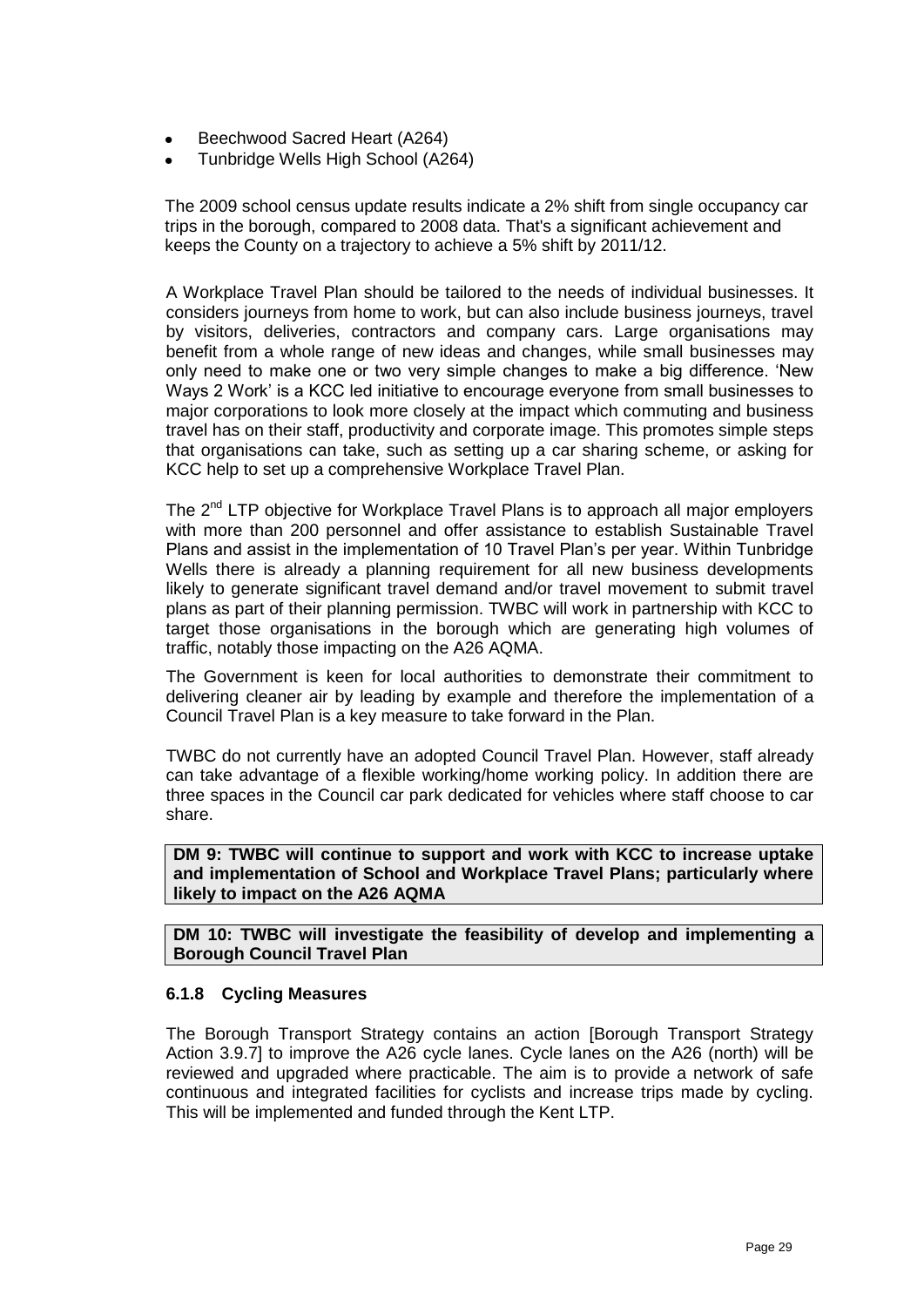- Beechwood Sacred Heart (A264)
- Tunbridge Wells High School (A264)

The 2009 school census update results indicate a 2% shift from single occupancy car trips in the borough, compared to 2008 data. That's a significant achievement and keeps the County on a trajectory to achieve a 5% shift by 2011/12.

A Workplace Travel Plan should be tailored to the needs of individual businesses. It considers journeys from home to work, but can also include business journeys, travel by visitors, deliveries, contractors and company cars. Large organisations may benefit from a whole range of new ideas and changes, while small businesses may only need to make one or two very simple changes to make a big difference. "New Ways 2 Work" is a KCC led initiative to encourage everyone from small businesses to major corporations to look more closely at the impact which commuting and business travel has on their staff, productivity and corporate image. This promotes simple steps that organisations can take, such as setting up a car sharing scheme, or asking for KCC help to set up a comprehensive Workplace Travel Plan.

The  $2^{nd}$  LTP objective for Workplace Travel Plans is to approach all major employers with more than 200 personnel and offer assistance to establish Sustainable Travel Plans and assist in the implementation of 10 Travel Plan"s per year. Within Tunbridge Wells there is already a planning requirement for all new business developments likely to generate significant travel demand and/or travel movement to submit travel plans as part of their planning permission. TWBC will work in partnership with KCC to target those organisations in the borough which are generating high volumes of traffic, notably those impacting on the A26 AQMA.

The Government is keen for local authorities to demonstrate their commitment to delivering cleaner air by leading by example and therefore the implementation of a Council Travel Plan is a key measure to take forward in the Plan.

TWBC do not currently have an adopted Council Travel Plan. However, staff already can take advantage of a flexible working/home working policy. In addition there are three spaces in the Council car park dedicated for vehicles where staff choose to car share.

**DM 9: TWBC will continue to support and work with KCC to increase uptake and implementation of School and Workplace Travel Plans; particularly where likely to impact on the A26 AQMA**

**DM 10: TWBC will investigate the feasibility of develop and implementing a Borough Council Travel Plan**

## **6.1.8 Cycling Measures**

The Borough Transport Strategy contains an action [Borough Transport Strategy Action 3.9.7] to improve the A26 cycle lanes. Cycle lanes on the A26 (north) will be reviewed and upgraded where practicable. The aim is to provide a network of safe continuous and integrated facilities for cyclists and increase trips made by cycling. This will be implemented and funded through the Kent LTP.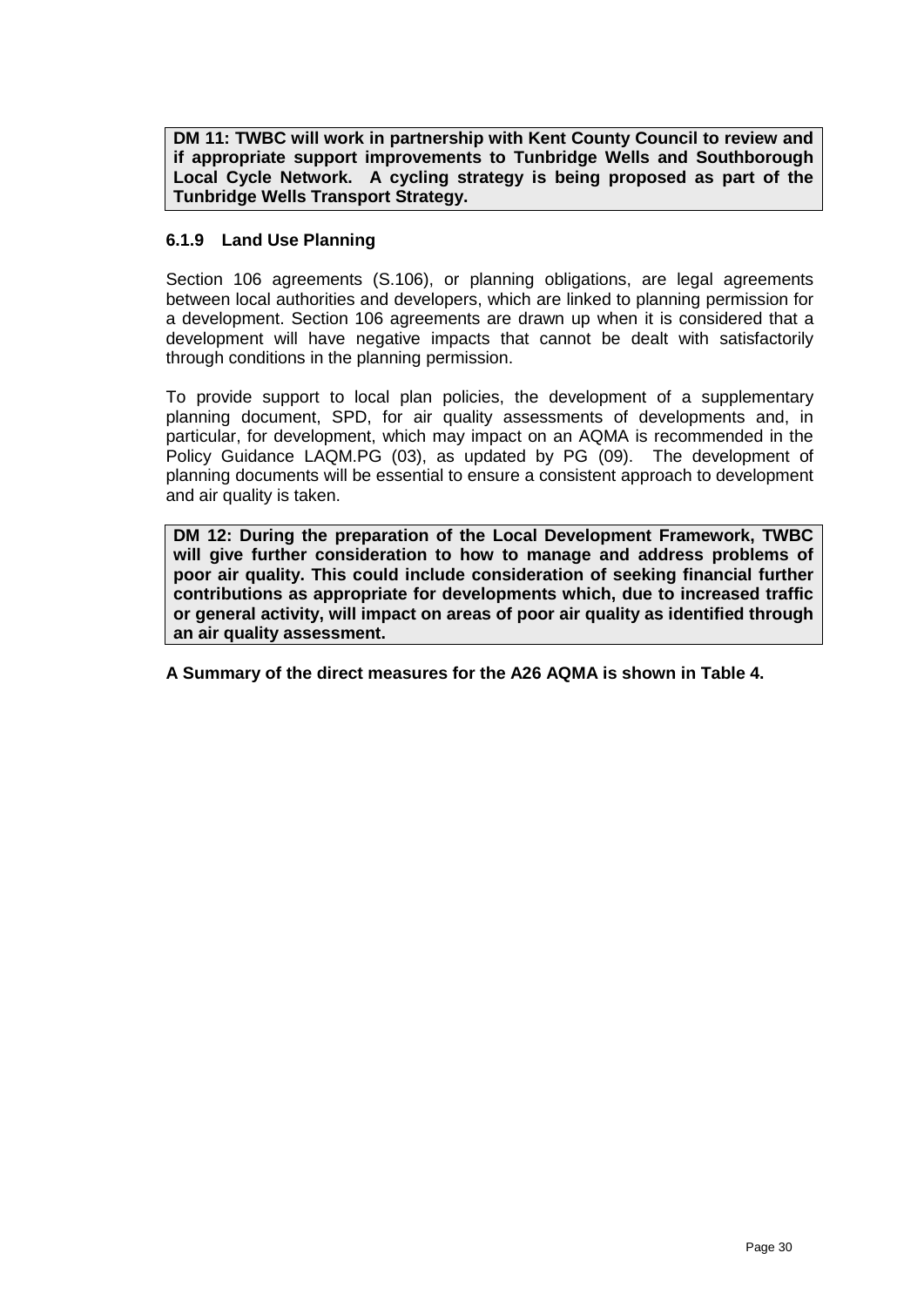**DM 11: TWBC will work in partnership with Kent County Council to review and if appropriate support improvements to Tunbridge Wells and Southborough Local Cycle Network. A cycling strategy is being proposed as part of the Tunbridge Wells Transport Strategy.**

## **6.1.9 Land Use Planning**

Section 106 agreements (S.106), or planning obligations, are legal agreements between local authorities and developers, which are linked to planning permission for a development. Section 106 agreements are drawn up when it is considered that a development will have negative impacts that cannot be dealt with satisfactorily through conditions in the planning permission.

To provide support to local plan policies, the development of a supplementary planning document, SPD, for air quality assessments of developments and, in particular, for development, which may impact on an AQMA is recommended in the Policy Guidance LAQM.PG (03), as updated by PG (09). The development of planning documents will be essential to ensure a consistent approach to development and air quality is taken.

**DM 12: During the preparation of the Local Development Framework, TWBC will give further consideration to how to manage and address problems of poor air quality. This could include consideration of seeking financial further contributions as appropriate for developments which, due to increased traffic or general activity, will impact on areas of poor air quality as identified through an air quality assessment.**

**A Summary of the direct measures for the A26 AQMA is shown in Table 4.**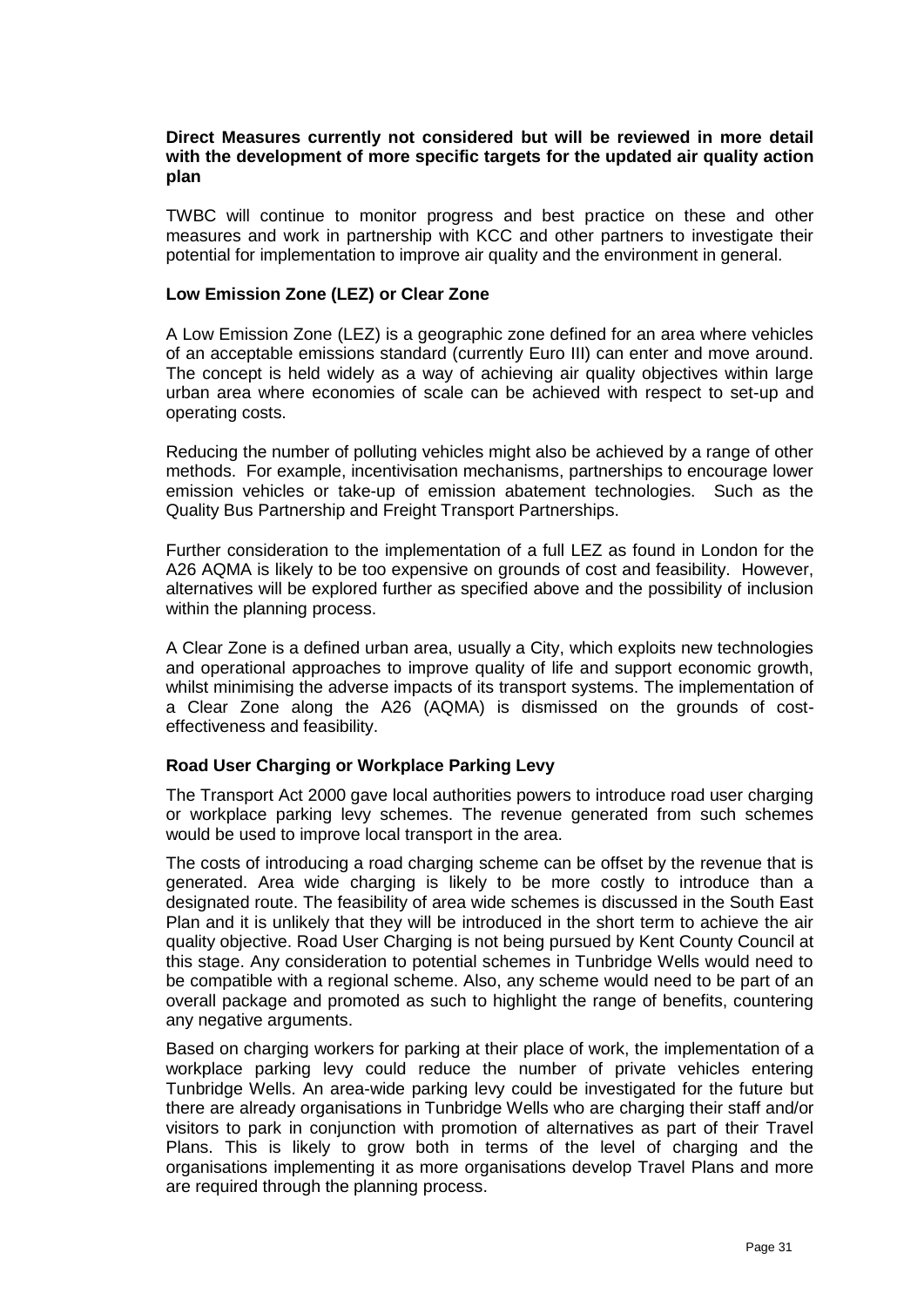#### **Direct Measures currently not considered but will be reviewed in more detail with the development of more specific targets for the updated air quality action plan**

TWBC will continue to monitor progress and best practice on these and other measures and work in partnership with KCC and other partners to investigate their potential for implementation to improve air quality and the environment in general.

#### **Low Emission Zone (LEZ) or Clear Zone**

A Low Emission Zone (LEZ) is a geographic zone defined for an area where vehicles of an acceptable emissions standard (currently Euro III) can enter and move around. The concept is held widely as a way of achieving air quality objectives within large urban area where economies of scale can be achieved with respect to set-up and operating costs.

Reducing the number of polluting vehicles might also be achieved by a range of other methods. For example, incentivisation mechanisms, partnerships to encourage lower emission vehicles or take-up of emission abatement technologies. Such as the Quality Bus Partnership and Freight Transport Partnerships.

Further consideration to the implementation of a full LEZ as found in London for the A26 AQMA is likely to be too expensive on grounds of cost and feasibility. However, alternatives will be explored further as specified above and the possibility of inclusion within the planning process.

A Clear Zone is a defined urban area, usually a City, which exploits new technologies and operational approaches to improve quality of life and support economic growth, whilst minimising the adverse impacts of its transport systems. The implementation of a Clear Zone along the A26 (AQMA) is dismissed on the grounds of costeffectiveness and feasibility.

## **Road User Charging or Workplace Parking Levy**

The Transport Act 2000 gave local authorities powers to introduce road user charging or workplace parking levy schemes. The revenue generated from such schemes would be used to improve local transport in the area.

The costs of introducing a road charging scheme can be offset by the revenue that is generated. Area wide charging is likely to be more costly to introduce than a designated route. The feasibility of area wide schemes is discussed in the South East Plan and it is unlikely that they will be introduced in the short term to achieve the air quality objective. Road User Charging is not being pursued by Kent County Council at this stage. Any consideration to potential schemes in Tunbridge Wells would need to be compatible with a regional scheme. Also, any scheme would need to be part of an overall package and promoted as such to highlight the range of benefits, countering any negative arguments.

Based on charging workers for parking at their place of work, the implementation of a workplace parking levy could reduce the number of private vehicles entering Tunbridge Wells. An area-wide parking levy could be investigated for the future but there are already organisations in Tunbridge Wells who are charging their staff and/or visitors to park in conjunction with promotion of alternatives as part of their Travel Plans. This is likely to grow both in terms of the level of charging and the organisations implementing it as more organisations develop Travel Plans and more are required through the planning process.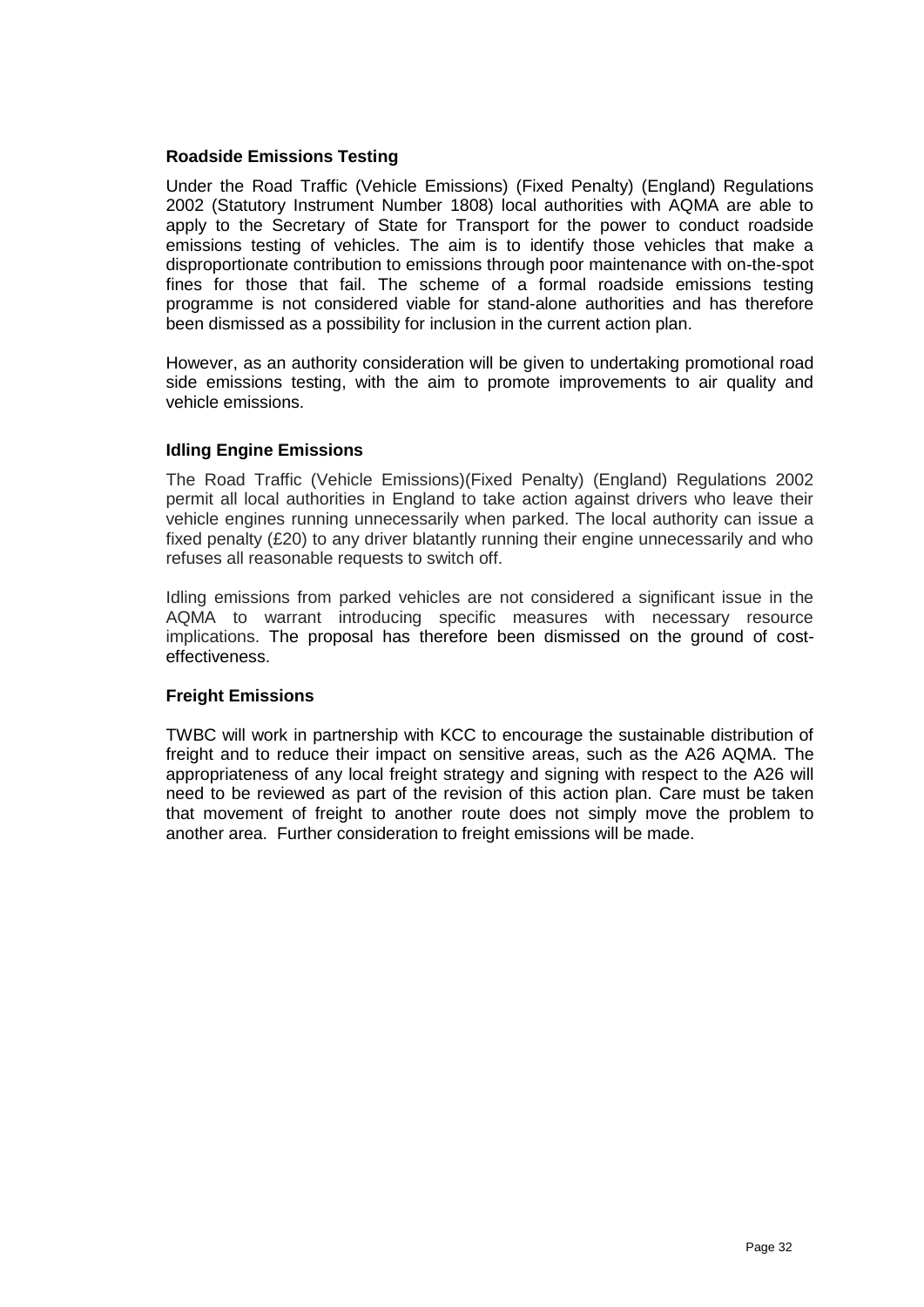#### **Roadside Emissions Testing**

Under the Road Traffic (Vehicle Emissions) (Fixed Penalty) (England) Regulations 2002 (Statutory Instrument Number 1808) local authorities with AQMA are able to apply to the Secretary of State for Transport for the power to conduct roadside emissions testing of vehicles. The aim is to identify those vehicles that make a disproportionate contribution to emissions through poor maintenance with on-the-spot fines for those that fail. The scheme of a formal roadside emissions testing programme is not considered viable for stand-alone authorities and has therefore been dismissed as a possibility for inclusion in the current action plan.

However, as an authority consideration will be given to undertaking promotional road side emissions testing, with the aim to promote improvements to air quality and vehicle emissions.

#### **Idling Engine Emissions**

The Road Traffic (Vehicle Emissions)(Fixed Penalty) (England) Regulations 2002 permit all local authorities in England to take action against drivers who leave their vehicle engines running unnecessarily when parked. The local authority can issue a fixed penalty (£20) to any driver blatantly running their engine unnecessarily and who refuses all reasonable requests to switch off.

Idling emissions from parked vehicles are not considered a significant issue in the AQMA to warrant introducing specific measures with necessary resource implications. The proposal has therefore been dismissed on the ground of costeffectiveness.

## **Freight Emissions**

TWBC will work in partnership with KCC to encourage the sustainable distribution of freight and to reduce their impact on sensitive areas, such as the A26 AQMA. The appropriateness of any local freight strategy and signing with respect to the A26 will need to be reviewed as part of the revision of this action plan. Care must be taken that movement of freight to another route does not simply move the problem to another area. Further consideration to freight emissions will be made.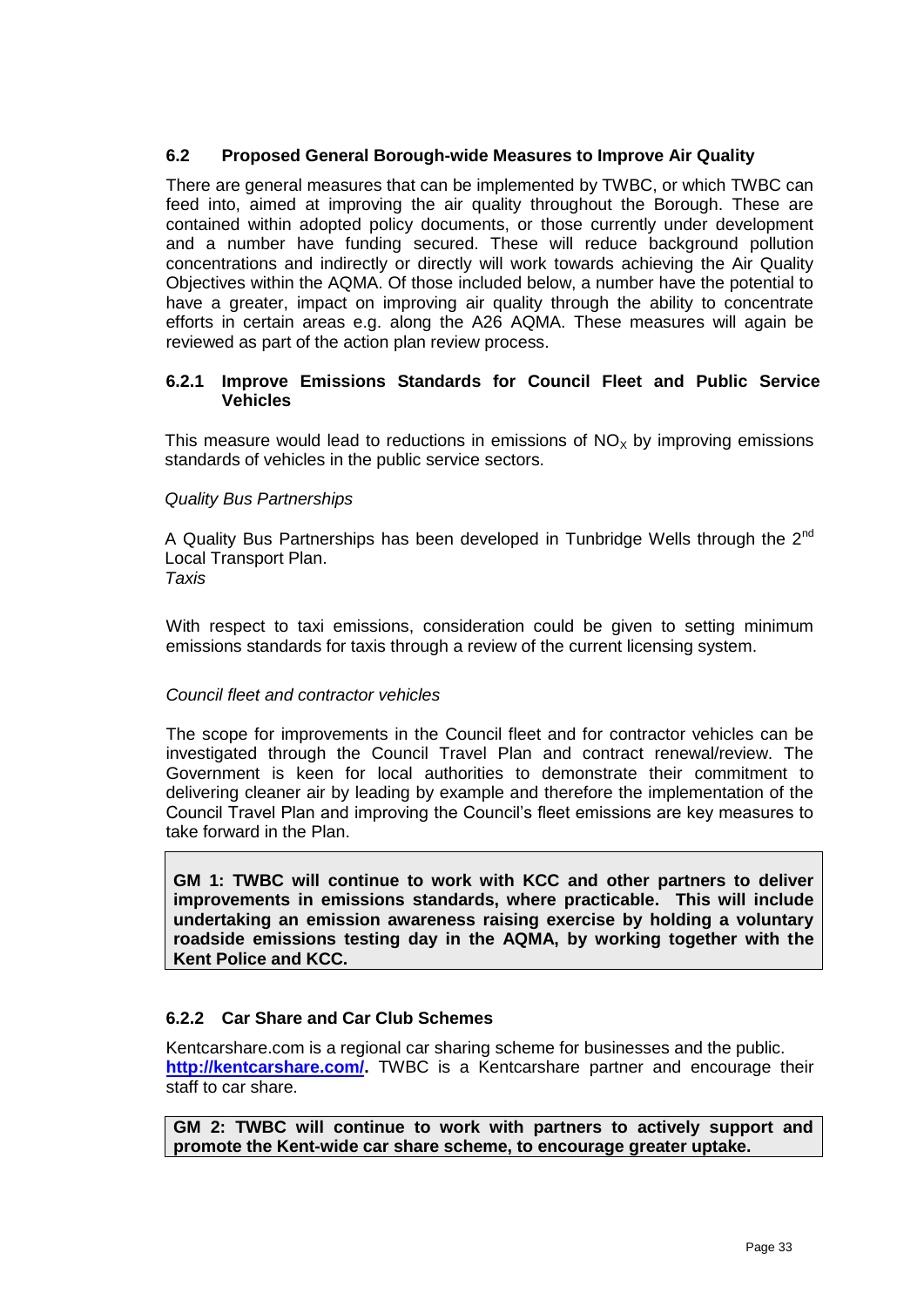# **6.2 Proposed General Borough-wide Measures to Improve Air Quality**

There are general measures that can be implemented by TWBC, or which TWBC can feed into, aimed at improving the air quality throughout the Borough. These are contained within adopted policy documents, or those currently under development and a number have funding secured. These will reduce background pollution concentrations and indirectly or directly will work towards achieving the Air Quality Objectives within the AQMA. Of those included below, a number have the potential to have a greater, impact on improving air quality through the ability to concentrate efforts in certain areas e.g. along the A26 AQMA. These measures will again be reviewed as part of the action plan review process.

## **6.2.1 Improve Emissions Standards for Council Fleet and Public Service Vehicles**

This measure would lead to reductions in emissions of  $NO<sub>x</sub>$  by improving emissions standards of vehicles in the public service sectors.

## *Quality Bus Partnerships*

A Quality Bus Partnerships has been developed in Tunbridge Wells through the 2<sup>nd</sup> Local Transport Plan. *Taxis*

With respect to taxi emissions, consideration could be given to setting minimum emissions standards for taxis through a review of the current licensing system.

## *Council fleet and contractor vehicles*

The scope for improvements in the Council fleet and for contractor vehicles can be investigated through the Council Travel Plan and contract renewal/review. The Government is keen for local authorities to demonstrate their commitment to delivering cleaner air by leading by example and therefore the implementation of the Council Travel Plan and improving the Council"s fleet emissions are key measures to take forward in the Plan.

**GM 1: TWBC will continue to work with KCC and other partners to deliver improvements in emissions standards, where practicable. This will include undertaking an emission awareness raising exercise by holding a voluntary roadside emissions testing day in the AQMA, by working together with the Kent Police and KCC.**

## **6.2.2 Car Share and Car Club Schemes**

Kentcarshare.com is a regional car sharing scheme for businesses and the public. **[http://kentcarshare.com/.](http://kentcarshare.com/)** TWBC is a Kentcarshare partner and encourage their staff to car share.

**GM 2: TWBC will continue to work with partners to actively support and promote the Kent-wide car share scheme, to encourage greater uptake.**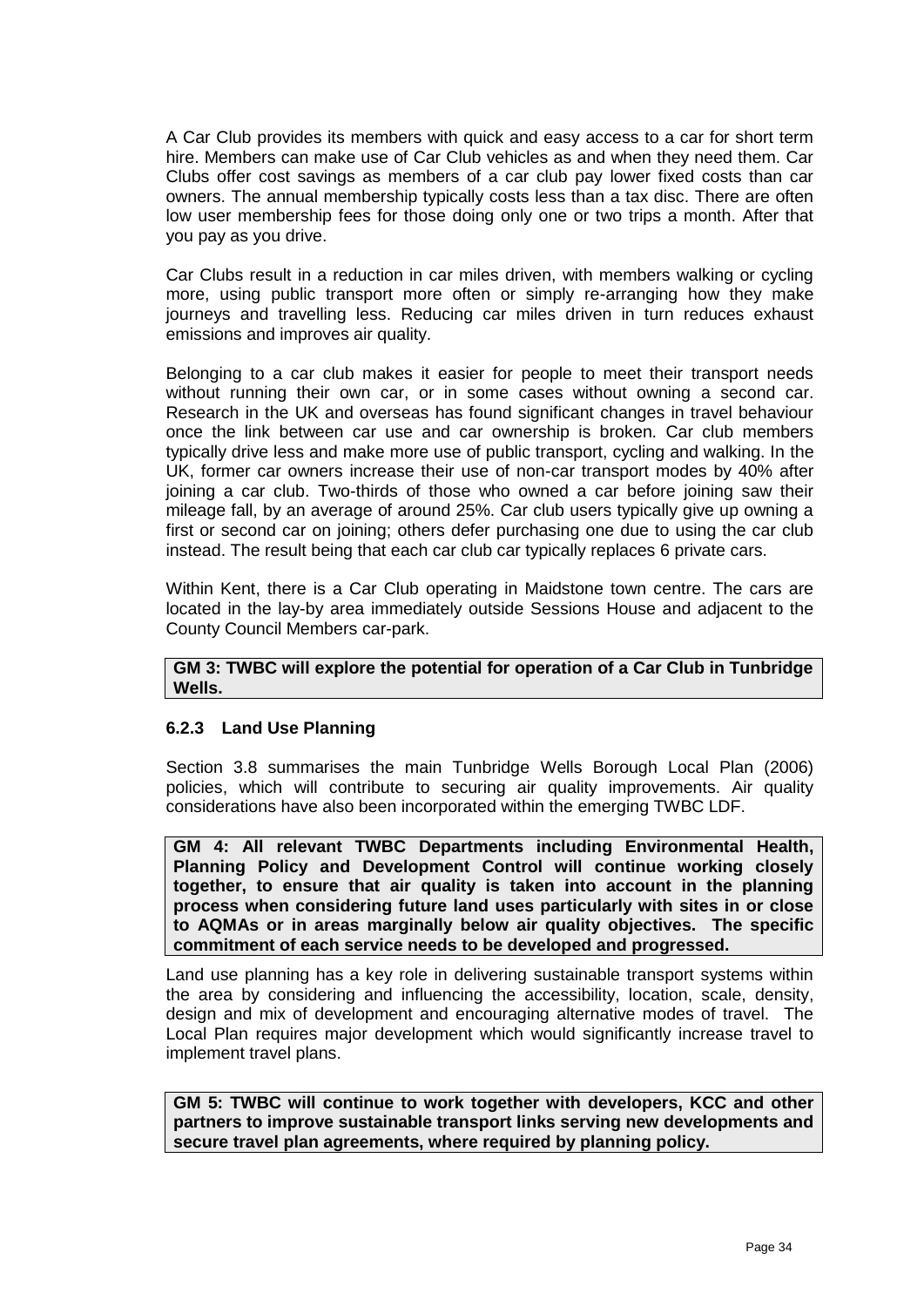A Car Club provides its members with quick and easy access to a car for short term hire. Members can make use of Car Club vehicles as and when they need them. Car Clubs offer cost savings as members of a car club pay lower fixed costs than car owners. The annual membership typically costs less than a tax disc. There are often low user membership fees for those doing only one or two trips a month. After that you pay as you drive.

Car Clubs result in a reduction in car miles driven, with members walking or cycling more, using public transport more often or simply re-arranging how they make journeys and travelling less. Reducing car miles driven in turn reduces exhaust emissions and improves air quality.

Belonging to a car club makes it easier for people to meet their transport needs without running their own car, or in some cases without owning a second car. Research in the UK and overseas has found significant changes in travel behaviour once the link between car use and car ownership is broken. Car club members typically drive less and make more use of public transport, cycling and walking. In the UK, former car owners increase their use of non-car transport modes by 40% after joining a car club. Two-thirds of those who owned a car before joining saw their mileage fall, by an average of around 25%. Car club users typically give up owning a first or second car on joining; others defer purchasing one due to using the car club instead. The result being that each car club car typically replaces 6 private cars.

Within Kent, there is a Car Club operating in Maidstone town centre. The cars are located in the lay-by area immediately outside Sessions House and adjacent to the County Council Members car-park.

#### **GM 3: TWBC will explore the potential for operation of a Car Club in Tunbridge Wells.**

## **6.2.3 Land Use Planning**

Section 3.8 summarises the main Tunbridge Wells Borough Local Plan (2006) policies, which will contribute to securing air quality improvements. Air quality considerations have also been incorporated within the emerging TWBC LDF.

**GM 4: All relevant TWBC Departments including Environmental Health, Planning Policy and Development Control will continue working closely together, to ensure that air quality is taken into account in the planning process when considering future land uses particularly with sites in or close to AQMAs or in areas marginally below air quality objectives. The specific commitment of each service needs to be developed and progressed.**

Land use planning has a key role in delivering sustainable transport systems within the area by considering and influencing the accessibility, location, scale, density, design and mix of development and encouraging alternative modes of travel. The Local Plan requires major development which would significantly increase travel to implement travel plans.

**GM 5: TWBC will continue to work together with developers, KCC and other partners to improve sustainable transport links serving new developments and secure travel plan agreements, where required by planning policy.**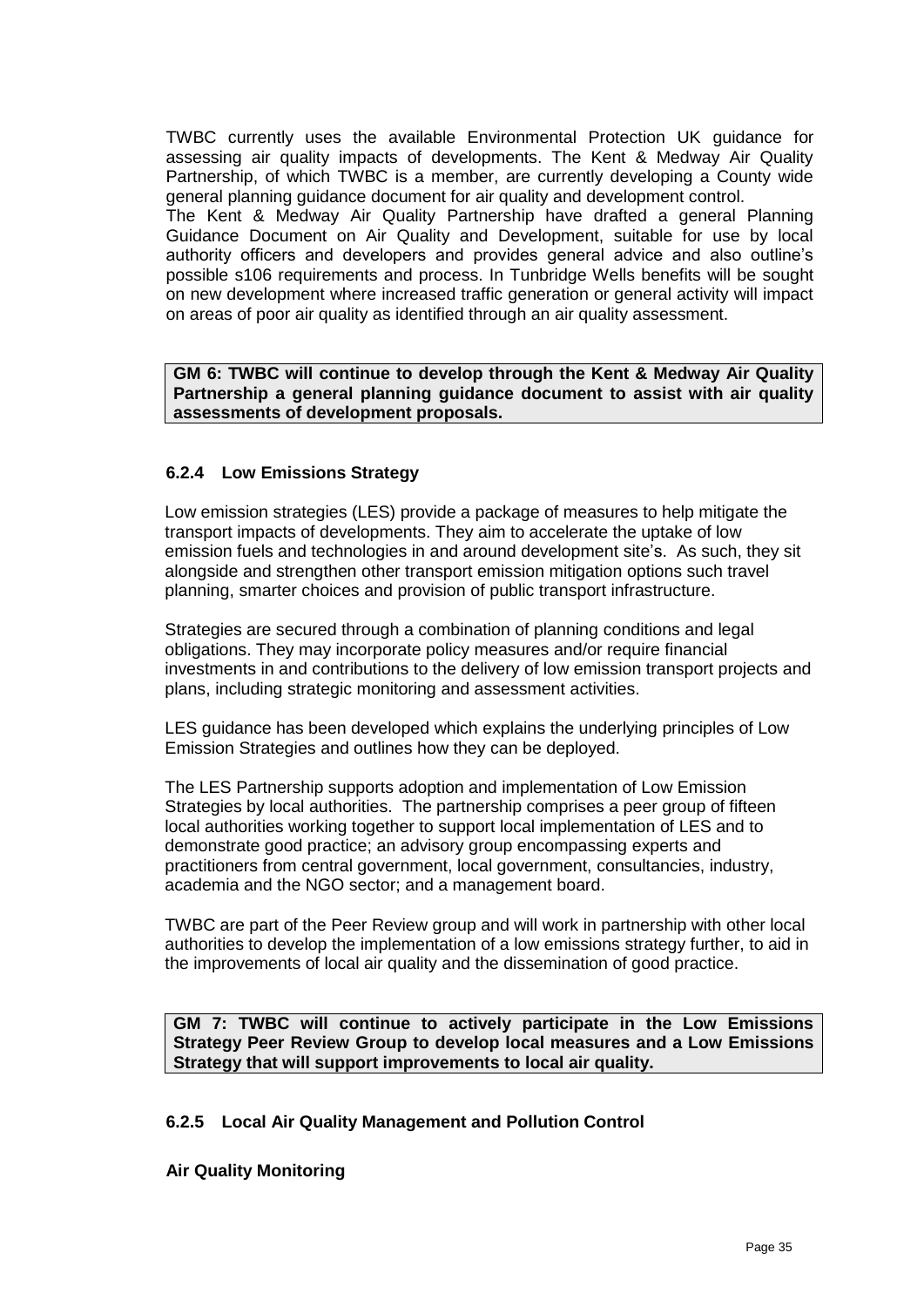TWBC currently uses the available Environmental Protection UK guidance for assessing air quality impacts of developments. The Kent & Medway Air Quality Partnership, of which TWBC is a member, are currently developing a County wide general planning guidance document for air quality and development control.

The Kent & Medway Air Quality Partnership have drafted a general Planning Guidance Document on Air Quality and Development, suitable for use by local authority officers and developers and provides general advice and also outline"s possible s106 requirements and process. In Tunbridge Wells benefits will be sought on new development where increased traffic generation or general activity will impact on areas of poor air quality as identified through an air quality assessment.

**GM 6: TWBC will continue to develop through the Kent & Medway Air Quality Partnership a general planning guidance document to assist with air quality assessments of development proposals.**

## **6.2.4 Low Emissions Strategy**

Low emission strategies (LES) provide a package of measures to help mitigate the transport impacts of developments. They aim to accelerate the uptake of low emission fuels and technologies in and around development site's. As such, they sit alongside and strengthen other transport emission mitigation options such travel planning, smarter choices and provision of public transport infrastructure.

Strategies are secured through a combination of planning conditions and legal obligations. They may incorporate policy measures and/or require financial investments in and contributions to the delivery of low emission transport projects and plans, including strategic monitoring and assessment activities.

LES guidance has been developed which explains the underlying principles of Low Emission Strategies and outlines how they can be deployed.

The LES Partnership supports adoption and implementation of Low Emission Strategies by local authorities. The partnership comprises a peer group of fifteen local authorities working together to support local implementation of LES and to demonstrate good practice; an advisory group encompassing experts and practitioners from central government, local government, consultancies, industry, academia and the NGO sector; and a management board.

TWBC are part of the Peer Review group and will work in partnership with other local authorities to develop the implementation of a low emissions strategy further, to aid in the improvements of local air quality and the dissemination of good practice.

**GM 7: TWBC will continue to actively participate in the Low Emissions Strategy Peer Review Group to develop local measures and a Low Emissions Strategy that will support improvements to local air quality.**

## **6.2.5 Local Air Quality Management and Pollution Control**

**Air Quality Monitoring**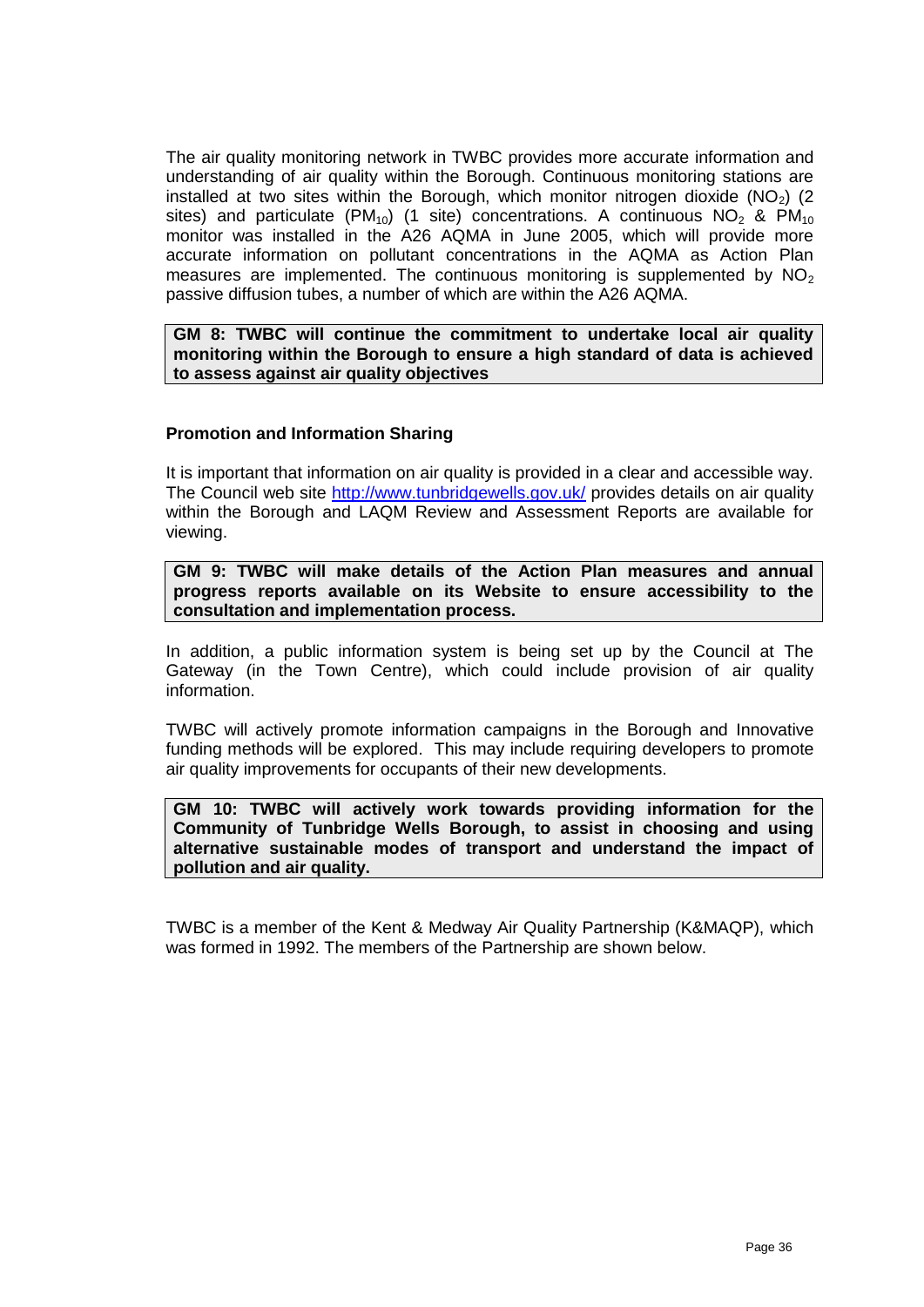The air quality monitoring network in TWBC provides more accurate information and understanding of air quality within the Borough. Continuous monitoring stations are installed at two sites within the Borough, which monitor nitrogen dioxide ( $NO<sub>2</sub>$ ) (2) sites) and particulate (PM<sub>10</sub>) (1 site) concentrations. A continuous NO<sub>2</sub> & PM<sub>10</sub> monitor was installed in the A26 AQMA in June 2005, which will provide more accurate information on pollutant concentrations in the AQMA as Action Plan measures are implemented. The continuous monitoring is supplemented by  $NO<sub>2</sub>$ passive diffusion tubes, a number of which are within the A26 AQMA.

**GM 8: TWBC will continue the commitment to undertake local air quality monitoring within the Borough to ensure a high standard of data is achieved to assess against air quality objectives**

#### **Promotion and Information Sharing**

It is important that information on air quality is provided in a clear and accessible way. The Council web site <http://www.tunbridgewells.gov.uk/> provides details on air quality within the Borough and LAQM Review and Assessment Reports are available for viewing.

**GM 9: TWBC will make details of the Action Plan measures and annual progress reports available on its Website to ensure accessibility to the consultation and implementation process.** 

In addition, a public information system is being set up by the Council at The Gateway (in the Town Centre), which could include provision of air quality information.

TWBC will actively promote information campaigns in the Borough and Innovative funding methods will be explored. This may include requiring developers to promote air quality improvements for occupants of their new developments.

**GM 10: TWBC will actively work towards providing information for the Community of Tunbridge Wells Borough, to assist in choosing and using alternative sustainable modes of transport and understand the impact of pollution and air quality.**

TWBC is a member of the Kent & Medway Air Quality Partnership (K&MAQP), which was formed in 1992. The members of the Partnership are shown below.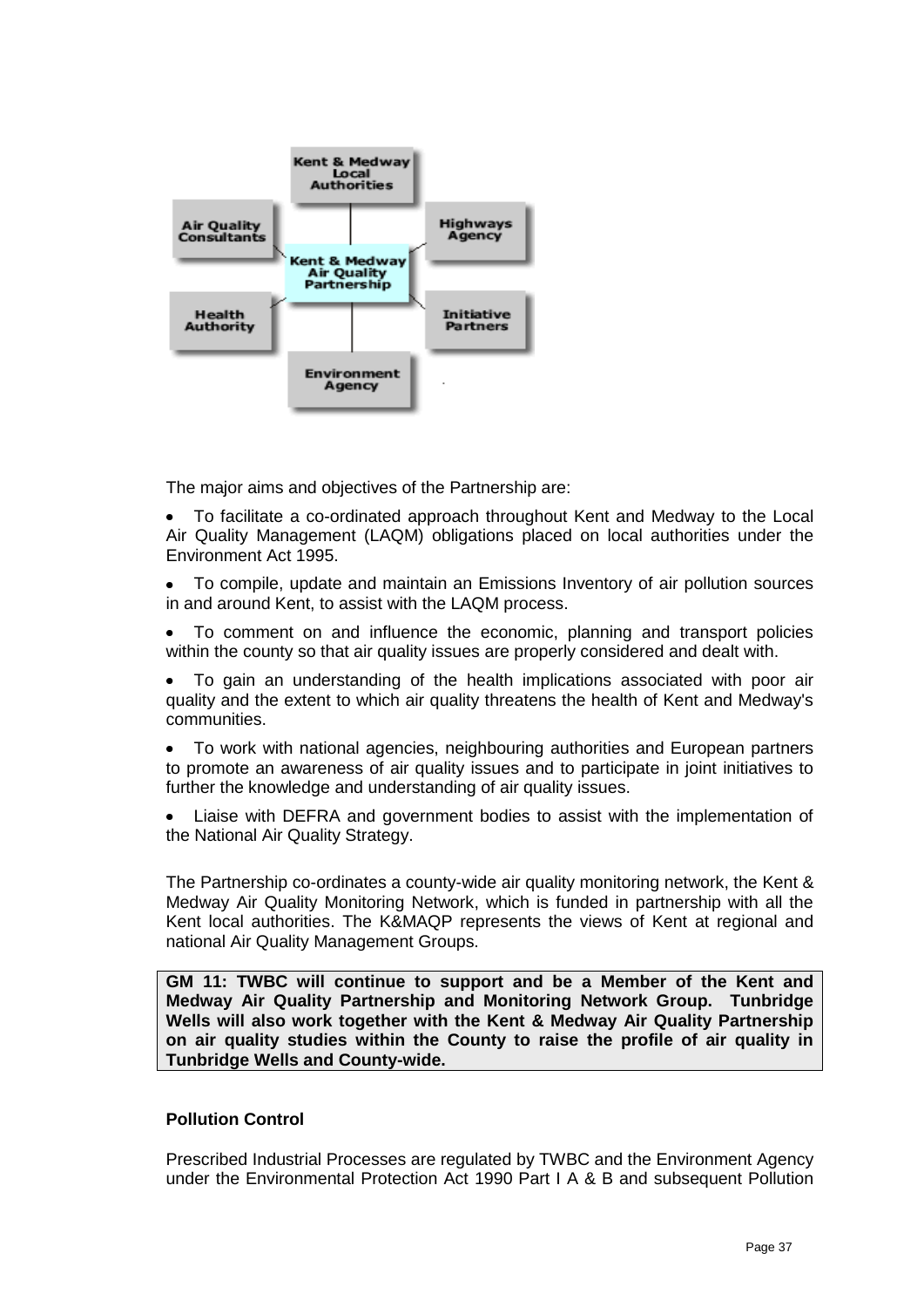

The major aims and objectives of the Partnership are:

 $\bullet$ To facilitate a co-ordinated approach throughout Kent and Medway to the Local Air Quality Management (LAQM) obligations placed on local authorities under the Environment Act 1995.

To compile, update and maintain an Emissions Inventory of air pollution sources  $\bullet$ in and around Kent, to assist with the LAQM process.

To comment on and influence the economic, planning and transport policies  $\bullet$ within the county so that air quality issues are properly considered and dealt with.

 $\bullet$ To gain an understanding of the health implications associated with poor air quality and the extent to which air quality threatens the health of Kent and Medway's communities.

To work with national agencies, neighbouring authorities and European partners to promote an awareness of air quality issues and to participate in joint initiatives to further the knowledge and understanding of air quality issues.

Liaise with DEFRA and government bodies to assist with the implementation of the National Air Quality Strategy.

The Partnership co-ordinates a county-wide air quality monitoring network, the Kent & Medway Air Quality Monitoring Network, which is funded in partnership with all the Kent local authorities. The K&MAQP represents the views of Kent at regional and national Air Quality Management Groups.

**GM 11: TWBC will continue to support and be a Member of the Kent and Medway Air Quality Partnership and Monitoring Network Group. Tunbridge Wells will also work together with the Kent & Medway Air Quality Partnership on air quality studies within the County to raise the profile of air quality in Tunbridge Wells and County-wide.**

#### **Pollution Control**

Prescribed Industrial Processes are regulated by TWBC and the Environment Agency under the Environmental Protection Act 1990 Part I A & B and subsequent Pollution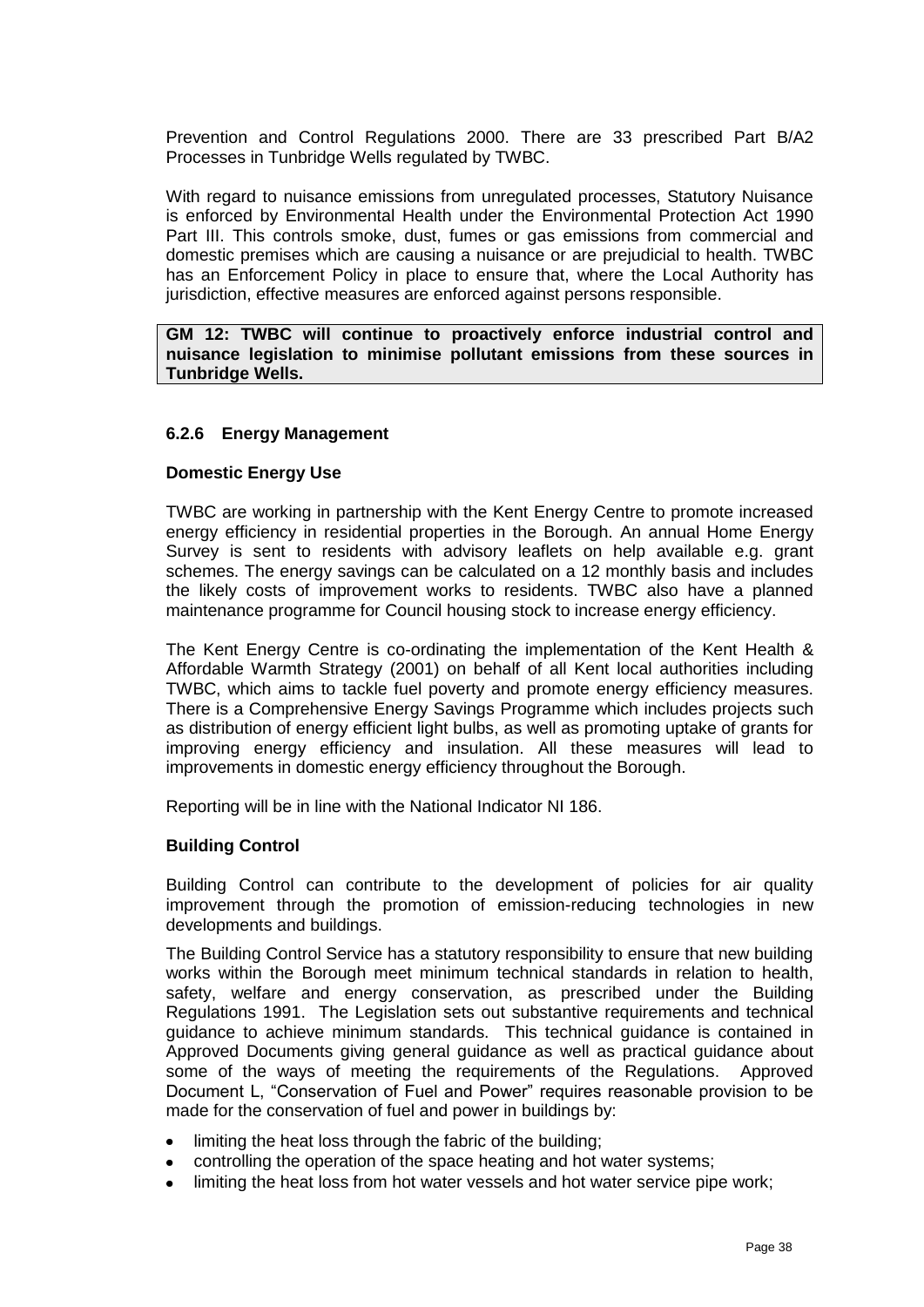Prevention and Control Regulations 2000. There are 33 prescribed Part B/A2 Processes in Tunbridge Wells regulated by TWBC.

With regard to nuisance emissions from unregulated processes, Statutory Nuisance is enforced by Environmental Health under the Environmental Protection Act 1990 Part III. This controls smoke, dust, fumes or gas emissions from commercial and domestic premises which are causing a nuisance or are prejudicial to health. TWBC has an Enforcement Policy in place to ensure that, where the Local Authority has jurisdiction, effective measures are enforced against persons responsible.

**GM 12: TWBC will continue to proactively enforce industrial control and nuisance legislation to minimise pollutant emissions from these sources in Tunbridge Wells.**

#### **6.2.6 Energy Management**

#### **Domestic Energy Use**

TWBC are working in partnership with the Kent Energy Centre to promote increased energy efficiency in residential properties in the Borough. An annual Home Energy Survey is sent to residents with advisory leaflets on help available e.g. grant schemes. The energy savings can be calculated on a 12 monthly basis and includes the likely costs of improvement works to residents. TWBC also have a planned maintenance programme for Council housing stock to increase energy efficiency.

The Kent Energy Centre is co-ordinating the implementation of the Kent Health & Affordable Warmth Strategy (2001) on behalf of all Kent local authorities including TWBC, which aims to tackle fuel poverty and promote energy efficiency measures. There is a Comprehensive Energy Savings Programme which includes projects such as distribution of energy efficient light bulbs, as well as promoting uptake of grants for improving energy efficiency and insulation. All these measures will lead to improvements in domestic energy efficiency throughout the Borough.

Reporting will be in line with the National Indicator NI 186.

#### **Building Control**

Building Control can contribute to the development of policies for air quality improvement through the promotion of emission-reducing technologies in new developments and buildings.

The Building Control Service has a statutory responsibility to ensure that new building works within the Borough meet minimum technical standards in relation to health, safety, welfare and energy conservation, as prescribed under the Building Regulations 1991. The Legislation sets out substantive requirements and technical guidance to achieve minimum standards. This technical guidance is contained in Approved Documents giving general guidance as well as practical guidance about some of the ways of meeting the requirements of the Regulations. Approved Document L, "Conservation of Fuel and Power" requires reasonable provision to be made for the conservation of fuel and power in buildings by:

- limiting the heat loss through the fabric of the building;
- controlling the operation of the space heating and hot water systems;  $\bullet$
- limiting the heat loss from hot water vessels and hot water service pipe work;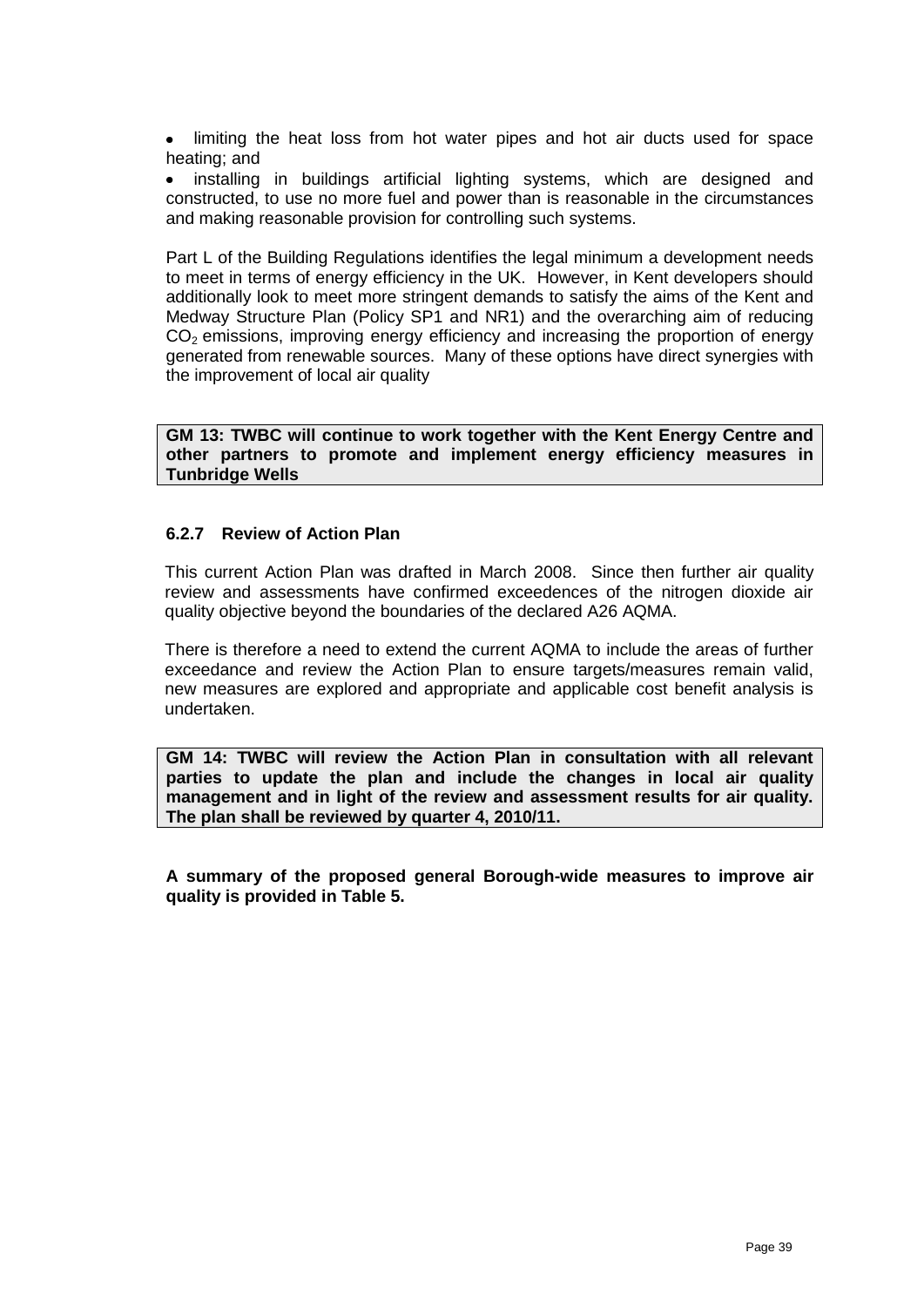• limiting the heat loss from hot water pipes and hot air ducts used for space heating; and

 $\bullet$ installing in buildings artificial lighting systems, which are designed and constructed, to use no more fuel and power than is reasonable in the circumstances and making reasonable provision for controlling such systems.

Part L of the Building Regulations identifies the legal minimum a development needs to meet in terms of energy efficiency in the UK. However, in Kent developers should additionally look to meet more stringent demands to satisfy the aims of the Kent and Medway Structure Plan (Policy SP1 and NR1) and the overarching aim of reducing  $CO<sub>2</sub>$  emissions, improving energy efficiency and increasing the proportion of energy generated from renewable sources. Many of these options have direct synergies with the improvement of local air quality

**GM 13: TWBC will continue to work together with the Kent Energy Centre and other partners to promote and implement energy efficiency measures in Tunbridge Wells**

#### **6.2.7 Review of Action Plan**

This current Action Plan was drafted in March 2008. Since then further air quality review and assessments have confirmed exceedences of the nitrogen dioxide air quality objective beyond the boundaries of the declared A26 AQMA.

There is therefore a need to extend the current AQMA to include the areas of further exceedance and review the Action Plan to ensure targets/measures remain valid, new measures are explored and appropriate and applicable cost benefit analysis is undertaken.

**GM 14: TWBC will review the Action Plan in consultation with all relevant parties to update the plan and include the changes in local air quality management and in light of the review and assessment results for air quality. The plan shall be reviewed by quarter 4, 2010/11.**

**A summary of the proposed general Borough-wide measures to improve air quality is provided in Table 5.**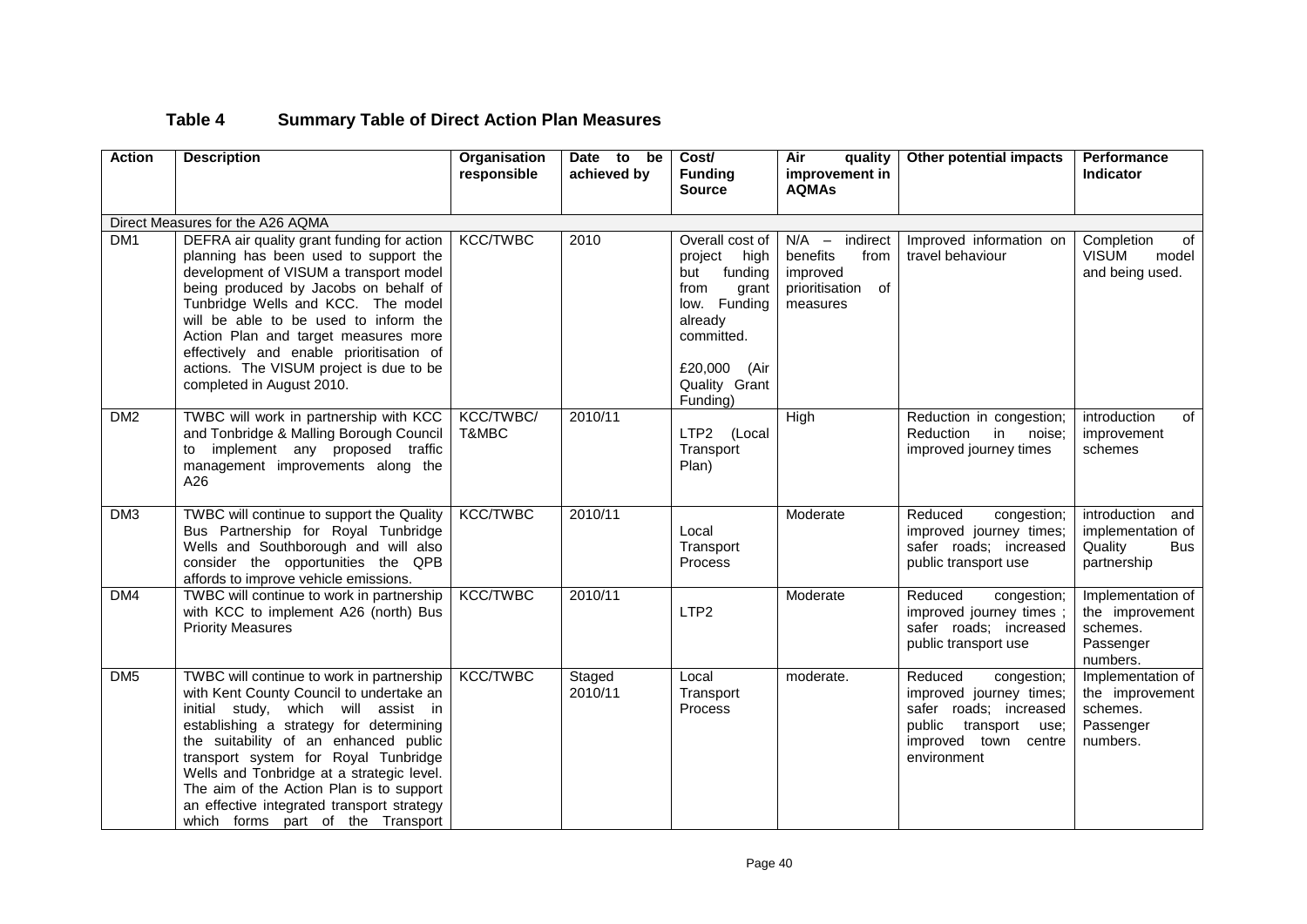# **Table 4 Summary Table of Direct Action Plan Measures**

| <b>Action</b>   | <b>Description</b>                                                                                                                                                                                                                                                                                                                                                                                                                   | Organisation<br>responsible | Date to<br>be<br>achieved by | Cost/<br><b>Funding</b><br><b>Source</b>                                                                                                                 | Air<br>quality<br>improvement in<br><b>AQMAs</b>                                  | Other potential impacts                                                                                                                        | <b>Performance</b><br>Indicator                                                  |  |  |  |
|-----------------|--------------------------------------------------------------------------------------------------------------------------------------------------------------------------------------------------------------------------------------------------------------------------------------------------------------------------------------------------------------------------------------------------------------------------------------|-----------------------------|------------------------------|----------------------------------------------------------------------------------------------------------------------------------------------------------|-----------------------------------------------------------------------------------|------------------------------------------------------------------------------------------------------------------------------------------------|----------------------------------------------------------------------------------|--|--|--|
|                 | Direct Measures for the A26 AQMA                                                                                                                                                                                                                                                                                                                                                                                                     |                             |                              |                                                                                                                                                          |                                                                                   |                                                                                                                                                |                                                                                  |  |  |  |
| DM <sub>1</sub> | DEFRA air quality grant funding for action<br>planning has been used to support the<br>development of VISUM a transport model<br>being produced by Jacobs on behalf of<br>Tunbridge Wells and KCC. The model<br>will be able to be used to inform the<br>Action Plan and target measures more<br>effectively and enable prioritisation of<br>actions. The VISUM project is due to be<br>completed in August 2010.                    | <b>KCC/TWBC</b>             | 2010                         | Overall cost of<br>project high<br>but funding<br>from<br>grant<br>low. Funding<br>already<br>committed.<br>£20,000<br>(Air<br>Quality Grant<br>Funding) | $N/A$ - indirect<br>benefits<br>from<br>improved<br>prioritisation of<br>measures | Improved information on<br>travel behaviour                                                                                                    | Completion<br>of<br><b>VISUM</b><br>model<br>and being used.                     |  |  |  |
| DM2             | TWBC will work in partnership with KCC<br>and Tonbridge & Malling Borough Council<br>implement any proposed traffic<br>to<br>management improvements along the<br>A26                                                                                                                                                                                                                                                                | KCC/TWBC/<br>T&MBC          | 2010/11                      | LTP2 (Local<br>Transport<br>Plan)                                                                                                                        | High                                                                              | Reduction in congestion;<br>Reduction<br>in<br>noise:<br>improved journey times                                                                | introduction<br>of<br>improvement<br>schemes                                     |  |  |  |
| DM <sub>3</sub> | TWBC will continue to support the Quality<br>Bus Partnership for Royal Tunbridge<br>Wells and Southborough and will also<br>consider the opportunities the QPB<br>affords to improve vehicle emissions.                                                                                                                                                                                                                              | <b>KCC/TWBC</b>             | 2010/11                      | Local<br>Transport<br><b>Process</b>                                                                                                                     | Moderate                                                                          | Reduced<br>congestion;<br>improved journey times;<br>safer roads; increased<br>public transport use                                            | introduction<br>and<br>implementation of<br>Quality<br><b>Bus</b><br>partnership |  |  |  |
| DM4             | TWBC will continue to work in partnership<br>with KCC to implement A26 (north) Bus<br><b>Priority Measures</b>                                                                                                                                                                                                                                                                                                                       | <b>KCC/TWBC</b>             | 2010/11                      | LTP <sub>2</sub>                                                                                                                                         | Moderate                                                                          | Reduced<br>congestion;<br>improved journey times;<br>safer roads; increased<br>public transport use                                            | Implementation of<br>the improvement<br>schemes.<br>Passenger<br>numbers.        |  |  |  |
| DM <sub>5</sub> | TWBC will continue to work in partnership<br>with Kent County Council to undertake an<br>initial study, which will assist in<br>establishing a strategy for determining<br>the suitability of an enhanced public<br>transport system for Royal Tunbridge<br>Wells and Tonbridge at a strategic level.<br>The aim of the Action Plan is to support<br>an effective integrated transport strategy<br>which forms part of the Transport | <b>KCC/TWBC</b>             | Staged<br>2010/11            | Local<br>Transport<br>Process                                                                                                                            | moderate.                                                                         | Reduced<br>congestion;<br>improved journey times;<br>safer roads; increased<br>public<br>transport use;<br>improved town centre<br>environment | Implementation of<br>the improvement<br>schemes.<br>Passenger<br>numbers.        |  |  |  |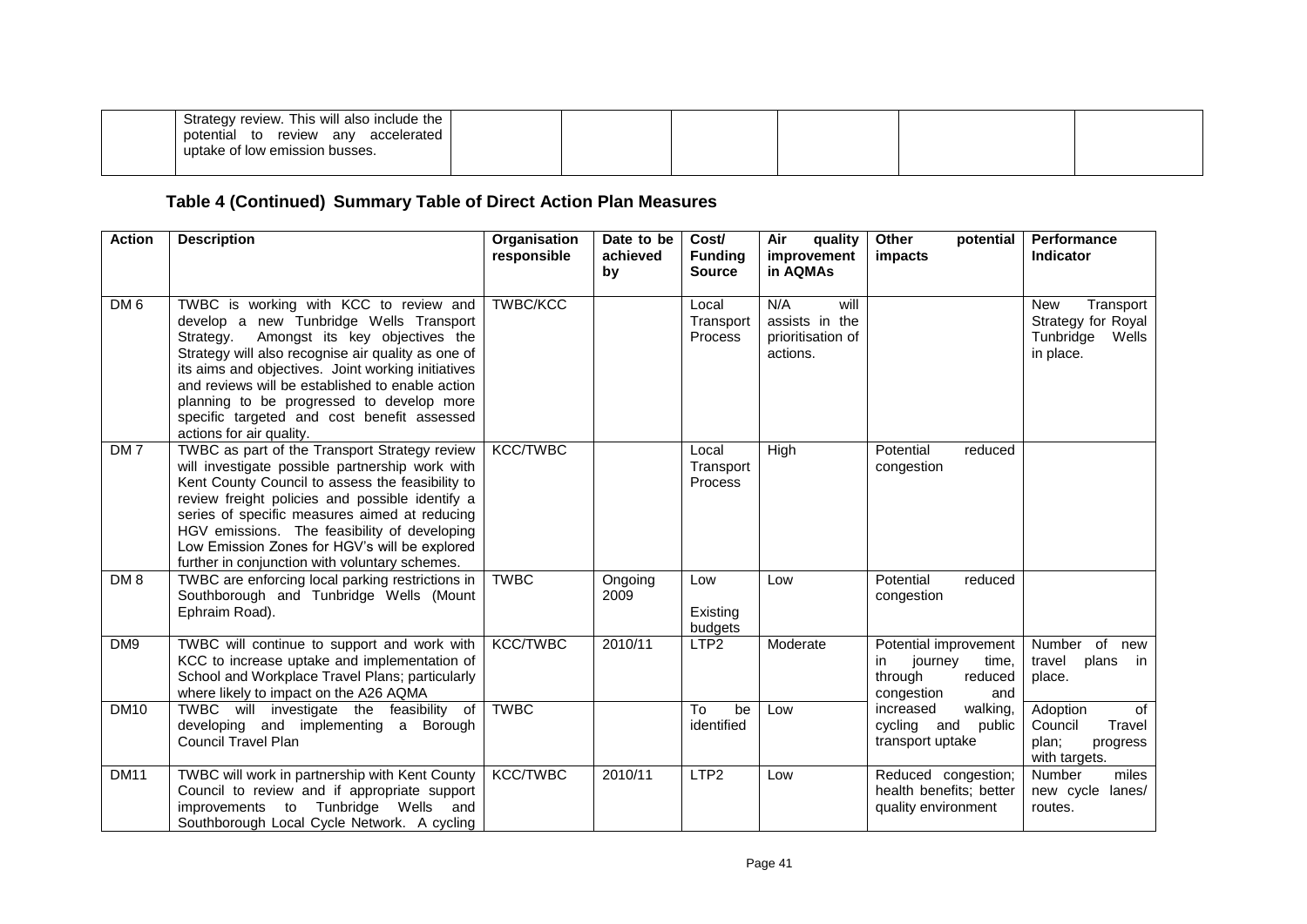| Strategy review. This will also include the<br>potential to review any accelerated<br>uptake of low emission busses. |  |  |  |
|----------------------------------------------------------------------------------------------------------------------|--|--|--|
|                                                                                                                      |  |  |  |

# **Table 4 (Continued) Summary Table of Direct Action Plan Measures**

| <b>Action</b>   | <b>Description</b>                                                                                                                                                                                                                                                                                                                                                                                                       | Organisation<br>responsible | Date to be<br>achieved<br>by | Cost/<br><b>Funding</b><br><b>Source</b> | Air<br>quality<br>improvement<br>in AQMAs                      | Other<br>potential<br>impacts                                                               | <b>Performance</b><br>Indicator                                                  |
|-----------------|--------------------------------------------------------------------------------------------------------------------------------------------------------------------------------------------------------------------------------------------------------------------------------------------------------------------------------------------------------------------------------------------------------------------------|-----------------------------|------------------------------|------------------------------------------|----------------------------------------------------------------|---------------------------------------------------------------------------------------------|----------------------------------------------------------------------------------|
| DM <sub>6</sub> | TWBC is working with KCC to review and<br>develop a new Tunbridge Wells Transport<br>Amongst its key objectives the<br>Strategy.<br>Strategy will also recognise air quality as one of<br>its aims and objectives. Joint working initiatives<br>and reviews will be established to enable action<br>planning to be progressed to develop more<br>specific targeted and cost benefit assessed<br>actions for air quality. | <b>TWBC/KCC</b>             |                              | Local<br>Transport<br><b>Process</b>     | N/A<br>will<br>assists in the<br>prioritisation of<br>actions. |                                                                                             | <b>New</b><br>Transport<br>Strategy for Royal<br>Tunbridge<br>Wells<br>in place. |
| DM <sub>7</sub> | TWBC as part of the Transport Strategy review<br>will investigate possible partnership work with<br>Kent County Council to assess the feasibility to<br>review freight policies and possible identify a<br>series of specific measures aimed at reducing<br>HGV emissions. The feasibility of developing<br>Low Emission Zones for HGV's will be explored<br>further in conjunction with voluntary schemes.              | <b>KCC/TWBC</b>             |                              | Local<br>Transport<br><b>Process</b>     | High                                                           | Potential<br>reduced<br>congestion                                                          |                                                                                  |
| DM <sub>8</sub> | TWBC are enforcing local parking restrictions in<br>Southborough and Tunbridge Wells (Mount<br>Ephraim Road).                                                                                                                                                                                                                                                                                                            | <b>TWBC</b>                 | Ongoing<br>2009              | Low<br>Existing<br>budgets               | Low                                                            | Potential<br>reduced<br>congestion                                                          |                                                                                  |
| DM9             | TWBC will continue to support and work with<br>KCC to increase uptake and implementation of<br>School and Workplace Travel Plans; particularly<br>where likely to impact on the A26 AQMA                                                                                                                                                                                                                                 | <b>KCC/TWBC</b>             | 2010/11                      | LTP <sub>2</sub>                         | Moderate                                                       | Potential improvement<br>journey<br>time,<br>in.<br>through<br>reduced<br>congestion<br>and | Number of<br>new<br>plans<br>travel<br>in in<br>place.                           |
| <b>DM10</b>     | TWBC will investigate the feasibility of<br>developing and implementing a Borough<br><b>Council Travel Plan</b>                                                                                                                                                                                                                                                                                                          | <b>TWBC</b>                 |                              | To<br>be<br>identified                   | Low                                                            | increased<br>walking,<br>cycling and<br>public<br>transport uptake                          | of<br>Adoption<br>Council<br>Travel<br>plan;<br>progress<br>with targets.        |
| <b>DM11</b>     | TWBC will work in partnership with Kent County<br>Council to review and if appropriate support<br>improvements to Tunbridge Wells and<br>Southborough Local Cycle Network. A cycling                                                                                                                                                                                                                                     | <b>KCC/TWBC</b>             | 2010/11                      | LTP <sub>2</sub>                         | Low                                                            | Reduced congestion;<br>health benefits: better<br>quality environment                       | Number<br>miles<br>new cycle<br>lanes/<br>routes.                                |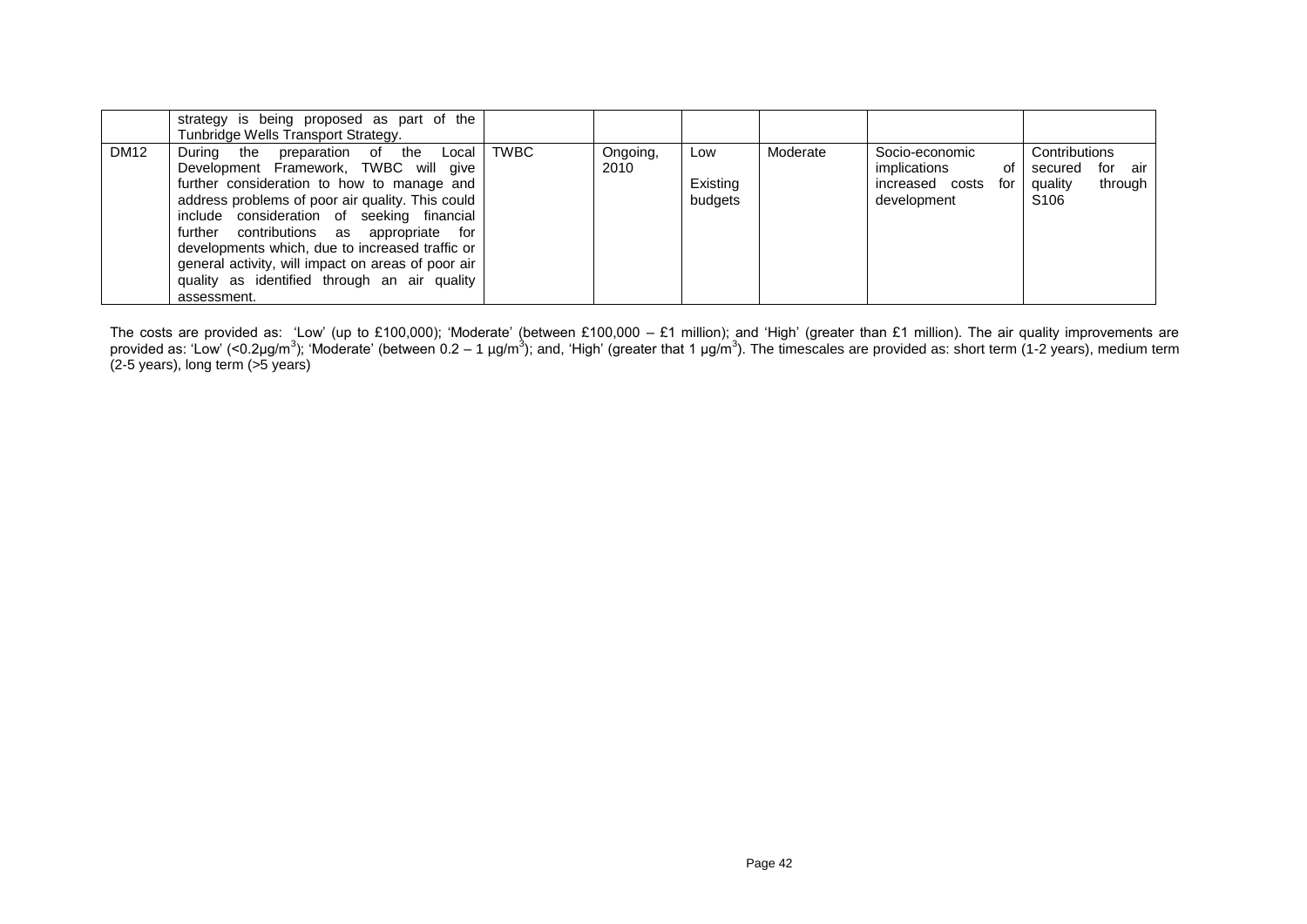|             | strategy is being proposed as part of the<br>Tunbridge Wells Transport Strategy.                                                                                                                                                                                                                                                                                                                                                                      |      |                  |                            |          |                                                                            |                                                                                  |
|-------------|-------------------------------------------------------------------------------------------------------------------------------------------------------------------------------------------------------------------------------------------------------------------------------------------------------------------------------------------------------------------------------------------------------------------------------------------------------|------|------------------|----------------------------|----------|----------------------------------------------------------------------------|----------------------------------------------------------------------------------|
| <b>DM12</b> | During the preparation of the<br>Local I<br>Development Framework, TWBC will give<br>further consideration to how to manage and<br>address problems of poor air quality. This could<br>include consideration of seeking financial<br>further contributions as appropriate for<br>developments which, due to increased traffic or<br>general activity, will impact on areas of poor air<br>quality as identified through an air quality<br>assessment. | TWBC | Ongoing,<br>2010 | Low<br>Existing<br>budgets | Moderate | Socio-economic<br>implications<br>of<br>increased costs for<br>development | Contributions<br>for<br>secured<br>air<br>quality<br>through<br>S <sub>106</sub> |

The costs are provided as: [Low' (up to £100,000); 'Moderate' (between £100,000 – £1 million); and 'High' (greater than £1 million). The air quality improvements are provided as: 'Low' (<0.2µg/m<sup>3</sup>); 'Moderate' (between 0.2 – 1 µg/m<sup>3</sup>); and, 'High' (greater that 1 µg/m<sup>3</sup>). The timescales are provided as: short term (1-2 years), medium term (2-5 years), long term (>5 years)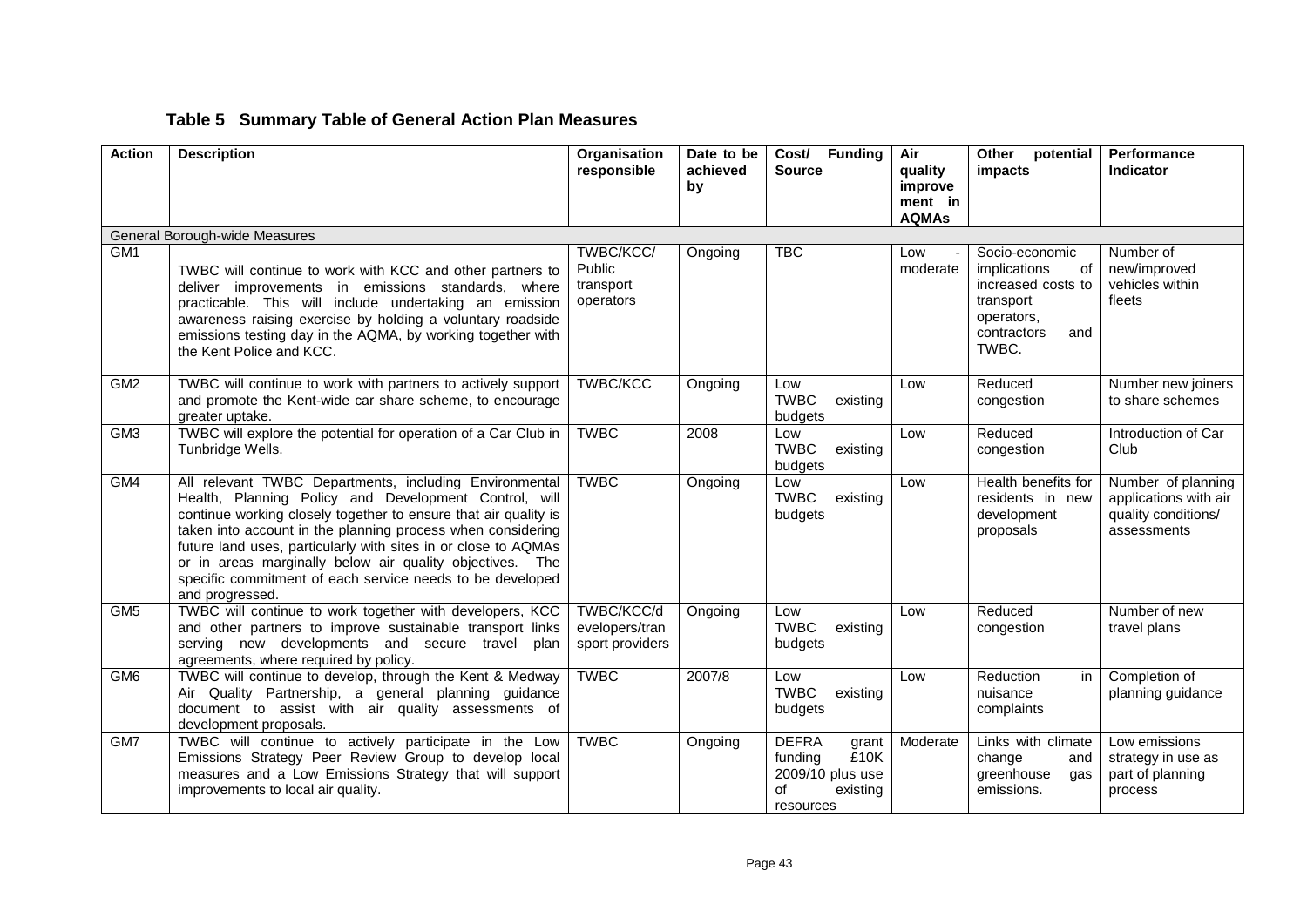# **Table 5 Summary Table of General Action Plan Measures**

| <b>Action</b>   | <b>Description</b>                                                                                                                                                                                                                                                                                                                                                                                                                                              | Organisation<br>responsible                     | Date to be<br>achieved | Cost/ Funding<br><b>Source</b>                                                              | Air<br>quality                     | Other<br>potential<br>impacts                                                                                        | Performance<br>Indicator                                                          |
|-----------------|-----------------------------------------------------------------------------------------------------------------------------------------------------------------------------------------------------------------------------------------------------------------------------------------------------------------------------------------------------------------------------------------------------------------------------------------------------------------|-------------------------------------------------|------------------------|---------------------------------------------------------------------------------------------|------------------------------------|----------------------------------------------------------------------------------------------------------------------|-----------------------------------------------------------------------------------|
|                 |                                                                                                                                                                                                                                                                                                                                                                                                                                                                 |                                                 | by                     |                                                                                             | improve<br>ment in<br><b>AQMAs</b> |                                                                                                                      |                                                                                   |
|                 | General Borough-wide Measures                                                                                                                                                                                                                                                                                                                                                                                                                                   |                                                 |                        |                                                                                             |                                    |                                                                                                                      |                                                                                   |
| GM <sub>1</sub> | TWBC will continue to work with KCC and other partners to<br>deliver improvements in emissions standards, where<br>practicable. This will include undertaking an emission<br>awareness raising exercise by holding a voluntary roadside<br>emissions testing day in the AQMA, by working together with<br>the Kent Police and KCC.                                                                                                                              | TWBC/KCC/<br>Public<br>transport<br>operators   | Ongoing                | <b>TBC</b>                                                                                  | Low<br>moderate                    | Socio-economic<br>implications<br>of<br>increased costs to<br>transport<br>operators,<br>contractors<br>and<br>TWBC. | Number of<br>new/improved<br>vehicles within<br>fleets                            |
| GM2             | TWBC will continue to work with partners to actively support<br>and promote the Kent-wide car share scheme, to encourage<br>greater uptake.                                                                                                                                                                                                                                                                                                                     | <b>TWBC/KCC</b>                                 | Ongoing                | Low<br><b>TWBC</b><br>existing<br>budgets                                                   | Low                                | Reduced<br>congestion                                                                                                | Number new joiners<br>to share schemes                                            |
| GM <sub>3</sub> | TWBC will explore the potential for operation of a Car Club in<br>Tunbridge Wells.                                                                                                                                                                                                                                                                                                                                                                              | <b>TWBC</b>                                     | 2008                   | Low<br><b>TWBC</b><br>existing<br>budgets                                                   | Low                                | Reduced<br>congestion                                                                                                | Introduction of Car<br>Club                                                       |
| GM4             | All relevant TWBC Departments, including Environmental<br>Health, Planning Policy and Development Control, will<br>continue working closely together to ensure that air quality is<br>taken into account in the planning process when considering<br>future land uses, particularly with sites in or close to AQMAs<br>or in areas marginally below air quality objectives. The<br>specific commitment of each service needs to be developed<br>and progressed. | <b>TWBC</b>                                     | Ongoing                | Low<br><b>TWBC</b><br>existing<br>budgets                                                   | Low                                | Health benefits for<br>residents in new<br>development<br>proposals                                                  | Number of planning<br>applications with air<br>quality conditions/<br>assessments |
| GM <sub>5</sub> | TWBC will continue to work together with developers, KCC<br>and other partners to improve sustainable transport links<br>serving new developments and secure travel<br>plan<br>agreements, where required by policy.                                                                                                                                                                                                                                            | TWBC/KCC/d<br>evelopers/tran<br>sport providers | Ongoing                | Low<br><b>TWBC</b><br>existing<br>budgets                                                   | Low                                | Reduced<br>congestion                                                                                                | Number of new<br>travel plans                                                     |
| GM <sub>6</sub> | TWBC will continue to develop, through the Kent & Medway<br>Air Quality Partnership, a general planning guidance<br>document to assist with air quality assessments of<br>development proposals.                                                                                                                                                                                                                                                                | <b>TWBC</b>                                     | 2007/8                 | Low<br><b>TWBC</b><br>existing<br>budgets                                                   | Low                                | Reduction<br>in<br>nuisance<br>complaints                                                                            | Completion of<br>planning guidance                                                |
| GM <sub>2</sub> | TWBC will continue to actively participate in the Low<br>Emissions Strategy Peer Review Group to develop local<br>measures and a Low Emissions Strategy that will support<br>improvements to local air quality.                                                                                                                                                                                                                                                 | <b>TWBC</b>                                     | Ongoing                | <b>DEFRA</b><br>grant<br>funding<br>£10K<br>2009/10 plus use<br>οf<br>existing<br>resources | Moderate                           | Links with climate<br>change<br>and<br>greenhouse<br>qas<br>emissions.                                               | Low emissions<br>strategy in use as<br>part of planning<br>process                |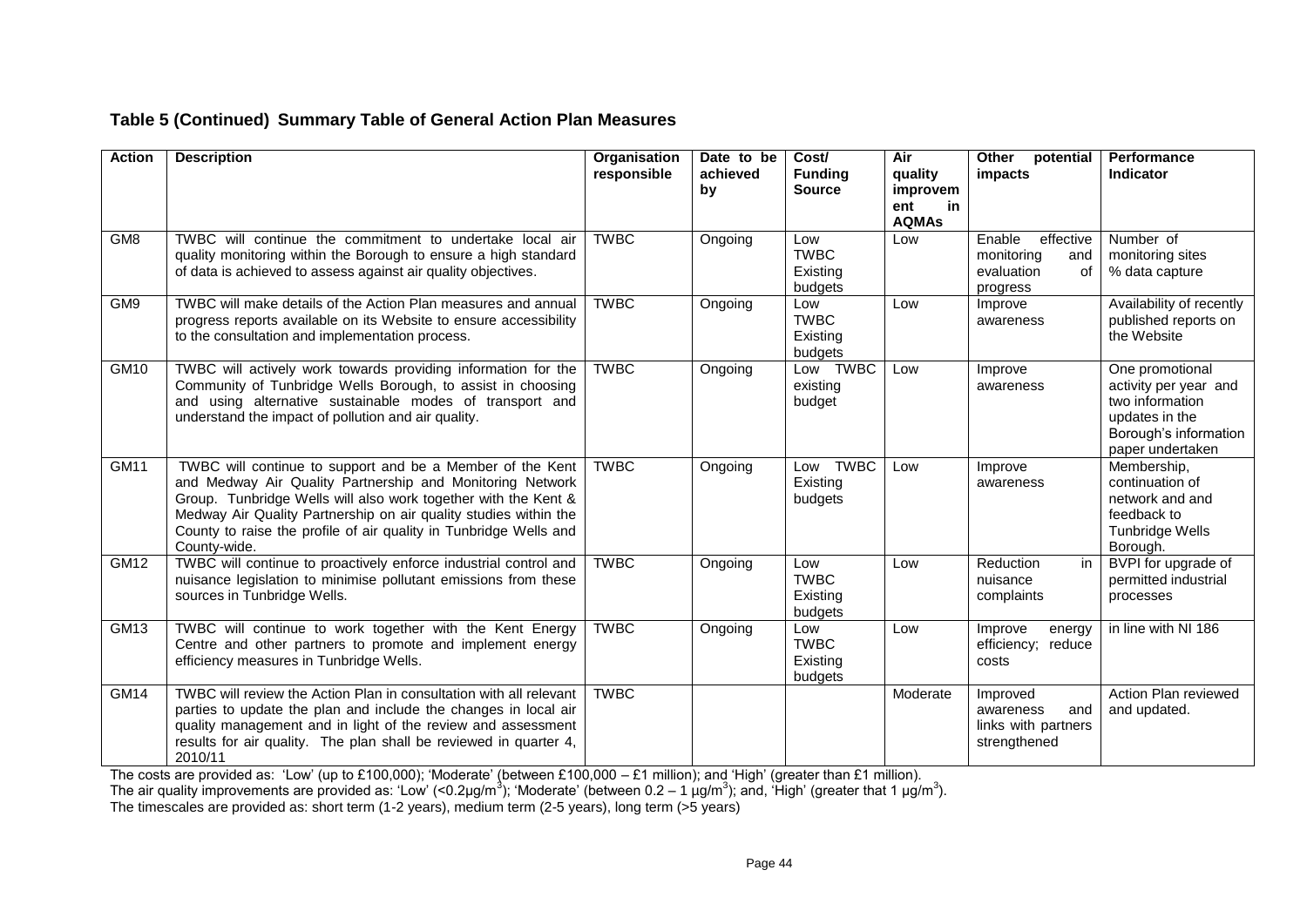# **Table 5 (Continued) Summary Table of General Action Plan Measures**

| <b>Action</b>   | <b>Description</b>                                                                                                                                                                                                                                                                                                                                | Organisation<br>responsible | Date to be<br>achieved<br>by | Cost/<br><b>Funding</b><br><b>Source</b>  | Air<br>quality<br>improvem<br>ent<br>in<br><b>AQMAs</b> | Other<br>potential<br><i>impacts</i>                                     | Performance<br><b>Indicator</b>                                                                                            |
|-----------------|---------------------------------------------------------------------------------------------------------------------------------------------------------------------------------------------------------------------------------------------------------------------------------------------------------------------------------------------------|-----------------------------|------------------------------|-------------------------------------------|---------------------------------------------------------|--------------------------------------------------------------------------|----------------------------------------------------------------------------------------------------------------------------|
| GM <sub>8</sub> | TWBC will continue the commitment to undertake local air<br>quality monitoring within the Borough to ensure a high standard<br>of data is achieved to assess against air quality objectives.                                                                                                                                                      | <b>TWBC</b>                 | Ongoing                      | Low<br><b>TWBC</b><br>Existing<br>budgets | Low                                                     | Enable<br>effective<br>monitoring<br>and<br>evaluation<br>0f<br>progress | Number of<br>monitoring sites<br>% data capture                                                                            |
| GM9             | TWBC will make details of the Action Plan measures and annual<br>progress reports available on its Website to ensure accessibility<br>to the consultation and implementation process.                                                                                                                                                             | <b>TWBC</b>                 | Ongoing                      | Low<br><b>TWBC</b><br>Existing<br>budgets | Low                                                     | Improve<br>awareness                                                     | Availability of recently<br>published reports on<br>the Website                                                            |
| GM10            | TWBC will actively work towards providing information for the<br>Community of Tunbridge Wells Borough, to assist in choosing<br>and using alternative sustainable modes of transport and<br>understand the impact of pollution and air quality.                                                                                                   | <b>TWBC</b>                 | Ongoing                      | Low TWBC<br>existing<br>budget            | Low                                                     | Improve<br>awareness                                                     | One promotional<br>activity per year and<br>two information<br>updates in the<br>Borough's information<br>paper undertaken |
| GM11            | TWBC will continue to support and be a Member of the Kent<br>and Medway Air Quality Partnership and Monitoring Network<br>Group. Tunbridge Wells will also work together with the Kent &<br>Medway Air Quality Partnership on air quality studies within the<br>County to raise the profile of air quality in Tunbridge Wells and<br>County-wide. | <b>TWBC</b>                 | Ongoing                      | <b>TWBC</b><br>Low<br>Existing<br>budgets | Low                                                     | Improve<br>awareness                                                     | Membership,<br>continuation of<br>network and and<br>feedback to<br>Tunbridge Wells<br>Borough.                            |
| GM12            | TWBC will continue to proactively enforce industrial control and<br>nuisance legislation to minimise pollutant emissions from these<br>sources in Tunbridge Wells.                                                                                                                                                                                | <b>TWBC</b>                 | Ongoing                      | Low<br><b>TWBC</b><br>Existing<br>budgets | Low                                                     | Reduction<br>in.<br>nuisance<br>complaints                               | BVPI for upgrade of<br>permitted industrial<br>processes                                                                   |
| GM13            | TWBC will continue to work together with the Kent Energy<br>Centre and other partners to promote and implement energy<br>efficiency measures in Tunbridge Wells.                                                                                                                                                                                  | <b>TWBC</b>                 | Ongoing                      | Low<br><b>TWBC</b><br>Existing<br>budgets | Low                                                     | Improve<br>energy<br>efficiency; reduce<br>costs                         | in line with NI 186                                                                                                        |
| <b>GM14</b>     | TWBC will review the Action Plan in consultation with all relevant<br>parties to update the plan and include the changes in local air<br>quality management and in light of the review and assessment<br>results for air quality. The plan shall be reviewed in quarter 4,<br>2010/11                                                             | <b>TWBC</b>                 |                              |                                           | Moderate                                                | Improved<br>awareness<br>and<br>links with partners<br>strengthened      | Action Plan reviewed<br>and updated.                                                                                       |

The costs are provided as: "Low" (up to £100,000); "Moderate" (between £100,000 – £1 million); and "High" (greater than £1 million).

The air quality improvements are provided as: 'Low' (<0.2µg/m<sup>3</sup>); 'Moderate' (between 0.2 – 1 µg/m<sup>3</sup>); and, 'High' (greater that 1 µg/m<sup>3</sup>).

The timescales are provided as: short term (1-2 years), medium term (2-5 years), long term (>5 years)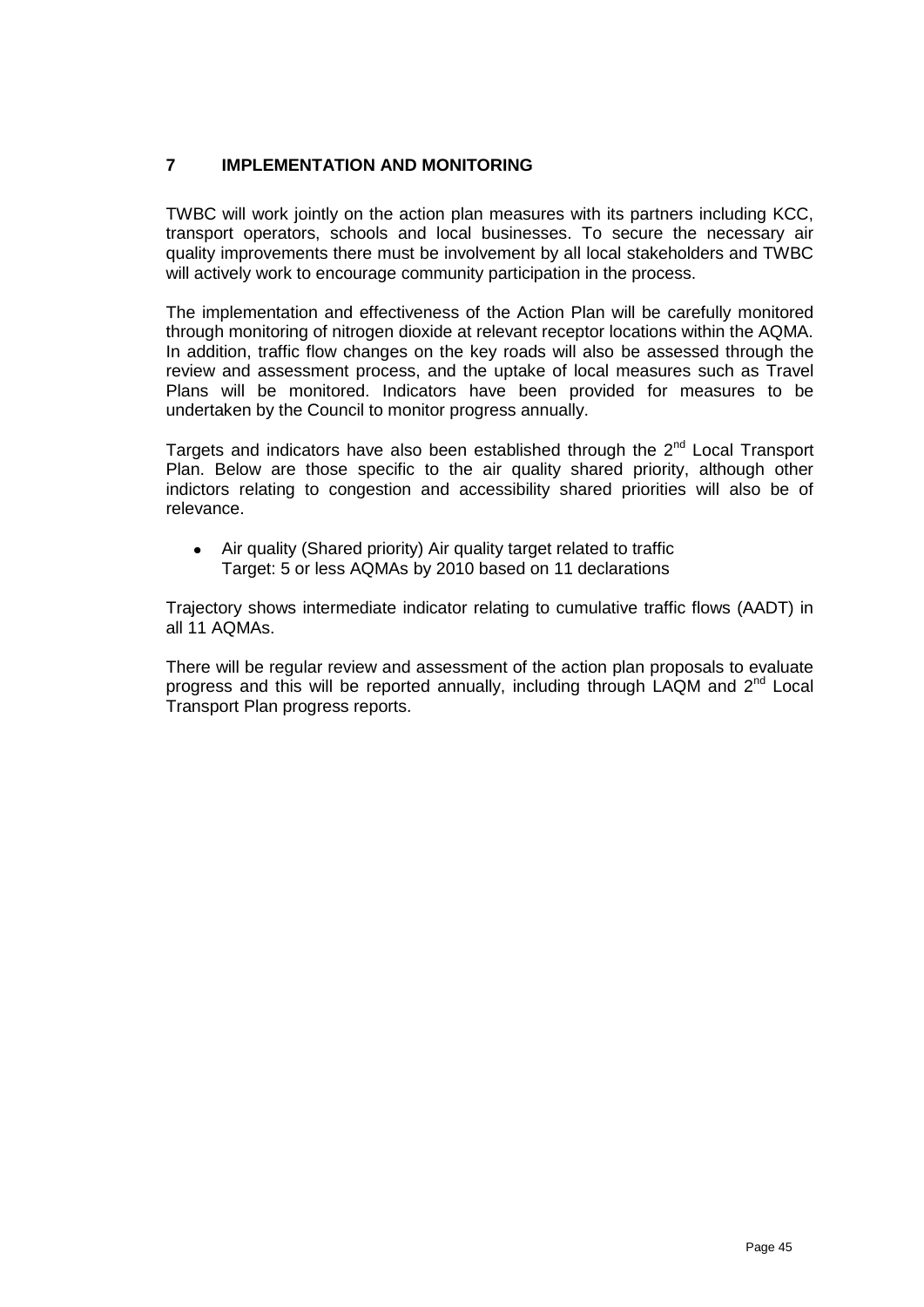# **7 IMPLEMENTATION AND MONITORING**

TWBC will work jointly on the action plan measures with its partners including KCC, transport operators, schools and local businesses. To secure the necessary air quality improvements there must be involvement by all local stakeholders and TWBC will actively work to encourage community participation in the process.

The implementation and effectiveness of the Action Plan will be carefully monitored through monitoring of nitrogen dioxide at relevant receptor locations within the AQMA. In addition, traffic flow changes on the key roads will also be assessed through the review and assessment process, and the uptake of local measures such as Travel Plans will be monitored. Indicators have been provided for measures to be undertaken by the Council to monitor progress annually.

Targets and indicators have also been established through the 2<sup>nd</sup> Local Transport Plan. Below are those specific to the air quality shared priority, although other indictors relating to congestion and accessibility shared priorities will also be of relevance.

Air quality (Shared priority) Air quality target related to traffic Target: 5 or less AQMAs by 2010 based on 11 declarations

Trajectory shows intermediate indicator relating to cumulative traffic flows (AADT) in all 11 AQMAs.

There will be regular review and assessment of the action plan proposals to evaluate progress and this will be reported annually, including through LAQM and  $2<sup>nd</sup>$  Local Transport Plan progress reports.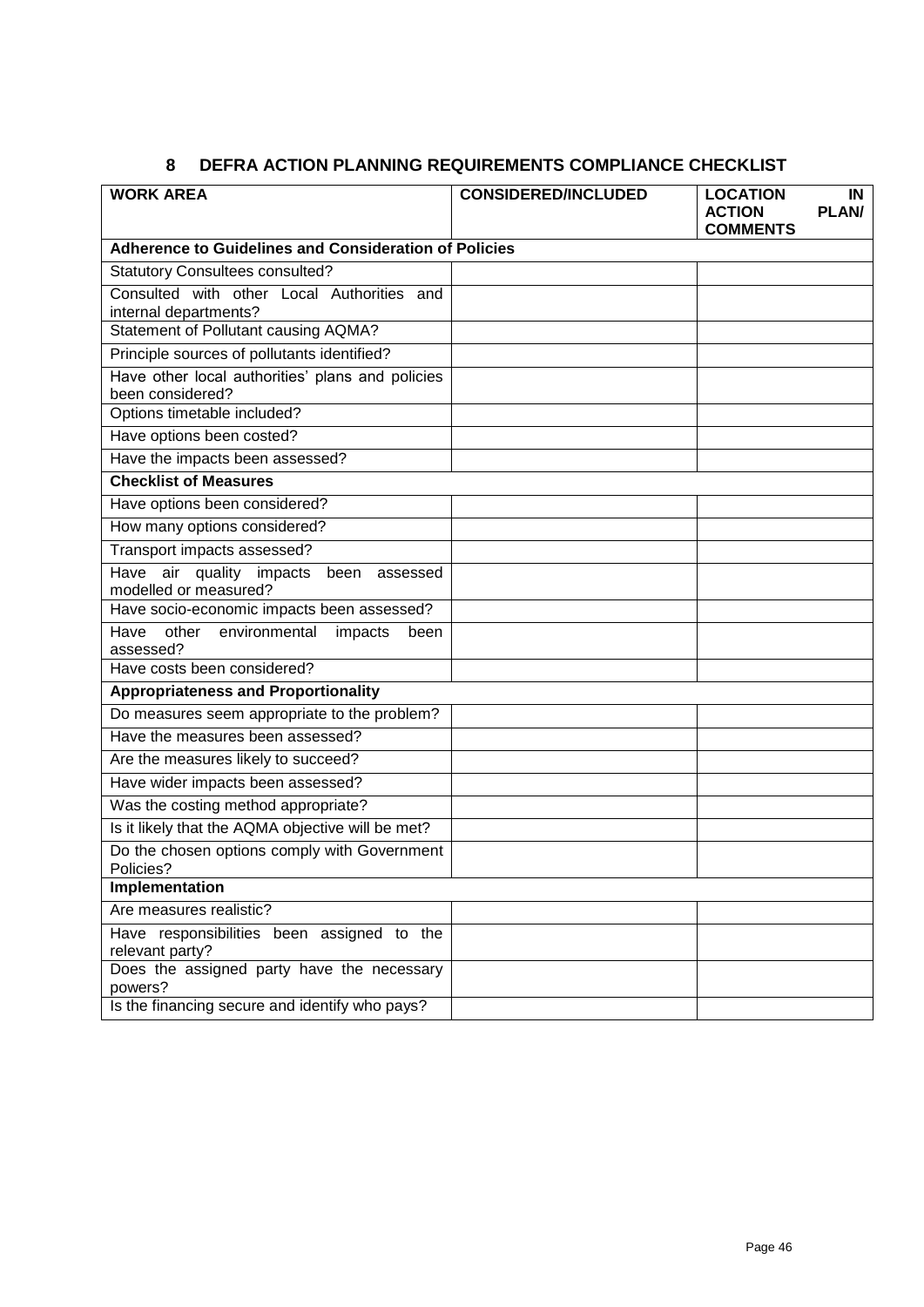# **8 DEFRA ACTION PLANNING REQUIREMENTS COMPLIANCE CHECKLIST**

| <b>WORK AREA</b>                                                     | <b>CONSIDERED/INCLUDED</b> | <b>LOCATION</b><br>IN<br><b>PLAN/</b><br><b>ACTION</b><br><b>COMMENTS</b> |
|----------------------------------------------------------------------|----------------------------|---------------------------------------------------------------------------|
| <b>Adherence to Guidelines and Consideration of Policies</b>         |                            |                                                                           |
| <b>Statutory Consultees consulted?</b>                               |                            |                                                                           |
| Consulted with other Local Authorities and<br>internal departments?  |                            |                                                                           |
| Statement of Pollutant causing AQMA?                                 |                            |                                                                           |
| Principle sources of pollutants identified?                          |                            |                                                                           |
| Have other local authorities' plans and policies<br>been considered? |                            |                                                                           |
| Options timetable included?                                          |                            |                                                                           |
| Have options been costed?                                            |                            |                                                                           |
| Have the impacts been assessed?                                      |                            |                                                                           |
| <b>Checklist of Measures</b>                                         |                            |                                                                           |
| Have options been considered?                                        |                            |                                                                           |
| How many options considered?                                         |                            |                                                                           |
| Transport impacts assessed?                                          |                            |                                                                           |
| Have air quality impacts been assessed<br>modelled or measured?      |                            |                                                                           |
| Have socio-economic impacts been assessed?                           |                            |                                                                           |
| Have other environmental<br>impacts<br>been<br>assessed?             |                            |                                                                           |
| Have costs been considered?                                          |                            |                                                                           |
| <b>Appropriateness and Proportionality</b>                           |                            |                                                                           |
| Do measures seem appropriate to the problem?                         |                            |                                                                           |
| Have the measures been assessed?                                     |                            |                                                                           |
| Are the measures likely to succeed?                                  |                            |                                                                           |
| Have wider impacts been assessed?                                    |                            |                                                                           |
| Was the costing method appropriate?                                  |                            |                                                                           |
| Is it likely that the AQMA objective will be met?                    |                            |                                                                           |
| Do the chosen options comply with Government<br>Policies?            |                            |                                                                           |
| Implementation                                                       |                            |                                                                           |
| Are measures realistic?                                              |                            |                                                                           |
| Have responsibilities been assigned to the<br>relevant party?        |                            |                                                                           |
| Does the assigned party have the necessary<br>powers?                |                            |                                                                           |
| Is the financing secure and identify who pays?                       |                            |                                                                           |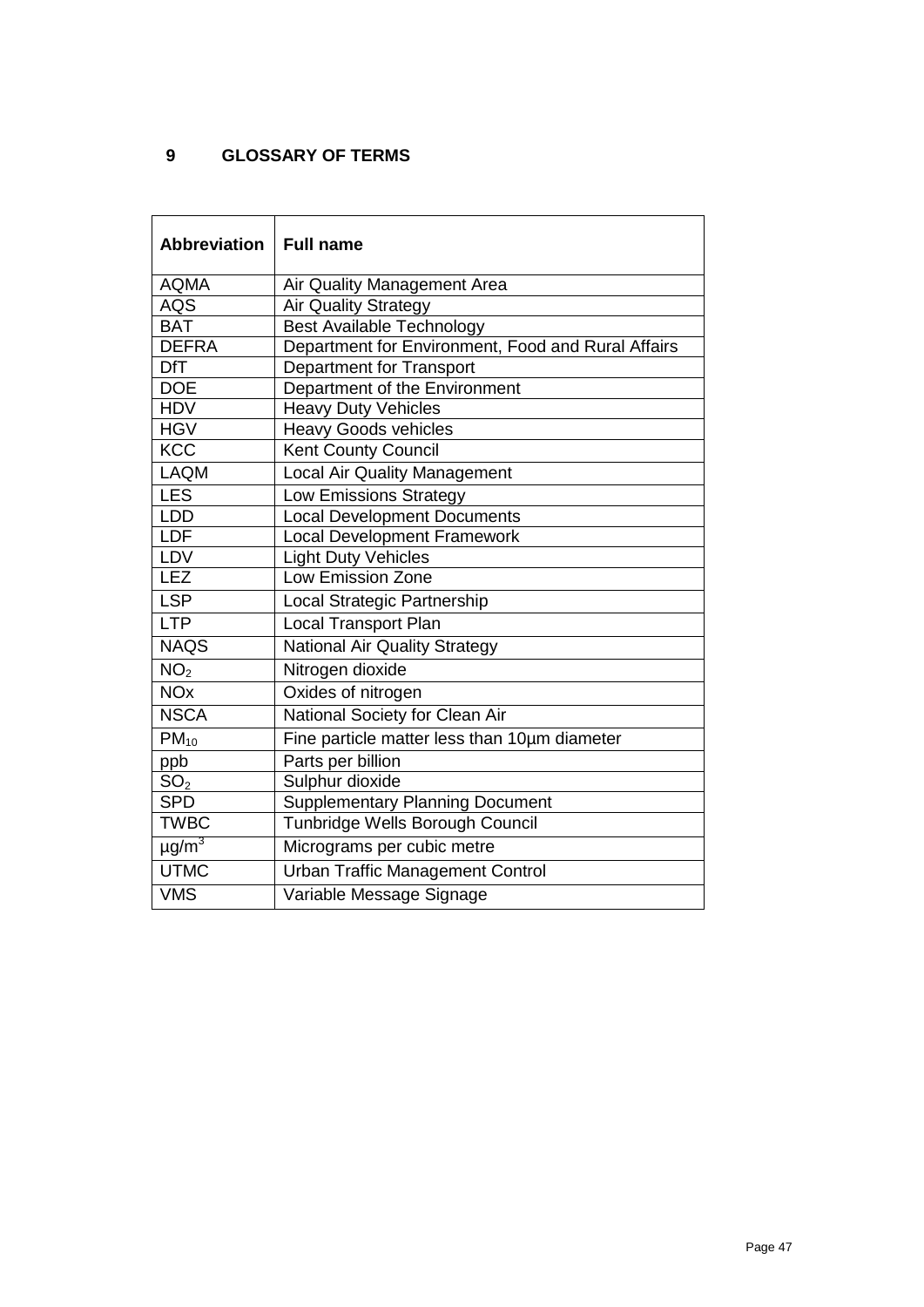# **9 GLOSSARY OF TERMS**

| Abbreviation           | <b>Full name</b>                                   |
|------------------------|----------------------------------------------------|
| <b>AQMA</b>            | Air Quality Management Area                        |
| <b>AQS</b>             | <b>Air Quality Strategy</b>                        |
| <b>BAT</b>             | <b>Best Available Technology</b>                   |
| <b>DEFRA</b>           | Department for Environment, Food and Rural Affairs |
| <b>DfT</b>             | <b>Department for Transport</b>                    |
| <b>DOE</b>             | Department of the Environment                      |
| <b>HDV</b>             | <b>Heavy Duty Vehicles</b>                         |
| <b>HGV</b>             | <b>Heavy Goods vehicles</b>                        |
| <b>KCC</b>             | <b>Kent County Council</b>                         |
| <b>LAQM</b>            | <b>Local Air Quality Management</b>                |
| <b>LES</b>             | Low Emissions Strategy                             |
| <b>LDD</b>             | <b>Local Development Documents</b>                 |
| LDF                    | <b>Local Development Framework</b>                 |
| LDV                    | <b>Light Duty Vehicles</b>                         |
| <b>LEZ</b>             | <b>Low Emission Zone</b>                           |
| <b>LSP</b>             | Local Strategic Partnership                        |
| <b>LTP</b>             | <b>Local Transport Plan</b>                        |
| <b>NAQS</b>            | <b>National Air Quality Strategy</b>               |
| NO <sub>2</sub>        | Nitrogen dioxide                                   |
| <b>NO<sub>x</sub></b>  | Oxides of nitrogen                                 |
| <b>NSCA</b>            | National Society for Clean Air                     |
| $PM_{10}$              | Fine particle matter less than 10um diameter       |
| ppb                    | Parts per billion                                  |
| SO <sub>2</sub>        | Sulphur dioxide                                    |
| <b>SPD</b>             | <b>Supplementary Planning Document</b>             |
| <b>TWBC</b>            | Tunbridge Wells Borough Council                    |
| $\mu$ g/m <sup>3</sup> | Micrograms per cubic metre                         |
| <b>UTMC</b>            | <b>Urban Traffic Management Control</b>            |
| <b>VMS</b>             | Variable Message Signage                           |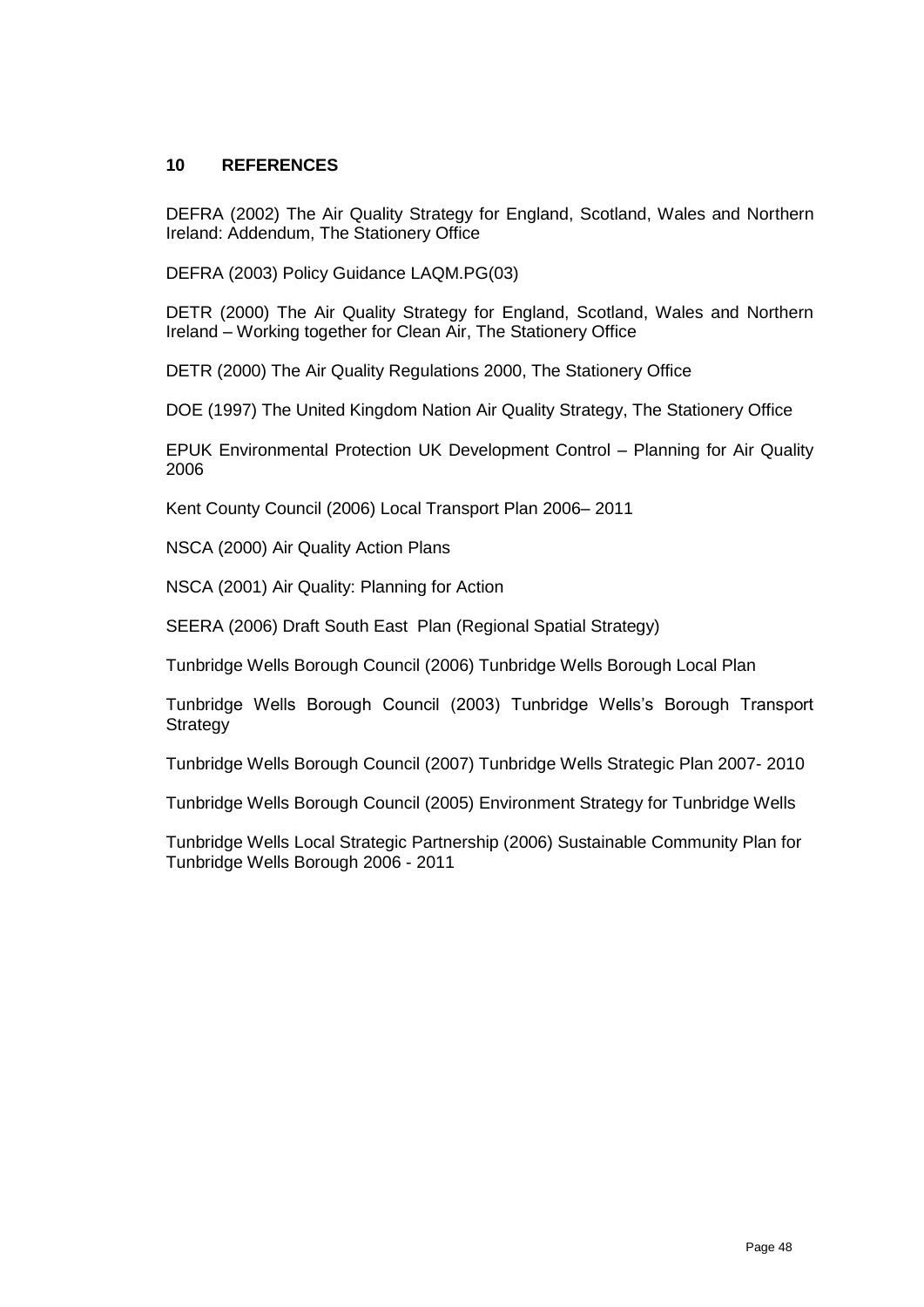## **10 REFERENCES**

DEFRA (2002) The Air Quality Strategy for England, Scotland, Wales and Northern Ireland: Addendum, The Stationery Office

DEFRA (2003) Policy Guidance LAQM.PG(03)

DETR (2000) The Air Quality Strategy for England, Scotland, Wales and Northern Ireland – Working together for Clean Air, The Stationery Office

DETR (2000) The Air Quality Regulations 2000, The Stationery Office

DOE (1997) The United Kingdom Nation Air Quality Strategy, The Stationery Office

EPUK Environmental Protection UK Development Control – Planning for Air Quality 2006

Kent County Council (2006) Local Transport Plan 2006– 2011

NSCA (2000) Air Quality Action Plans

NSCA (2001) Air Quality: Planning for Action

SEERA (2006) Draft South East Plan (Regional Spatial Strategy)

Tunbridge Wells Borough Council (2006) Tunbridge Wells Borough Local Plan

Tunbridge Wells Borough Council (2003) Tunbridge Wells"s Borough Transport **Strategy** 

Tunbridge Wells Borough Council (2007) Tunbridge Wells Strategic Plan 2007- 2010

Tunbridge Wells Borough Council (2005) Environment Strategy for Tunbridge Wells

Tunbridge Wells Local Strategic Partnership (2006) Sustainable Community Plan for Tunbridge Wells Borough 2006 - 2011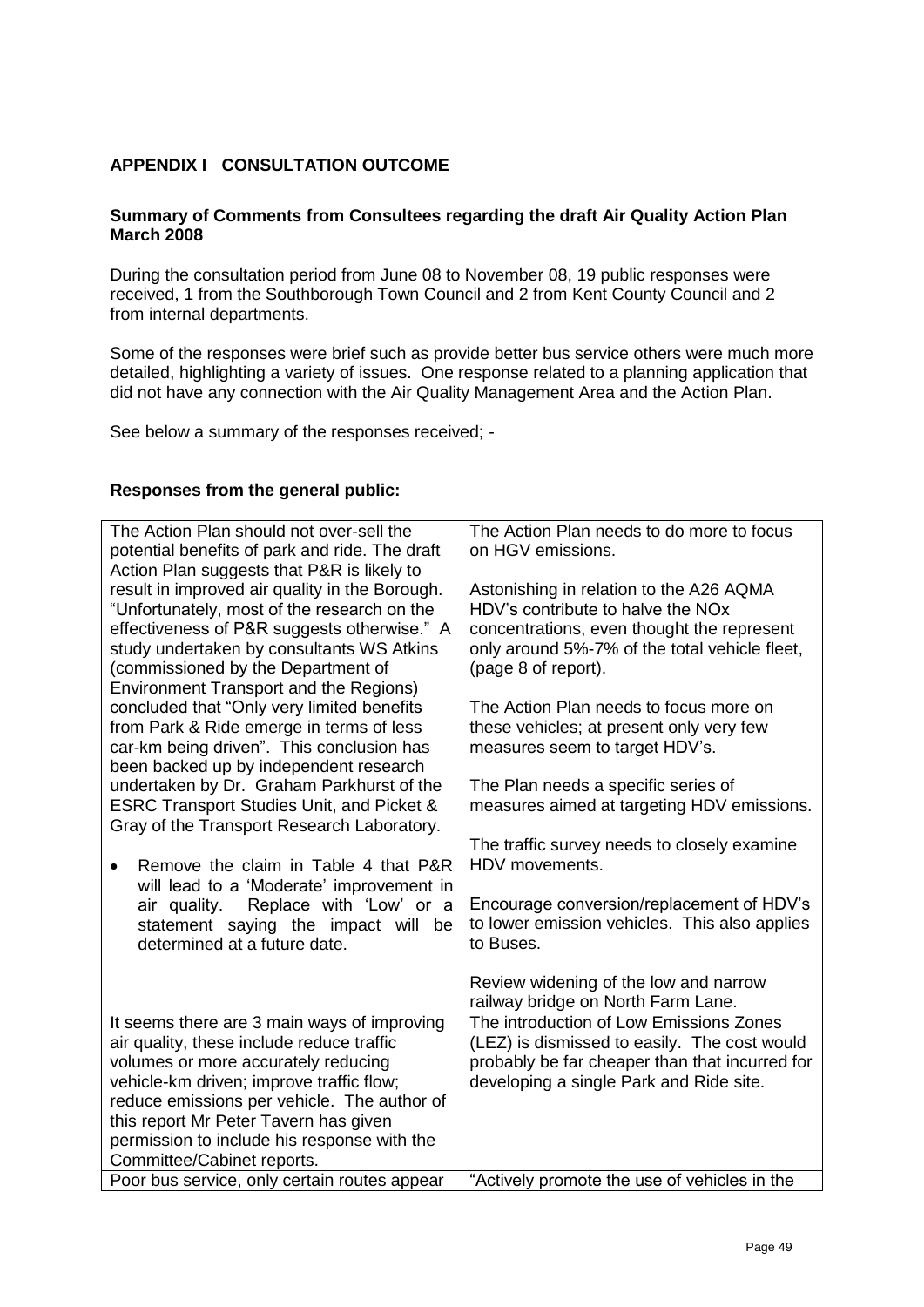# **APPENDIX I CONSULTATION OUTCOME**

#### **Summary of Comments from Consultees regarding the draft Air Quality Action Plan March 2008**

During the consultation period from June 08 to November 08, 19 public responses were received, 1 from the Southborough Town Council and 2 from Kent County Council and 2 from internal departments.

Some of the responses were brief such as provide better bus service others were much more detailed, highlighting a variety of issues. One response related to a planning application that did not have any connection with the Air Quality Management Area and the Action Plan.

See below a summary of the responses received; -

#### **Responses from the general public:**

| The Action Plan should not over-sell the<br>potential benefits of park and ride. The draft<br>Action Plan suggests that P&R is likely to | The Action Plan needs to do more to focus<br>on HGV emissions.                           |
|------------------------------------------------------------------------------------------------------------------------------------------|------------------------------------------------------------------------------------------|
| result in improved air quality in the Borough.                                                                                           | Astonishing in relation to the A26 AQMA<br>HDV's contribute to halve the NO <sub>x</sub> |
| "Unfortunately, most of the research on the<br>effectiveness of P&R suggests otherwise." A                                               | concentrations, even thought the represent                                               |
| study undertaken by consultants WS Atkins                                                                                                | only around 5%-7% of the total vehicle fleet,                                            |
| (commissioned by the Department of                                                                                                       | (page 8 of report).                                                                      |
| <b>Environment Transport and the Regions)</b><br>concluded that "Only very limited benefits                                              | The Action Plan needs to focus more on                                                   |
| from Park & Ride emerge in terms of less                                                                                                 | these vehicles; at present only very few                                                 |
| car-km being driven". This conclusion has<br>been backed up by independent research                                                      | measures seem to target HDV's.                                                           |
| undertaken by Dr. Graham Parkhurst of the                                                                                                | The Plan needs a specific series of                                                      |
| <b>ESRC Transport Studies Unit, and Picket &amp;</b><br>Gray of the Transport Research Laboratory.                                       | measures aimed at targeting HDV emissions.                                               |
|                                                                                                                                          | The traffic survey needs to closely examine                                              |
| Remove the claim in Table 4 that P&R<br>will lead to a 'Moderate' improvement in                                                         | HDV movements.                                                                           |
| Replace with 'Low' or a<br>air quality.                                                                                                  | Encourage conversion/replacement of HDV's                                                |
| statement saying the impact will be                                                                                                      | to lower emission vehicles. This also applies                                            |
| determined at a future date.                                                                                                             | to Buses.                                                                                |
|                                                                                                                                          | Review widening of the low and narrow                                                    |
|                                                                                                                                          | railway bridge on North Farm Lane.                                                       |
| It seems there are 3 main ways of improving                                                                                              | The introduction of Low Emissions Zones                                                  |
| air quality, these include reduce traffic                                                                                                | (LEZ) is dismissed to easily. The cost would                                             |
| volumes or more accurately reducing                                                                                                      | probably be far cheaper than that incurred for                                           |
| vehicle-km driven; improve traffic flow;                                                                                                 | developing a single Park and Ride site.                                                  |
| reduce emissions per vehicle. The author of                                                                                              |                                                                                          |
| this report Mr Peter Tavern has given                                                                                                    |                                                                                          |
| permission to include his response with the                                                                                              |                                                                                          |
| Committee/Cabinet reports.                                                                                                               |                                                                                          |
| Poor bus service, only certain routes appear                                                                                             | "Actively promote the use of vehicles in the                                             |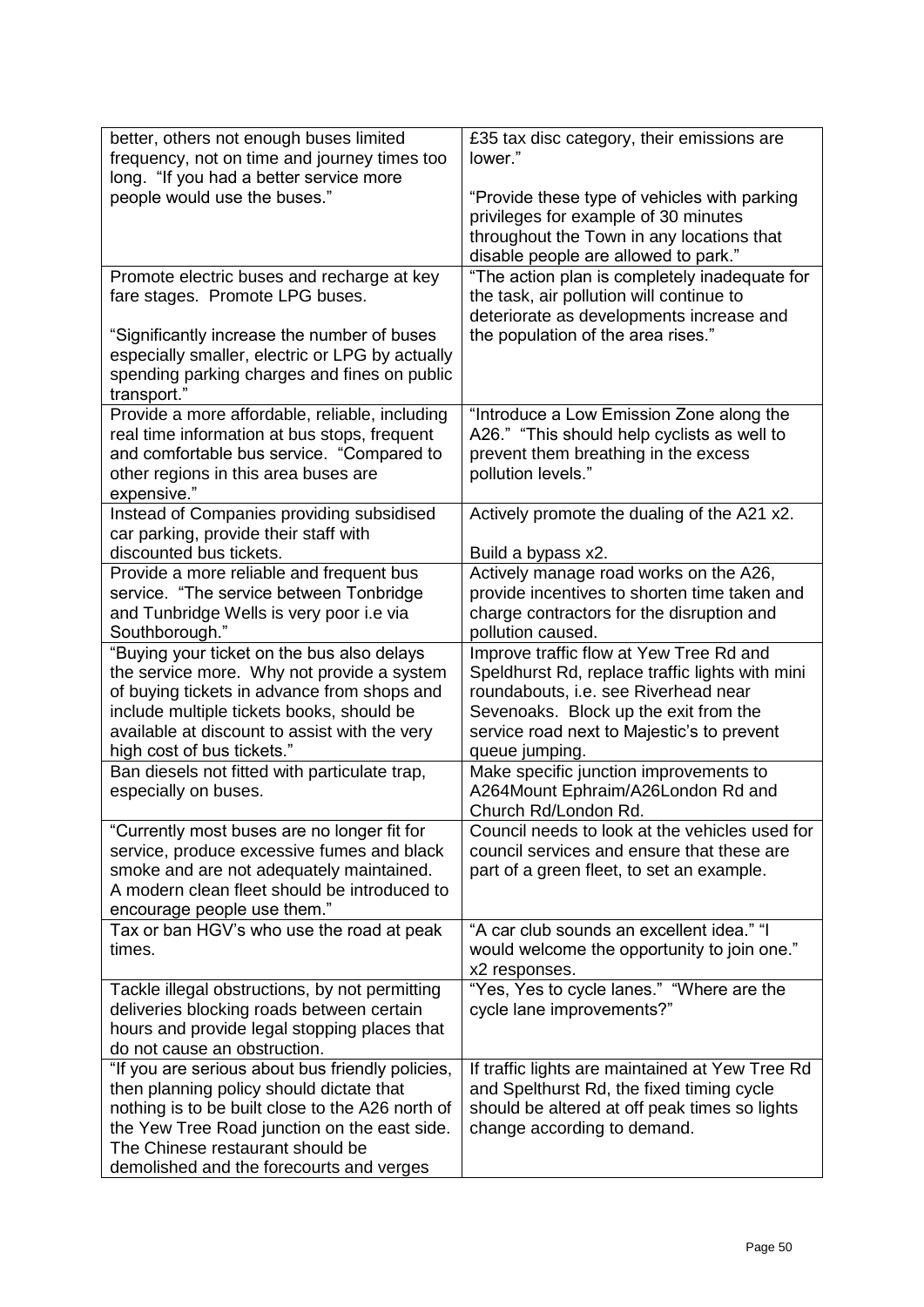| better, others not enough buses limited<br>frequency, not on time and journey times too<br>long. "If you had a better service more                                                                                                                                               | £35 tax disc category, their emissions are<br>lower."                                                                                                                                                                                       |
|----------------------------------------------------------------------------------------------------------------------------------------------------------------------------------------------------------------------------------------------------------------------------------|---------------------------------------------------------------------------------------------------------------------------------------------------------------------------------------------------------------------------------------------|
| people would use the buses."                                                                                                                                                                                                                                                     | "Provide these type of vehicles with parking<br>privileges for example of 30 minutes<br>throughout the Town in any locations that<br>disable people are allowed to park."                                                                   |
| Promote electric buses and recharge at key<br>fare stages. Promote LPG buses.                                                                                                                                                                                                    | "The action plan is completely inadequate for<br>the task, air pollution will continue to<br>deteriorate as developments increase and                                                                                                       |
| "Significantly increase the number of buses<br>especially smaller, electric or LPG by actually<br>spending parking charges and fines on public<br>transport."                                                                                                                    | the population of the area rises."                                                                                                                                                                                                          |
| Provide a more affordable, reliable, including<br>real time information at bus stops, frequent<br>and comfortable bus service. "Compared to<br>other regions in this area buses are<br>expensive."                                                                               | "Introduce a Low Emission Zone along the<br>A26." "This should help cyclists as well to<br>prevent them breathing in the excess<br>pollution levels."                                                                                       |
| Instead of Companies providing subsidised<br>car parking, provide their staff with<br>discounted bus tickets.                                                                                                                                                                    | Actively promote the dualing of the A21 x2.<br>Build a bypass x2.                                                                                                                                                                           |
| Provide a more reliable and frequent bus<br>service. "The service between Tonbridge<br>and Tunbridge Wells is very poor i.e via<br>Southborough."                                                                                                                                | Actively manage road works on the A26,<br>provide incentives to shorten time taken and<br>charge contractors for the disruption and<br>pollution caused.                                                                                    |
| "Buying your ticket on the bus also delays<br>the service more. Why not provide a system<br>of buying tickets in advance from shops and<br>include multiple tickets books, should be<br>available at discount to assist with the very<br>high cost of bus tickets."              | Improve traffic flow at Yew Tree Rd and<br>Speldhurst Rd, replace traffic lights with mini<br>roundabouts, i.e. see Riverhead near<br>Sevenoaks. Block up the exit from the<br>service road next to Majestic's to prevent<br>queue jumping. |
| Ban diesels not fitted with particulate trap,<br>especially on buses.                                                                                                                                                                                                            | Make specific junction improvements to<br>A264Mount Ephraim/A26London Rd and<br>Church Rd/London Rd.                                                                                                                                        |
| "Currently most buses are no longer fit for<br>service, produce excessive fumes and black<br>smoke and are not adequately maintained.<br>A modern clean fleet should be introduced to<br>encourage people use them."                                                             | Council needs to look at the vehicles used for<br>council services and ensure that these are<br>part of a green fleet, to set an example.                                                                                                   |
| Tax or ban HGV's who use the road at peak<br>times.                                                                                                                                                                                                                              | "A car club sounds an excellent idea." "I<br>would welcome the opportunity to join one."<br>x2 responses.                                                                                                                                   |
| Tackle illegal obstructions, by not permitting<br>deliveries blocking roads between certain<br>hours and provide legal stopping places that<br>do not cause an obstruction.                                                                                                      | "Yes, Yes to cycle lanes." "Where are the<br>cycle lane improvements?"                                                                                                                                                                      |
| "If you are serious about bus friendly policies,<br>then planning policy should dictate that<br>nothing is to be built close to the A26 north of<br>the Yew Tree Road junction on the east side.<br>The Chinese restaurant should be<br>demolished and the forecourts and verges | If traffic lights are maintained at Yew Tree Rd<br>and Spelthurst Rd, the fixed timing cycle<br>should be altered at off peak times so lights<br>change according to demand.                                                                |